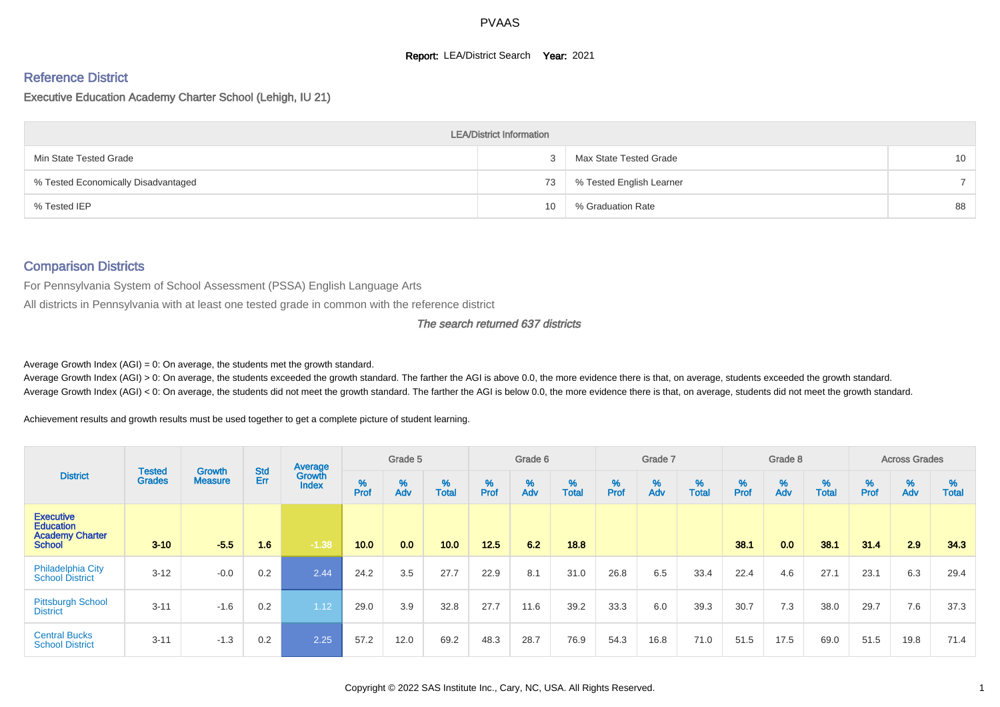#### **Report: LEA/District Search Year: 2021**

#### Reference District

#### Executive Education Academy Charter School (Lehigh, IU 21)

|                                     | <b>LEA/District Information</b> |                          |                 |
|-------------------------------------|---------------------------------|--------------------------|-----------------|
| Min State Tested Grade              |                                 | Max State Tested Grade   | 10 <sup>°</sup> |
| % Tested Economically Disadvantaged | 73                              | % Tested English Learner |                 |
| % Tested IEP                        | 10                              | % Graduation Rate        | 88              |

#### Comparison Districts

For Pennsylvania System of School Assessment (PSSA) English Language Arts

All districts in Pennsylvania with at least one tested grade in common with the reference district

#### The search returned 637 districts

Average Growth Index  $(AGI) = 0$ : On average, the students met the growth standard.

Average Growth Index (AGI) > 0: On average, the students exceeded the growth standard. The farther the AGI is above 0.0, the more evidence there is that, on average, students exceeded the growth standard. Average Growth Index (AGI) < 0: On average, the students did not meet the growth standard. The farther the AGI is below 0.0, the more evidence there is that, on average, students did not meet the growth standard.

Achievement results and growth results must be used together to get a complete picture of student learning.

|                                                                                 |                                |                                 |                   | Average                       |           | Grade 5  |                   |           | Grade 6  |                   |           | Grade 7  |                   |           | Grade 8  |                   |           | <b>Across Grades</b> |                   |
|---------------------------------------------------------------------------------|--------------------------------|---------------------------------|-------------------|-------------------------------|-----------|----------|-------------------|-----------|----------|-------------------|-----------|----------|-------------------|-----------|----------|-------------------|-----------|----------------------|-------------------|
| <b>District</b>                                                                 | <b>Tested</b><br><b>Grades</b> | <b>Growth</b><br><b>Measure</b> | <b>Std</b><br>Err | <b>Growth</b><br><b>Index</b> | %<br>Prof | %<br>Adv | %<br><b>Total</b> | %<br>Prof | %<br>Adv | %<br><b>Total</b> | %<br>Prof | %<br>Adv | %<br><b>Total</b> | %<br>Prof | %<br>Adv | %<br><b>Total</b> | %<br>Prof | %<br>Adv             | %<br><b>Total</b> |
| <b>Executive</b><br><b>Education</b><br><b>Academy Charter</b><br><b>School</b> | $3 - 10$                       | $-5.5$                          | 1.6               | $-1.38$                       | 10.0      | 0.0      | 10.0              | 12.5      | 6.2      | 18.8              |           |          |                   | 38.1      | 0.0      | 38.1              | 31.4      | 2.9                  | 34.3              |
| Philadelphia City<br><b>School District</b>                                     | $3 - 12$                       | $-0.0$                          | 0.2               | 2.44                          | 24.2      | 3.5      | 27.7              | 22.9      | 8.1      | 31.0              | 26.8      | 6.5      | 33.4              | 22.4      | 4.6      | 27.1              | 23.1      | 6.3                  | 29.4              |
| <b>Pittsburgh School</b><br><b>District</b>                                     | $3 - 11$                       | $-1.6$                          | 0.2               | 1.12                          | 29.0      | 3.9      | 32.8              | 27.7      | 11.6     | 39.2              | 33.3      | 6.0      | 39.3              | 30.7      | 7.3      | 38.0              | 29.7      | 7.6                  | 37.3              |
| <b>Central Bucks</b><br><b>School District</b>                                  | $3 - 11$                       | $-1.3$                          | 0.2               | 2.25                          | 57.2      | 12.0     | 69.2              | 48.3      | 28.7     | 76.9              | 54.3      | 16.8     | 71.0              | 51.5      | 17.5     | 69.0              | 51.5      | 19.8                 | 71.4              |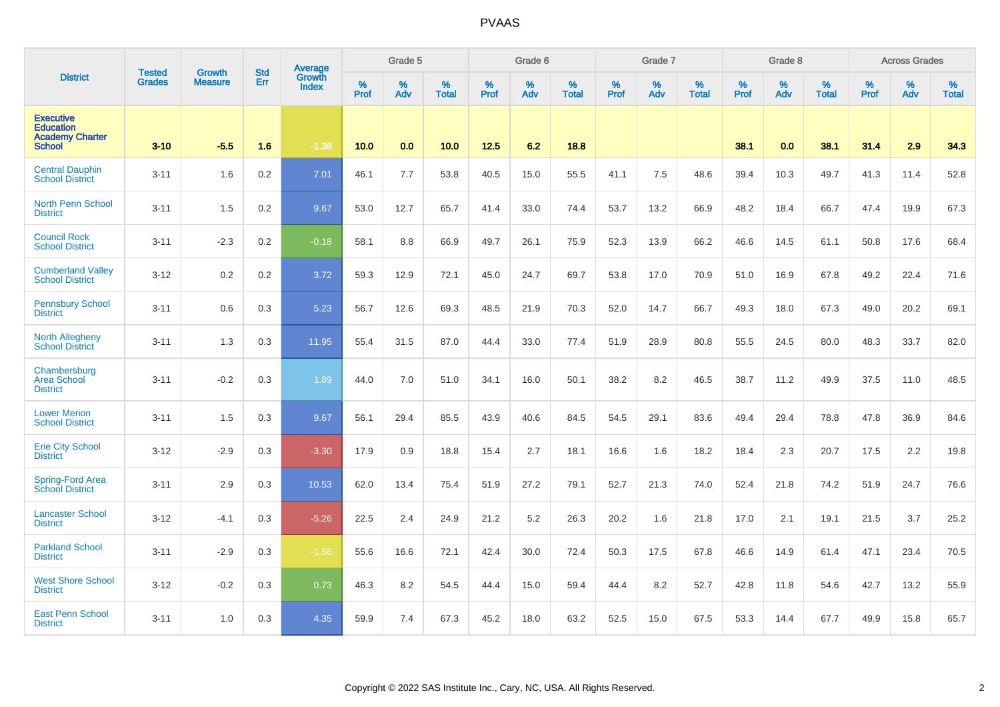|                                                                                 | <b>Tested</b> | <b>Growth</b>  | <b>Std</b> | Average<br>Growth |                     | Grade 5  |                   |           | Grade 6  |                   |                  | Grade 7  |                   |                     | Grade 8     |                   |                  | <b>Across Grades</b> |                   |
|---------------------------------------------------------------------------------|---------------|----------------|------------|-------------------|---------------------|----------|-------------------|-----------|----------|-------------------|------------------|----------|-------------------|---------------------|-------------|-------------------|------------------|----------------------|-------------------|
| <b>District</b>                                                                 | <b>Grades</b> | <b>Measure</b> | Err        | <b>Index</b>      | $\%$<br><b>Prof</b> | %<br>Adv | %<br><b>Total</b> | %<br>Prof | %<br>Adv | %<br><b>Total</b> | %<br><b>Prof</b> | %<br>Adv | %<br><b>Total</b> | $\%$<br><b>Prof</b> | $\%$<br>Adv | %<br><b>Total</b> | %<br><b>Prof</b> | %<br>Adv             | %<br><b>Total</b> |
| <b>Executive</b><br><b>Education</b><br><b>Academy Charter</b><br><b>School</b> | $3 - 10$      | $-5.5$         | 1.6        | $-1.38$           | 10.0                | 0.0      | 10.0              | 12.5      | 6.2      | 18.8              |                  |          |                   | 38.1                | 0.0         | 38.1              | 31.4             | 2.9                  | 34.3              |
| <b>Central Dauphin</b><br><b>School District</b>                                | $3 - 11$      | 1.6            | 0.2        | 7.01              | 46.1                | 7.7      | 53.8              | 40.5      | 15.0     | 55.5              | 41.1             | 7.5      | 48.6              | 39.4                | 10.3        | 49.7              | 41.3             | 11.4                 | 52.8              |
| <b>North Penn School</b><br><b>District</b>                                     | $3 - 11$      | 1.5            | 0.2        | 9.67              | 53.0                | 12.7     | 65.7              | 41.4      | 33.0     | 74.4              | 53.7             | 13.2     | 66.9              | 48.2                | 18.4        | 66.7              | 47.4             | 19.9                 | 67.3              |
| <b>Council Rock</b><br><b>School District</b>                                   | $3 - 11$      | $-2.3$         | 0.2        | $-0.18$           | 58.1                | 8.8      | 66.9              | 49.7      | 26.1     | 75.9              | 52.3             | 13.9     | 66.2              | 46.6                | 14.5        | 61.1              | 50.8             | 17.6                 | 68.4              |
| <b>Cumberland Valley</b><br><b>School District</b>                              | $3 - 12$      | 0.2            | 0.2        | 3.72              | 59.3                | 12.9     | 72.1              | 45.0      | 24.7     | 69.7              | 53.8             | 17.0     | 70.9              | 51.0                | 16.9        | 67.8              | 49.2             | 22.4                 | 71.6              |
| <b>Pennsbury School</b><br><b>District</b>                                      | $3 - 11$      | 0.6            | 0.3        | 5.23              | 56.7                | 12.6     | 69.3              | 48.5      | 21.9     | 70.3              | 52.0             | 14.7     | 66.7              | 49.3                | 18.0        | 67.3              | 49.0             | 20.2                 | 69.1              |
| North Allegheny<br><b>School District</b>                                       | $3 - 11$      | 1.3            | 0.3        | 11.95             | 55.4                | 31.5     | 87.0              | 44.4      | 33.0     | 77.4              | 51.9             | 28.9     | 80.8              | 55.5                | 24.5        | 80.0              | 48.3             | 33.7                 | 82.0              |
| Chambersburg<br><b>Area School</b><br><b>District</b>                           | $3 - 11$      | $-0.2$         | 0.3        | 1.89              | 44.0                | 7.0      | 51.0              | 34.1      | 16.0     | 50.1              | 38.2             | 8.2      | 46.5              | 38.7                | 11.2        | 49.9              | 37.5             | 11.0                 | 48.5              |
| <b>Lower Merion</b><br><b>School District</b>                                   | $3 - 11$      | 1.5            | 0.3        | 9.67              | 56.1                | 29.4     | 85.5              | 43.9      | 40.6     | 84.5              | 54.5             | 29.1     | 83.6              | 49.4                | 29.4        | 78.8              | 47.8             | 36.9                 | 84.6              |
| <b>Erie City School</b><br><b>District</b>                                      | $3 - 12$      | $-2.9$         | 0.3        | $-3.30$           | 17.9                | 0.9      | 18.8              | 15.4      | 2.7      | 18.1              | 16.6             | 1.6      | 18.2              | 18.4                | 2.3         | 20.7              | 17.5             | 2.2                  | 19.8              |
| Spring-Ford Area<br><b>School District</b>                                      | $3 - 11$      | 2.9            | 0.3        | 10.53             | 62.0                | 13.4     | 75.4              | 51.9      | 27.2     | 79.1              | 52.7             | 21.3     | 74.0              | 52.4                | 21.8        | 74.2              | 51.9             | 24.7                 | 76.6              |
| <b>Lancaster School</b><br><b>District</b>                                      | $3 - 12$      | $-4.1$         | 0.3        | $-5.26$           | 22.5                | 2.4      | 24.9              | 21.2      | 5.2      | 26.3              | 20.2             | 1.6      | 21.8              | 17.0                | 2.1         | 19.1              | 21.5             | 3.7                  | 25.2              |
| <b>Parkland School</b><br><b>District</b>                                       | $3 - 11$      | $-2.9$         | 0.3        | $-1.56$           | 55.6                | 16.6     | 72.1              | 42.4      | 30.0     | 72.4              | 50.3             | 17.5     | 67.8              | 46.6                | 14.9        | 61.4              | 47.1             | 23.4                 | 70.5              |
| <b>West Shore School</b><br><b>District</b>                                     | $3 - 12$      | $-0.2$         | 0.3        | 0.73              | 46.3                | 8.2      | 54.5              | 44.4      | 15.0     | 59.4              | 44.4             | 8.2      | 52.7              | 42.8                | 11.8        | 54.6              | 42.7             | 13.2                 | 55.9              |
| <b>East Penn School</b><br><b>District</b>                                      | $3 - 11$      | 1.0            | 0.3        | 4.35              | 59.9                | 7.4      | 67.3              | 45.2      | 18.0     | 63.2              | 52.5             | 15.0     | 67.5              | 53.3                | 14.4        | 67.7              | 49.9             | 15.8                 | 65.7              |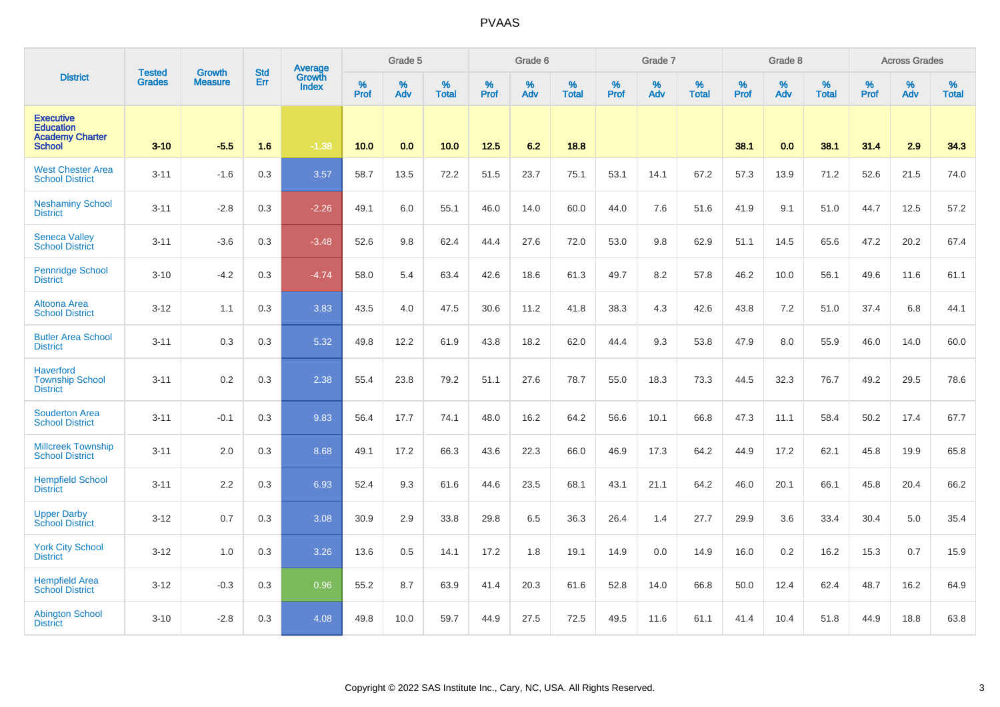|                                                                                 | <b>Tested</b> | <b>Growth</b>  | <b>Std</b> | Average<br>Growth |              | Grade 5  |                      |           | Grade 6  |                   |                  | Grade 7  |                   |              | Grade 8     |                   |                  | <b>Across Grades</b> |                   |
|---------------------------------------------------------------------------------|---------------|----------------|------------|-------------------|--------------|----------|----------------------|-----------|----------|-------------------|------------------|----------|-------------------|--------------|-------------|-------------------|------------------|----------------------|-------------------|
| <b>District</b>                                                                 | <b>Grades</b> | <b>Measure</b> | Err        | <b>Index</b>      | $\%$<br>Prof | %<br>Adv | $\%$<br><b>Total</b> | %<br>Prof | %<br>Adv | %<br><b>Total</b> | %<br><b>Prof</b> | %<br>Adv | %<br><b>Total</b> | $\%$<br>Prof | $\%$<br>Adv | %<br><b>Total</b> | %<br><b>Prof</b> | %<br>Adv             | %<br><b>Total</b> |
| <b>Executive</b><br><b>Education</b><br><b>Academy Charter</b><br><b>School</b> | $3 - 10$      | $-5.5$         | 1.6        | $-1.38$           | 10.0         | 0.0      | 10.0                 | 12.5      | 6.2      | 18.8              |                  |          |                   | 38.1         | 0.0         | 38.1              | 31.4             | 2.9                  | 34.3              |
| <b>West Chester Area</b><br><b>School District</b>                              | $3 - 11$      | $-1.6$         | 0.3        | 3.57              | 58.7         | 13.5     | 72.2                 | 51.5      | 23.7     | 75.1              | 53.1             | 14.1     | 67.2              | 57.3         | 13.9        | 71.2              | 52.6             | 21.5                 | 74.0              |
| <b>Neshaminy School</b><br><b>District</b>                                      | $3 - 11$      | $-2.8$         | 0.3        | $-2.26$           | 49.1         | 6.0      | 55.1                 | 46.0      | 14.0     | 60.0              | 44.0             | 7.6      | 51.6              | 41.9         | 9.1         | 51.0              | 44.7             | 12.5                 | 57.2              |
| <b>Seneca Valley</b><br><b>School District</b>                                  | $3 - 11$      | $-3.6$         | 0.3        | $-3.48$           | 52.6         | 9.8      | 62.4                 | 44.4      | 27.6     | 72.0              | 53.0             | 9.8      | 62.9              | 51.1         | 14.5        | 65.6              | 47.2             | 20.2                 | 67.4              |
| <b>Pennridge School</b><br><b>District</b>                                      | $3 - 10$      | $-4.2$         | 0.3        | $-4.74$           | 58.0         | 5.4      | 63.4                 | 42.6      | 18.6     | 61.3              | 49.7             | 8.2      | 57.8              | 46.2         | 10.0        | 56.1              | 49.6             | 11.6                 | 61.1              |
| <b>Altoona Area</b><br><b>School District</b>                                   | $3 - 12$      | 1.1            | 0.3        | 3.83              | 43.5         | 4.0      | 47.5                 | 30.6      | 11.2     | 41.8              | 38.3             | 4.3      | 42.6              | 43.8         | 7.2         | 51.0              | 37.4             | 6.8                  | 44.1              |
| <b>Butler Area School</b><br><b>District</b>                                    | $3 - 11$      | 0.3            | 0.3        | 5.32              | 49.8         | 12.2     | 61.9                 | 43.8      | 18.2     | 62.0              | 44.4             | 9.3      | 53.8              | 47.9         | 8.0         | 55.9              | 46.0             | 14.0                 | 60.0              |
| <b>Haverford</b><br><b>Township School</b><br><b>District</b>                   | $3 - 11$      | 0.2            | 0.3        | 2.38              | 55.4         | 23.8     | 79.2                 | 51.1      | 27.6     | 78.7              | 55.0             | 18.3     | 73.3              | 44.5         | 32.3        | 76.7              | 49.2             | 29.5                 | 78.6              |
| <b>Souderton Area</b><br><b>School District</b>                                 | $3 - 11$      | $-0.1$         | 0.3        | 9.83              | 56.4         | 17.7     | 74.1                 | 48.0      | 16.2     | 64.2              | 56.6             | 10.1     | 66.8              | 47.3         | 11.1        | 58.4              | 50.2             | 17.4                 | 67.7              |
| <b>Millcreek Township</b><br><b>School District</b>                             | $3 - 11$      | 2.0            | 0.3        | 8.68              | 49.1         | 17.2     | 66.3                 | 43.6      | 22.3     | 66.0              | 46.9             | 17.3     | 64.2              | 44.9         | 17.2        | 62.1              | 45.8             | 19.9                 | 65.8              |
| <b>Hempfield School</b><br><b>District</b>                                      | $3 - 11$      | 2.2            | 0.3        | 6.93              | 52.4         | 9.3      | 61.6                 | 44.6      | 23.5     | 68.1              | 43.1             | 21.1     | 64.2              | 46.0         | 20.1        | 66.1              | 45.8             | 20.4                 | 66.2              |
| <b>Upper Darby</b><br><b>School District</b>                                    | $3 - 12$      | 0.7            | 0.3        | 3.08              | 30.9         | 2.9      | 33.8                 | 29.8      | 6.5      | 36.3              | 26.4             | 1.4      | 27.7              | 29.9         | 3.6         | 33.4              | 30.4             | 5.0                  | 35.4              |
| <b>York City School</b><br><b>District</b>                                      | $3 - 12$      | 1.0            | 0.3        | 3.26              | 13.6         | 0.5      | 14.1                 | 17.2      | 1.8      | 19.1              | 14.9             | 0.0      | 14.9              | 16.0         | 0.2         | 16.2              | 15.3             | 0.7                  | 15.9              |
| <b>Hempfield Area</b><br><b>School District</b>                                 | $3 - 12$      | $-0.3$         | 0.3        | 0.96              | 55.2         | 8.7      | 63.9                 | 41.4      | 20.3     | 61.6              | 52.8             | 14.0     | 66.8              | 50.0         | 12.4        | 62.4              | 48.7             | 16.2                 | 64.9              |
| <b>Abington School</b><br><b>District</b>                                       | $3 - 10$      | $-2.8$         | 0.3        | 4.08              | 49.8         | 10.0     | 59.7                 | 44.9      | 27.5     | 72.5              | 49.5             | 11.6     | 61.1              | 41.4         | 10.4        | 51.8              | 44.9             | 18.8                 | 63.8              |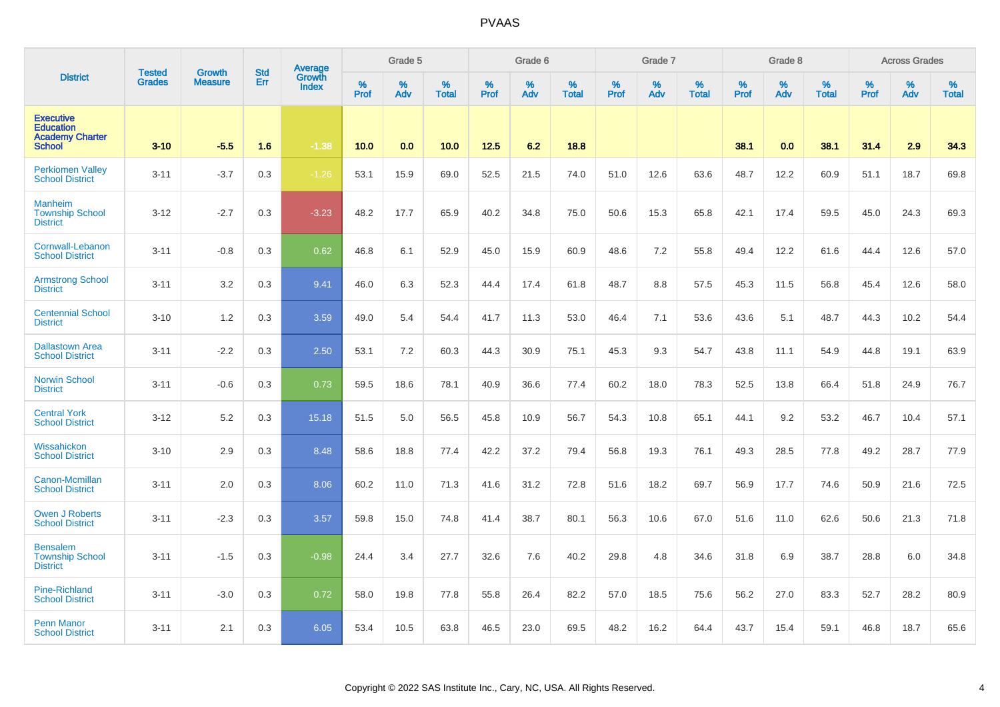|                                                                                 | <b>Tested</b> | <b>Growth</b>  | <b>Std</b> | Average<br>Growth |                     | Grade 5  |                   |           | Grade 6  |                   |           | Grade 7  |                   |           | Grade 8  |                   |           | <b>Across Grades</b> |                   |
|---------------------------------------------------------------------------------|---------------|----------------|------------|-------------------|---------------------|----------|-------------------|-----------|----------|-------------------|-----------|----------|-------------------|-----------|----------|-------------------|-----------|----------------------|-------------------|
| <b>District</b>                                                                 | <b>Grades</b> | <b>Measure</b> | Err        | <b>Index</b>      | $\%$<br><b>Prof</b> | %<br>Adv | %<br><b>Total</b> | %<br>Prof | %<br>Adv | %<br><b>Total</b> | %<br>Prof | %<br>Adv | %<br><b>Total</b> | %<br>Prof | %<br>Adv | %<br><b>Total</b> | %<br>Prof | %<br>Adv             | %<br><b>Total</b> |
| <b>Executive</b><br><b>Education</b><br><b>Academy Charter</b><br><b>School</b> | $3 - 10$      | $-5.5$         | 1.6        | $-1.38$           | 10.0                | 0.0      | 10.0              | 12.5      | 6.2      | 18.8              |           |          |                   | 38.1      | 0.0      | 38.1              | 31.4      | 2.9                  | 34.3              |
| <b>Perkiomen Valley</b><br><b>School District</b>                               | $3 - 11$      | $-3.7$         | 0.3        | $-1.26$           | 53.1                | 15.9     | 69.0              | 52.5      | 21.5     | 74.0              | 51.0      | 12.6     | 63.6              | 48.7      | 12.2     | 60.9              | 51.1      | 18.7                 | 69.8              |
| <b>Manheim</b><br><b>Township School</b><br><b>District</b>                     | $3 - 12$      | $-2.7$         | 0.3        | $-3.23$           | 48.2                | 17.7     | 65.9              | 40.2      | 34.8     | 75.0              | 50.6      | 15.3     | 65.8              | 42.1      | 17.4     | 59.5              | 45.0      | 24.3                 | 69.3              |
| <b>Cornwall-Lebanon</b><br><b>School District</b>                               | $3 - 11$      | $-0.8$         | 0.3        | 0.62              | 46.8                | 6.1      | 52.9              | 45.0      | 15.9     | 60.9              | 48.6      | 7.2      | 55.8              | 49.4      | 12.2     | 61.6              | 44.4      | 12.6                 | 57.0              |
| <b>Armstrong School</b><br><b>District</b>                                      | $3 - 11$      | 3.2            | 0.3        | 9.41              | 46.0                | 6.3      | 52.3              | 44.4      | 17.4     | 61.8              | 48.7      | 8.8      | 57.5              | 45.3      | 11.5     | 56.8              | 45.4      | 12.6                 | 58.0              |
| <b>Centennial School</b><br><b>District</b>                                     | $3 - 10$      | 1.2            | 0.3        | 3.59              | 49.0                | 5.4      | 54.4              | 41.7      | 11.3     | 53.0              | 46.4      | 7.1      | 53.6              | 43.6      | 5.1      | 48.7              | 44.3      | 10.2                 | 54.4              |
| <b>Dallastown Area</b><br><b>School District</b>                                | $3 - 11$      | $-2.2$         | 0.3        | 2.50              | 53.1                | 7.2      | 60.3              | 44.3      | 30.9     | 75.1              | 45.3      | 9.3      | 54.7              | 43.8      | 11.1     | 54.9              | 44.8      | 19.1                 | 63.9              |
| <b>Norwin School</b><br><b>District</b>                                         | $3 - 11$      | $-0.6$         | 0.3        | 0.73              | 59.5                | 18.6     | 78.1              | 40.9      | 36.6     | 77.4              | 60.2      | 18.0     | 78.3              | 52.5      | 13.8     | 66.4              | 51.8      | 24.9                 | 76.7              |
| <b>Central York</b><br><b>School District</b>                                   | $3 - 12$      | 5.2            | 0.3        | 15.18             | 51.5                | 5.0      | 56.5              | 45.8      | 10.9     | 56.7              | 54.3      | 10.8     | 65.1              | 44.1      | 9.2      | 53.2              | 46.7      | 10.4                 | 57.1              |
| Wissahickon<br><b>School District</b>                                           | $3 - 10$      | 2.9            | 0.3        | 8.48              | 58.6                | 18.8     | 77.4              | 42.2      | 37.2     | 79.4              | 56.8      | 19.3     | 76.1              | 49.3      | 28.5     | 77.8              | 49.2      | 28.7                 | 77.9              |
| Canon-Mcmillan<br><b>School District</b>                                        | $3 - 11$      | 2.0            | 0.3        | 8.06              | 60.2                | 11.0     | 71.3              | 41.6      | 31.2     | 72.8              | 51.6      | 18.2     | 69.7              | 56.9      | 17.7     | 74.6              | 50.9      | 21.6                 | 72.5              |
| <b>Owen J Roberts</b><br><b>School District</b>                                 | $3 - 11$      | $-2.3$         | 0.3        | 3.57              | 59.8                | 15.0     | 74.8              | 41.4      | 38.7     | 80.1              | 56.3      | 10.6     | 67.0              | 51.6      | 11.0     | 62.6              | 50.6      | 21.3                 | 71.8              |
| <b>Bensalem</b><br><b>Township School</b><br><b>District</b>                    | $3 - 11$      | $-1.5$         | 0.3        | $-0.98$           | 24.4                | 3.4      | 27.7              | 32.6      | 7.6      | 40.2              | 29.8      | 4.8      | 34.6              | 31.8      | 6.9      | 38.7              | 28.8      | 6.0                  | 34.8              |
| Pine-Richland<br><b>School District</b>                                         | $3 - 11$      | $-3.0$         | 0.3        | 0.72              | 58.0                | 19.8     | 77.8              | 55.8      | 26.4     | 82.2              | 57.0      | 18.5     | 75.6              | 56.2      | 27.0     | 83.3              | 52.7      | 28.2                 | 80.9              |
| <b>Penn Manor</b><br><b>School District</b>                                     | $3 - 11$      | 2.1            | 0.3        | 6.05              | 53.4                | 10.5     | 63.8              | 46.5      | 23.0     | 69.5              | 48.2      | 16.2     | 64.4              | 43.7      | 15.4     | 59.1              | 46.8      | 18.7                 | 65.6              |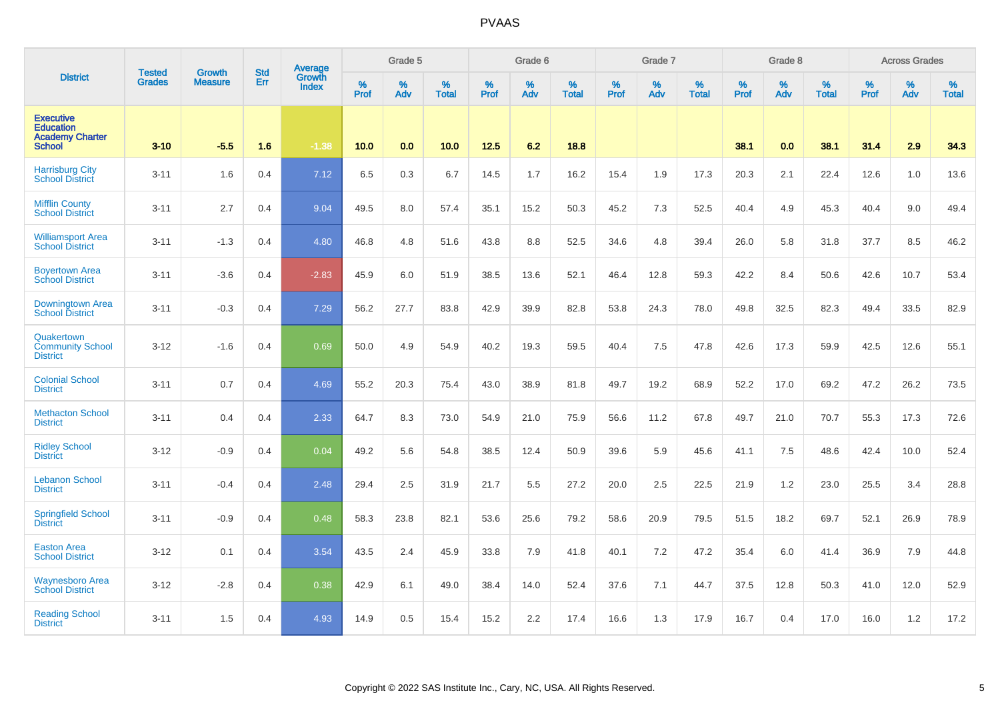|                                                                                 | <b>Tested</b> | <b>Growth</b>  | <b>Std</b> | Average<br>Growth |              | Grade 5  |                   |           | Grade 6  |                   |                  | Grade 7  |                   |                     | Grade 8     |                   |                  | <b>Across Grades</b> |                   |
|---------------------------------------------------------------------------------|---------------|----------------|------------|-------------------|--------------|----------|-------------------|-----------|----------|-------------------|------------------|----------|-------------------|---------------------|-------------|-------------------|------------------|----------------------|-------------------|
| <b>District</b>                                                                 | <b>Grades</b> | <b>Measure</b> | Err        | <b>Index</b>      | $\%$<br>Prof | %<br>Adv | %<br><b>Total</b> | %<br>Prof | %<br>Adv | %<br><b>Total</b> | %<br><b>Prof</b> | %<br>Adv | %<br><b>Total</b> | $\%$<br><b>Prof</b> | $\%$<br>Adv | %<br><b>Total</b> | %<br><b>Prof</b> | %<br>Adv             | %<br><b>Total</b> |
| <b>Executive</b><br><b>Education</b><br><b>Academy Charter</b><br><b>School</b> | $3 - 10$      | $-5.5$         | 1.6        | $-1.38$           | 10.0         | 0.0      | 10.0              | 12.5      | 6.2      | 18.8              |                  |          |                   | 38.1                | 0.0         | 38.1              | 31.4             | 2.9                  | 34.3              |
| <b>Harrisburg City</b><br><b>School District</b>                                | $3 - 11$      | 1.6            | 0.4        | 7.12              | 6.5          | 0.3      | 6.7               | 14.5      | 1.7      | 16.2              | 15.4             | 1.9      | 17.3              | 20.3                | 2.1         | 22.4              | 12.6             | 1.0                  | 13.6              |
| <b>Mifflin County</b><br><b>School District</b>                                 | $3 - 11$      | 2.7            | 0.4        | 9.04              | 49.5         | 8.0      | 57.4              | 35.1      | 15.2     | 50.3              | 45.2             | 7.3      | 52.5              | 40.4                | 4.9         | 45.3              | 40.4             | 9.0                  | 49.4              |
| <b>Williamsport Area</b><br><b>School District</b>                              | $3 - 11$      | $-1.3$         | 0.4        | 4.80              | 46.8         | 4.8      | 51.6              | 43.8      | 8.8      | 52.5              | 34.6             | 4.8      | 39.4              | 26.0                | 5.8         | 31.8              | 37.7             | 8.5                  | 46.2              |
| <b>Boyertown Area</b><br><b>School District</b>                                 | $3 - 11$      | $-3.6$         | 0.4        | $-2.83$           | 45.9         | 6.0      | 51.9              | 38.5      | 13.6     | 52.1              | 46.4             | 12.8     | 59.3              | 42.2                | 8.4         | 50.6              | 42.6             | 10.7                 | 53.4              |
| Downingtown Area<br><b>School District</b>                                      | $3 - 11$      | $-0.3$         | 0.4        | 7.29              | 56.2         | 27.7     | 83.8              | 42.9      | 39.9     | 82.8              | 53.8             | 24.3     | 78.0              | 49.8                | 32.5        | 82.3              | 49.4             | 33.5                 | 82.9              |
| Quakertown<br><b>Community School</b><br><b>District</b>                        | $3 - 12$      | $-1.6$         | 0.4        | 0.69              | 50.0         | 4.9      | 54.9              | 40.2      | 19.3     | 59.5              | 40.4             | 7.5      | 47.8              | 42.6                | 17.3        | 59.9              | 42.5             | 12.6                 | 55.1              |
| <b>Colonial School</b><br><b>District</b>                                       | $3 - 11$      | 0.7            | 0.4        | 4.69              | 55.2         | 20.3     | 75.4              | 43.0      | 38.9     | 81.8              | 49.7             | 19.2     | 68.9              | 52.2                | 17.0        | 69.2              | 47.2             | 26.2                 | 73.5              |
| <b>Methacton School</b><br><b>District</b>                                      | $3 - 11$      | 0.4            | 0.4        | 2.33              | 64.7         | 8.3      | 73.0              | 54.9      | 21.0     | 75.9              | 56.6             | 11.2     | 67.8              | 49.7                | 21.0        | 70.7              | 55.3             | 17.3                 | 72.6              |
| <b>Ridley School</b><br><b>District</b>                                         | $3 - 12$      | $-0.9$         | 0.4        | 0.04              | 49.2         | 5.6      | 54.8              | 38.5      | 12.4     | 50.9              | 39.6             | 5.9      | 45.6              | 41.1                | 7.5         | 48.6              | 42.4             | 10.0                 | 52.4              |
| <b>Lebanon School</b><br><b>District</b>                                        | $3 - 11$      | $-0.4$         | 0.4        | 2.48              | 29.4         | 2.5      | 31.9              | 21.7      | 5.5      | 27.2              | 20.0             | 2.5      | 22.5              | 21.9                | 1.2         | 23.0              | 25.5             | 3.4                  | 28.8              |
| <b>Springfield School</b><br><b>District</b>                                    | $3 - 11$      | $-0.9$         | 0.4        | 0.48              | 58.3         | 23.8     | 82.1              | 53.6      | 25.6     | 79.2              | 58.6             | 20.9     | 79.5              | 51.5                | 18.2        | 69.7              | 52.1             | 26.9                 | 78.9              |
| <b>Easton Area</b><br><b>School District</b>                                    | $3 - 12$      | 0.1            | 0.4        | 3.54              | 43.5         | 2.4      | 45.9              | 33.8      | 7.9      | 41.8              | 40.1             | 7.2      | 47.2              | 35.4                | 6.0         | 41.4              | 36.9             | 7.9                  | 44.8              |
| <b>Waynesboro Area</b><br><b>School District</b>                                | $3 - 12$      | $-2.8$         | 0.4        | 0.38              | 42.9         | 6.1      | 49.0              | 38.4      | 14.0     | 52.4              | 37.6             | 7.1      | 44.7              | 37.5                | 12.8        | 50.3              | 41.0             | 12.0                 | 52.9              |
| <b>Reading School</b><br><b>District</b>                                        | $3 - 11$      | 1.5            | 0.4        | 4.93              | 14.9         | 0.5      | 15.4              | 15.2      | 2.2      | 17.4              | 16.6             | 1.3      | 17.9              | 16.7                | 0.4         | 17.0              | 16.0             | 1.2                  | 17.2              |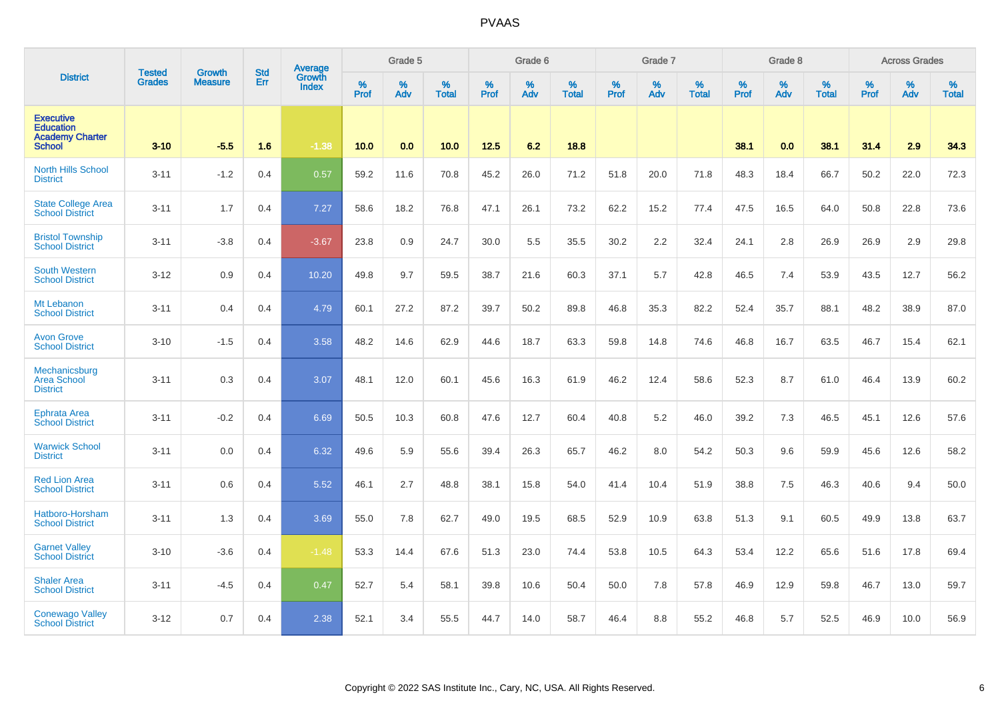|                                                                                 | <b>Tested</b> | <b>Growth</b>  | <b>Std</b> | <b>Average</b>                |                     | Grade 5  |                   |                  | Grade 6  |                   |           | Grade 7  |                   |           | Grade 8  |                   |                  | <b>Across Grades</b> |                   |
|---------------------------------------------------------------------------------|---------------|----------------|------------|-------------------------------|---------------------|----------|-------------------|------------------|----------|-------------------|-----------|----------|-------------------|-----------|----------|-------------------|------------------|----------------------|-------------------|
| <b>District</b>                                                                 | <b>Grades</b> | <b>Measure</b> | Err        | <b>Growth</b><br><b>Index</b> | $\%$<br><b>Prof</b> | %<br>Adv | %<br><b>Total</b> | %<br><b>Prof</b> | %<br>Adv | %<br><b>Total</b> | %<br>Prof | %<br>Adv | %<br><b>Total</b> | %<br>Prof | %<br>Adv | %<br><b>Total</b> | %<br><b>Prof</b> | %<br>Adv             | %<br><b>Total</b> |
| <b>Executive</b><br><b>Education</b><br><b>Academy Charter</b><br><b>School</b> | $3 - 10$      | $-5.5$         | 1.6        | $-1.38$                       | 10.0                | 0.0      | 10.0              | 12.5             | 6.2      | 18.8              |           |          |                   | 38.1      | 0.0      | 38.1              | 31.4             | 2.9                  | 34.3              |
| <b>North Hills School</b><br><b>District</b>                                    | $3 - 11$      | $-1.2$         | 0.4        | 0.57                          | 59.2                | 11.6     | 70.8              | 45.2             | 26.0     | 71.2              | 51.8      | 20.0     | 71.8              | 48.3      | 18.4     | 66.7              | 50.2             | 22.0                 | 72.3              |
| <b>State College Area</b><br><b>School District</b>                             | $3 - 11$      | 1.7            | 0.4        | 7.27                          | 58.6                | 18.2     | 76.8              | 47.1             | 26.1     | 73.2              | 62.2      | 15.2     | 77.4              | 47.5      | 16.5     | 64.0              | 50.8             | 22.8                 | 73.6              |
| <b>Bristol Township</b><br><b>School District</b>                               | $3 - 11$      | $-3.8$         | 0.4        | $-3.67$                       | 23.8                | 0.9      | 24.7              | 30.0             | 5.5      | 35.5              | 30.2      | 2.2      | 32.4              | 24.1      | 2.8      | 26.9              | 26.9             | 2.9                  | 29.8              |
| <b>South Western</b><br><b>School District</b>                                  | $3 - 12$      | 0.9            | 0.4        | 10.20                         | 49.8                | 9.7      | 59.5              | 38.7             | 21.6     | 60.3              | 37.1      | 5.7      | 42.8              | 46.5      | 7.4      | 53.9              | 43.5             | 12.7                 | 56.2              |
| Mt Lebanon<br><b>School District</b>                                            | $3 - 11$      | 0.4            | 0.4        | 4.79                          | 60.1                | 27.2     | 87.2              | 39.7             | 50.2     | 89.8              | 46.8      | 35.3     | 82.2              | 52.4      | 35.7     | 88.1              | 48.2             | 38.9                 | 87.0              |
| <b>Avon Grove</b><br><b>School District</b>                                     | $3 - 10$      | $-1.5$         | 0.4        | 3.58                          | 48.2                | 14.6     | 62.9              | 44.6             | 18.7     | 63.3              | 59.8      | 14.8     | 74.6              | 46.8      | 16.7     | 63.5              | 46.7             | 15.4                 | 62.1              |
| Mechanicsburg<br><b>Area School</b><br><b>District</b>                          | $3 - 11$      | 0.3            | 0.4        | 3.07                          | 48.1                | 12.0     | 60.1              | 45.6             | 16.3     | 61.9              | 46.2      | 12.4     | 58.6              | 52.3      | 8.7      | 61.0              | 46.4             | 13.9                 | 60.2              |
| <b>Ephrata Area</b><br><b>School District</b>                                   | $3 - 11$      | $-0.2$         | 0.4        | 6.69                          | 50.5                | 10.3     | 60.8              | 47.6             | 12.7     | 60.4              | 40.8      | 5.2      | 46.0              | 39.2      | 7.3      | 46.5              | 45.1             | 12.6                 | 57.6              |
| <b>Warwick School</b><br><b>District</b>                                        | $3 - 11$      | 0.0            | 0.4        | 6.32                          | 49.6                | 5.9      | 55.6              | 39.4             | 26.3     | 65.7              | 46.2      | 8.0      | 54.2              | 50.3      | 9.6      | 59.9              | 45.6             | 12.6                 | 58.2              |
| <b>Red Lion Area</b><br><b>School District</b>                                  | $3 - 11$      | 0.6            | 0.4        | 5.52                          | 46.1                | 2.7      | 48.8              | 38.1             | 15.8     | 54.0              | 41.4      | 10.4     | 51.9              | 38.8      | 7.5      | 46.3              | 40.6             | 9.4                  | 50.0              |
| Hatboro-Horsham<br><b>School District</b>                                       | $3 - 11$      | 1.3            | 0.4        | 3.69                          | 55.0                | 7.8      | 62.7              | 49.0             | 19.5     | 68.5              | 52.9      | 10.9     | 63.8              | 51.3      | 9.1      | 60.5              | 49.9             | 13.8                 | 63.7              |
| <b>Garnet Valley</b><br><b>School District</b>                                  | $3 - 10$      | $-3.6$         | 0.4        | $-1.48$                       | 53.3                | 14.4     | 67.6              | 51.3             | 23.0     | 74.4              | 53.8      | 10.5     | 64.3              | 53.4      | 12.2     | 65.6              | 51.6             | 17.8                 | 69.4              |
| <b>Shaler Area</b><br><b>School District</b>                                    | $3 - 11$      | $-4.5$         | 0.4        | 0.47                          | 52.7                | 5.4      | 58.1              | 39.8             | 10.6     | 50.4              | 50.0      | 7.8      | 57.8              | 46.9      | 12.9     | 59.8              | 46.7             | 13.0                 | 59.7              |
| <b>Conewago Valley</b><br><b>School District</b>                                | $3 - 12$      | 0.7            | 0.4        | 2.38                          | 52.1                | 3.4      | 55.5              | 44.7             | 14.0     | 58.7              | 46.4      | 8.8      | 55.2              | 46.8      | 5.7      | 52.5              | 46.9             | 10.0                 | 56.9              |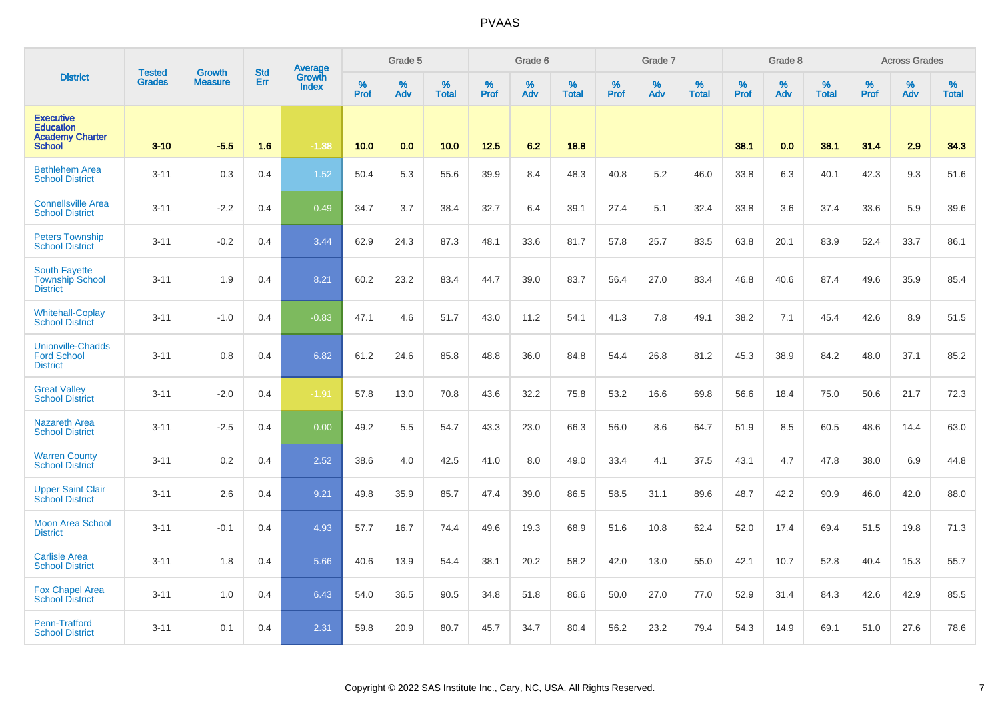|                                                                                 | <b>Tested</b> | <b>Growth</b>  | <b>Std</b> | Average<br>Growth |                  | Grade 5  |                   |           | Grade 6  |                   |           | Grade 7  |                   |           | Grade 8  |                   |           | <b>Across Grades</b> |                   |
|---------------------------------------------------------------------------------|---------------|----------------|------------|-------------------|------------------|----------|-------------------|-----------|----------|-------------------|-----------|----------|-------------------|-----------|----------|-------------------|-----------|----------------------|-------------------|
| <b>District</b>                                                                 | <b>Grades</b> | <b>Measure</b> | Err        | <b>Index</b>      | %<br><b>Prof</b> | %<br>Adv | %<br><b>Total</b> | %<br>Prof | %<br>Adv | %<br><b>Total</b> | %<br>Prof | %<br>Adv | %<br><b>Total</b> | %<br>Prof | %<br>Adv | %<br><b>Total</b> | %<br>Prof | %<br>Adv             | %<br><b>Total</b> |
| <b>Executive</b><br><b>Education</b><br><b>Academy Charter</b><br><b>School</b> | $3 - 10$      | $-5.5$         | 1.6        | $-1.38$           | 10.0             | 0.0      | 10.0              | 12.5      | 6.2      | 18.8              |           |          |                   | 38.1      | 0.0      | 38.1              | 31.4      | 2.9                  | 34.3              |
| <b>Bethlehem Area</b><br><b>School District</b>                                 | $3 - 11$      | 0.3            | 0.4        | 1.52              | 50.4             | 5.3      | 55.6              | 39.9      | 8.4      | 48.3              | 40.8      | 5.2      | 46.0              | 33.8      | 6.3      | 40.1              | 42.3      | 9.3                  | 51.6              |
| <b>Connellsville Area</b><br><b>School District</b>                             | $3 - 11$      | $-2.2$         | 0.4        | 0.49              | 34.7             | 3.7      | 38.4              | 32.7      | 6.4      | 39.1              | 27.4      | 5.1      | 32.4              | 33.8      | 3.6      | 37.4              | 33.6      | 5.9                  | 39.6              |
| <b>Peters Township</b><br><b>School District</b>                                | $3 - 11$      | $-0.2$         | 0.4        | 3.44              | 62.9             | 24.3     | 87.3              | 48.1      | 33.6     | 81.7              | 57.8      | 25.7     | 83.5              | 63.8      | 20.1     | 83.9              | 52.4      | 33.7                 | 86.1              |
| <b>South Fayette</b><br><b>Township School</b><br><b>District</b>               | $3 - 11$      | 1.9            | 0.4        | 8.21              | 60.2             | 23.2     | 83.4              | 44.7      | 39.0     | 83.7              | 56.4      | 27.0     | 83.4              | 46.8      | 40.6     | 87.4              | 49.6      | 35.9                 | 85.4              |
| <b>Whitehall-Coplay</b><br><b>School District</b>                               | $3 - 11$      | $-1.0$         | 0.4        | $-0.83$           | 47.1             | 4.6      | 51.7              | 43.0      | 11.2     | 54.1              | 41.3      | 7.8      | 49.1              | 38.2      | 7.1      | 45.4              | 42.6      | 8.9                  | 51.5              |
| <b>Unionville-Chadds</b><br><b>Ford School</b><br><b>District</b>               | $3 - 11$      | 0.8            | 0.4        | 6.82              | 61.2             | 24.6     | 85.8              | 48.8      | 36.0     | 84.8              | 54.4      | 26.8     | 81.2              | 45.3      | 38.9     | 84.2              | 48.0      | 37.1                 | 85.2              |
| <b>Great Valley</b><br><b>School District</b>                                   | $3 - 11$      | $-2.0$         | 0.4        | $-1.91$           | 57.8             | 13.0     | 70.8              | 43.6      | 32.2     | 75.8              | 53.2      | 16.6     | 69.8              | 56.6      | 18.4     | 75.0              | 50.6      | 21.7                 | 72.3              |
| <b>Nazareth Area</b><br><b>School District</b>                                  | $3 - 11$      | $-2.5$         | 0.4        | 0.00              | 49.2             | 5.5      | 54.7              | 43.3      | 23.0     | 66.3              | 56.0      | 8.6      | 64.7              | 51.9      | 8.5      | 60.5              | 48.6      | 14.4                 | 63.0              |
| <b>Warren County</b><br><b>School District</b>                                  | $3 - 11$      | 0.2            | 0.4        | 2.52              | 38.6             | 4.0      | 42.5              | 41.0      | 8.0      | 49.0              | 33.4      | 4.1      | 37.5              | 43.1      | 4.7      | 47.8              | 38.0      | 6.9                  | 44.8              |
| <b>Upper Saint Clair</b><br><b>School District</b>                              | $3 - 11$      | 2.6            | 0.4        | 9.21              | 49.8             | 35.9     | 85.7              | 47.4      | 39.0     | 86.5              | 58.5      | 31.1     | 89.6              | 48.7      | 42.2     | 90.9              | 46.0      | 42.0                 | 88.0              |
| <b>Moon Area School</b><br><b>District</b>                                      | $3 - 11$      | $-0.1$         | 0.4        | 4.93              | 57.7             | 16.7     | 74.4              | 49.6      | 19.3     | 68.9              | 51.6      | 10.8     | 62.4              | 52.0      | 17.4     | 69.4              | 51.5      | 19.8                 | 71.3              |
| <b>Carlisle Area</b><br><b>School District</b>                                  | $3 - 11$      | 1.8            | 0.4        | 5.66              | 40.6             | 13.9     | 54.4              | 38.1      | 20.2     | 58.2              | 42.0      | 13.0     | 55.0              | 42.1      | 10.7     | 52.8              | 40.4      | 15.3                 | 55.7              |
| <b>Fox Chapel Area</b><br><b>School District</b>                                | $3 - 11$      | 1.0            | 0.4        | 6.43              | 54.0             | 36.5     | 90.5              | 34.8      | 51.8     | 86.6              | 50.0      | 27.0     | 77.0              | 52.9      | 31.4     | 84.3              | 42.6      | 42.9                 | 85.5              |
| Penn-Trafford<br><b>School District</b>                                         | $3 - 11$      | 0.1            | 0.4        | 2.31              | 59.8             | 20.9     | 80.7              | 45.7      | 34.7     | 80.4              | 56.2      | 23.2     | 79.4              | 54.3      | 14.9     | 69.1              | 51.0      | 27.6                 | 78.6              |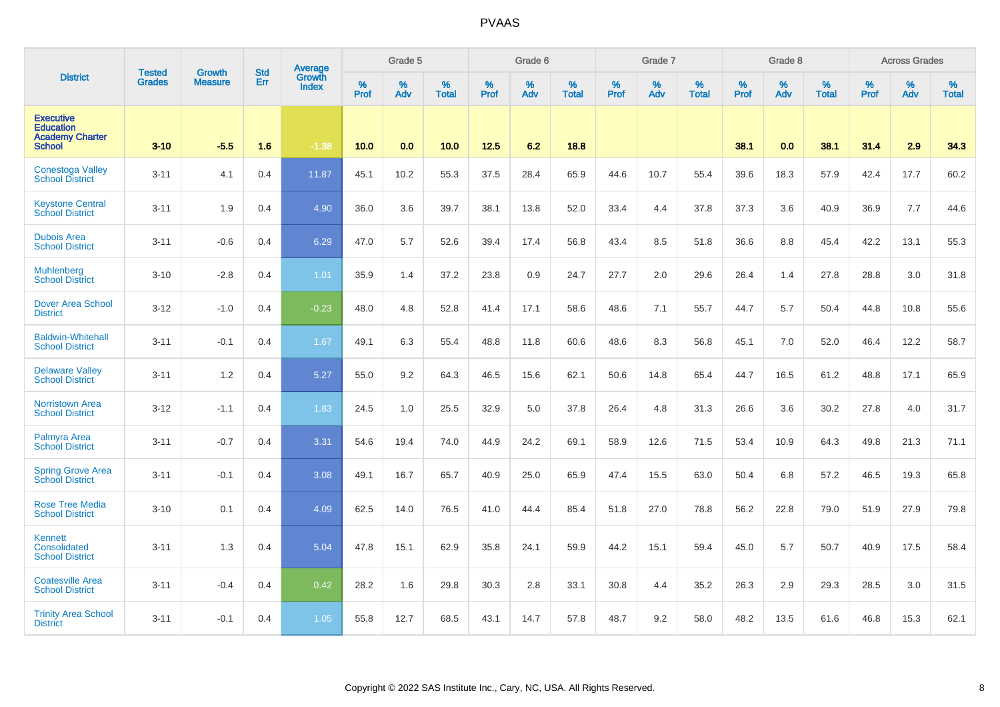|                                                                                 | <b>Tested</b> | <b>Growth</b>  | <b>Std</b> | Average                |           | Grade 5  |                   |           | Grade 6  |                   |           | Grade 7  |                   |           | Grade 8     |                   |                  | <b>Across Grades</b> |                   |
|---------------------------------------------------------------------------------|---------------|----------------|------------|------------------------|-----------|----------|-------------------|-----------|----------|-------------------|-----------|----------|-------------------|-----------|-------------|-------------------|------------------|----------------------|-------------------|
| <b>District</b>                                                                 | <b>Grades</b> | <b>Measure</b> | Err        | Growth<br><b>Index</b> | %<br>Prof | %<br>Adv | %<br><b>Total</b> | %<br>Prof | %<br>Adv | %<br><b>Total</b> | %<br>Prof | %<br>Adv | %<br><b>Total</b> | %<br>Prof | $\%$<br>Adv | %<br><b>Total</b> | %<br><b>Prof</b> | %<br>Adv             | %<br><b>Total</b> |
| <b>Executive</b><br><b>Education</b><br><b>Academy Charter</b><br><b>School</b> | $3 - 10$      | $-5.5$         | 1.6        | $-1.38$                | 10.0      | 0.0      | 10.0              | 12.5      | 6.2      | 18.8              |           |          |                   | 38.1      | 0.0         | 38.1              | 31.4             | 2.9                  | 34.3              |
| <b>Conestoga Valley</b><br><b>School District</b>                               | $3 - 11$      | 4.1            | 0.4        | 11.87                  | 45.1      | 10.2     | 55.3              | 37.5      | 28.4     | 65.9              | 44.6      | 10.7     | 55.4              | 39.6      | 18.3        | 57.9              | 42.4             | 17.7                 | 60.2              |
| <b>Keystone Central</b><br><b>School District</b>                               | $3 - 11$      | 1.9            | 0.4        | 4.90                   | 36.0      | 3.6      | 39.7              | 38.1      | 13.8     | 52.0              | 33.4      | 4.4      | 37.8              | 37.3      | 3.6         | 40.9              | 36.9             | 7.7                  | 44.6              |
| <b>Dubois Area</b><br><b>School District</b>                                    | $3 - 11$      | $-0.6$         | 0.4        | 6.29                   | 47.0      | 5.7      | 52.6              | 39.4      | 17.4     | 56.8              | 43.4      | 8.5      | 51.8              | 36.6      | 8.8         | 45.4              | 42.2             | 13.1                 | 55.3              |
| <b>Muhlenberg</b><br><b>School District</b>                                     | $3 - 10$      | $-2.8$         | 0.4        | 1.01                   | 35.9      | 1.4      | 37.2              | 23.8      | 0.9      | 24.7              | 27.7      | 2.0      | 29.6              | 26.4      | 1.4         | 27.8              | 28.8             | 3.0                  | 31.8              |
| <b>Dover Area School</b><br><b>District</b>                                     | $3 - 12$      | $-1.0$         | 0.4        | $-0.23$                | 48.0      | 4.8      | 52.8              | 41.4      | 17.1     | 58.6              | 48.6      | 7.1      | 55.7              | 44.7      | 5.7         | 50.4              | 44.8             | 10.8                 | 55.6              |
| <b>Baldwin-Whitehall</b><br><b>School District</b>                              | $3 - 11$      | $-0.1$         | 0.4        | 1.67                   | 49.1      | 6.3      | 55.4              | 48.8      | 11.8     | 60.6              | 48.6      | 8.3      | 56.8              | 45.1      | 7.0         | 52.0              | 46.4             | 12.2                 | 58.7              |
| <b>Delaware Valley</b><br><b>School District</b>                                | $3 - 11$      | 1.2            | 0.4        | 5.27                   | 55.0      | 9.2      | 64.3              | 46.5      | 15.6     | 62.1              | 50.6      | 14.8     | 65.4              | 44.7      | 16.5        | 61.2              | 48.8             | 17.1                 | 65.9              |
| <b>Norristown Area</b><br><b>School District</b>                                | $3 - 12$      | $-1.1$         | 0.4        | 1.83                   | 24.5      | 1.0      | 25.5              | 32.9      | 5.0      | 37.8              | 26.4      | 4.8      | 31.3              | 26.6      | 3.6         | 30.2              | 27.8             | 4.0                  | 31.7              |
| Palmyra Area<br><b>School District</b>                                          | $3 - 11$      | $-0.7$         | 0.4        | 3.31                   | 54.6      | 19.4     | 74.0              | 44.9      | 24.2     | 69.1              | 58.9      | 12.6     | 71.5              | 53.4      | 10.9        | 64.3              | 49.8             | 21.3                 | 71.1              |
| <b>Spring Grove Area</b><br><b>School District</b>                              | $3 - 11$      | $-0.1$         | 0.4        | 3.08                   | 49.1      | 16.7     | 65.7              | 40.9      | 25.0     | 65.9              | 47.4      | 15.5     | 63.0              | 50.4      | 6.8         | 57.2              | 46.5             | 19.3                 | 65.8              |
| <b>Rose Tree Media</b><br><b>School District</b>                                | $3 - 10$      | 0.1            | 0.4        | 4.09                   | 62.5      | 14.0     | 76.5              | 41.0      | 44.4     | 85.4              | 51.8      | 27.0     | 78.8              | 56.2      | 22.8        | 79.0              | 51.9             | 27.9                 | 79.8              |
| Kennett<br>Consolidated<br><b>School District</b>                               | $3 - 11$      | 1.3            | 0.4        | 5.04                   | 47.8      | 15.1     | 62.9              | 35.8      | 24.1     | 59.9              | 44.2      | 15.1     | 59.4              | 45.0      | 5.7         | 50.7              | 40.9             | 17.5                 | 58.4              |
| <b>Coatesville Area</b><br><b>School District</b>                               | $3 - 11$      | $-0.4$         | 0.4        | 0.42                   | 28.2      | 1.6      | 29.8              | 30.3      | 2.8      | 33.1              | 30.8      | 4.4      | 35.2              | 26.3      | 2.9         | 29.3              | 28.5             | 3.0                  | 31.5              |
| <b>Trinity Area School</b><br><b>District</b>                                   | $3 - 11$      | $-0.1$         | 0.4        | 1.05                   | 55.8      | 12.7     | 68.5              | 43.1      | 14.7     | 57.8              | 48.7      | 9.2      | 58.0              | 48.2      | 13.5        | 61.6              | 46.8             | 15.3                 | 62.1              |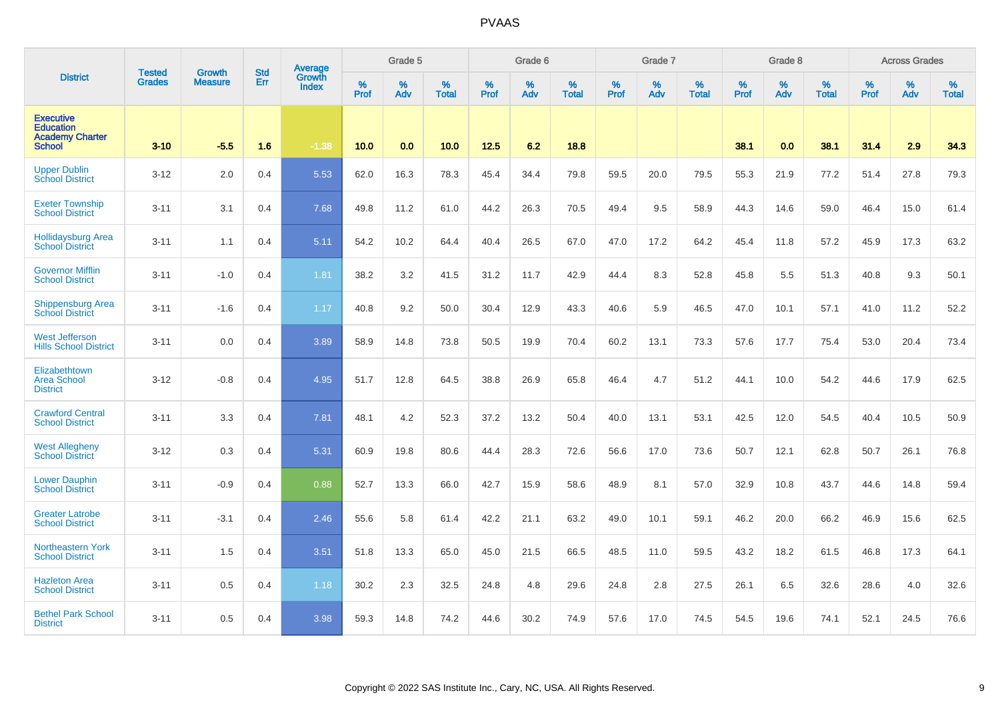|                                                                                 | <b>Tested</b> | <b>Growth</b>  | <b>Std</b> | Average                |           | Grade 5  |                   |           | Grade 6  |                   |                  | Grade 7  |                   |           | Grade 8     |                   |                  | <b>Across Grades</b> |                   |
|---------------------------------------------------------------------------------|---------------|----------------|------------|------------------------|-----------|----------|-------------------|-----------|----------|-------------------|------------------|----------|-------------------|-----------|-------------|-------------------|------------------|----------------------|-------------------|
| <b>District</b>                                                                 | <b>Grades</b> | <b>Measure</b> | Err        | Growth<br><b>Index</b> | %<br>Prof | %<br>Adv | %<br><b>Total</b> | %<br>Prof | %<br>Adv | %<br><b>Total</b> | %<br><b>Prof</b> | %<br>Adv | %<br><b>Total</b> | %<br>Prof | $\%$<br>Adv | %<br><b>Total</b> | %<br><b>Prof</b> | %<br>Adv             | %<br><b>Total</b> |
| <b>Executive</b><br><b>Education</b><br><b>Academy Charter</b><br><b>School</b> | $3 - 10$      | $-5.5$         | 1.6        | $-1.38$                | 10.0      | 0.0      | 10.0              | 12.5      | 6.2      | 18.8              |                  |          |                   | 38.1      | 0.0         | 38.1              | 31.4             | 2.9                  | 34.3              |
| <b>Upper Dublin</b><br><b>School District</b>                                   | $3 - 12$      | 2.0            | 0.4        | 5.53                   | 62.0      | 16.3     | 78.3              | 45.4      | 34.4     | 79.8              | 59.5             | 20.0     | 79.5              | 55.3      | 21.9        | 77.2              | 51.4             | 27.8                 | 79.3              |
| <b>Exeter Township</b><br><b>School District</b>                                | $3 - 11$      | 3.1            | 0.4        | 7.68                   | 49.8      | 11.2     | 61.0              | 44.2      | 26.3     | 70.5              | 49.4             | 9.5      | 58.9              | 44.3      | 14.6        | 59.0              | 46.4             | 15.0                 | 61.4              |
| <b>Hollidaysburg Area</b><br><b>School District</b>                             | $3 - 11$      | 1.1            | 0.4        | 5.11                   | 54.2      | 10.2     | 64.4              | 40.4      | 26.5     | 67.0              | 47.0             | 17.2     | 64.2              | 45.4      | 11.8        | 57.2              | 45.9             | 17.3                 | 63.2              |
| <b>Governor Mifflin</b><br><b>School District</b>                               | $3 - 11$      | $-1.0$         | 0.4        | 1.81                   | 38.2      | 3.2      | 41.5              | 31.2      | 11.7     | 42.9              | 44.4             | 8.3      | 52.8              | 45.8      | 5.5         | 51.3              | 40.8             | 9.3                  | 50.1              |
| <b>Shippensburg Area</b><br><b>School District</b>                              | $3 - 11$      | $-1.6$         | 0.4        | 1.17                   | 40.8      | 9.2      | 50.0              | 30.4      | 12.9     | 43.3              | 40.6             | 5.9      | 46.5              | 47.0      | 10.1        | 57.1              | 41.0             | 11.2                 | 52.2              |
| <b>West Jefferson</b><br><b>Hills School District</b>                           | $3 - 11$      | 0.0            | 0.4        | 3.89                   | 58.9      | 14.8     | 73.8              | 50.5      | 19.9     | 70.4              | 60.2             | 13.1     | 73.3              | 57.6      | 17.7        | 75.4              | 53.0             | 20.4                 | 73.4              |
| Elizabethtown<br><b>Area School</b><br><b>District</b>                          | $3 - 12$      | $-0.8$         | 0.4        | 4.95                   | 51.7      | 12.8     | 64.5              | 38.8      | 26.9     | 65.8              | 46.4             | 4.7      | 51.2              | 44.1      | 10.0        | 54.2              | 44.6             | 17.9                 | 62.5              |
| <b>Crawford Central</b><br><b>School District</b>                               | $3 - 11$      | 3.3            | 0.4        | 7.81                   | 48.1      | 4.2      | 52.3              | 37.2      | 13.2     | 50.4              | 40.0             | 13.1     | 53.1              | 42.5      | 12.0        | 54.5              | 40.4             | 10.5                 | 50.9              |
| <b>West Allegheny</b><br><b>School District</b>                                 | $3 - 12$      | 0.3            | 0.4        | 5.31                   | 60.9      | 19.8     | 80.6              | 44.4      | 28.3     | 72.6              | 56.6             | 17.0     | 73.6              | 50.7      | 12.1        | 62.8              | 50.7             | 26.1                 | 76.8              |
| <b>Lower Dauphin</b><br><b>School District</b>                                  | $3 - 11$      | $-0.9$         | 0.4        | 0.88                   | 52.7      | 13.3     | 66.0              | 42.7      | 15.9     | 58.6              | 48.9             | 8.1      | 57.0              | 32.9      | 10.8        | 43.7              | 44.6             | 14.8                 | 59.4              |
| <b>Greater Latrobe</b><br><b>School District</b>                                | $3 - 11$      | $-3.1$         | 0.4        | 2.46                   | 55.6      | 5.8      | 61.4              | 42.2      | 21.1     | 63.2              | 49.0             | 10.1     | 59.1              | 46.2      | 20.0        | 66.2              | 46.9             | 15.6                 | 62.5              |
| <b>Northeastern York</b><br><b>School District</b>                              | $3 - 11$      | 1.5            | 0.4        | 3.51                   | 51.8      | 13.3     | 65.0              | 45.0      | 21.5     | 66.5              | 48.5             | 11.0     | 59.5              | 43.2      | 18.2        | 61.5              | 46.8             | 17.3                 | 64.1              |
| <b>Hazleton Area</b><br><b>School District</b>                                  | $3 - 11$      | 0.5            | 0.4        | 1.18                   | 30.2      | 2.3      | 32.5              | 24.8      | 4.8      | 29.6              | 24.8             | 2.8      | 27.5              | 26.1      | 6.5         | 32.6              | 28.6             | 4.0                  | 32.6              |
| <b>Bethel Park School</b><br><b>District</b>                                    | $3 - 11$      | 0.5            | 0.4        | 3.98                   | 59.3      | 14.8     | 74.2              | 44.6      | 30.2     | 74.9              | 57.6             | 17.0     | 74.5              | 54.5      | 19.6        | 74.1              | 52.1             | 24.5                 | 76.6              |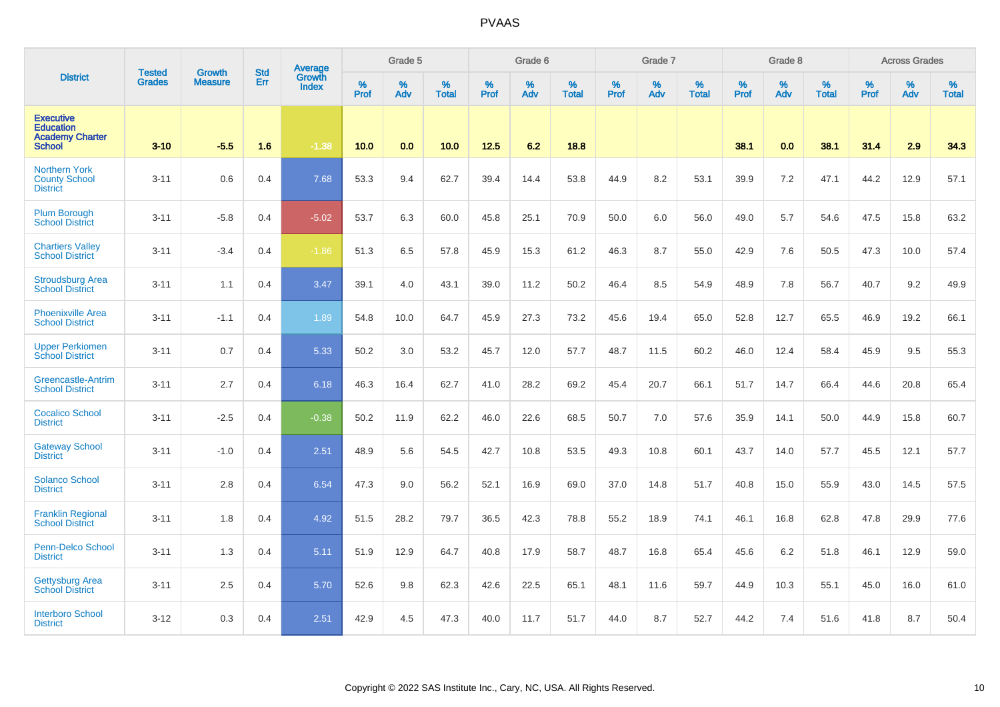|                                                                                 | <b>Tested</b> | <b>Growth</b>  | <b>Std</b> | Average                |              | Grade 5  |                   |           | Grade 6  |                   |                  | Grade 7  |                   |                  | Grade 8     |                   |                  | <b>Across Grades</b> |                   |
|---------------------------------------------------------------------------------|---------------|----------------|------------|------------------------|--------------|----------|-------------------|-----------|----------|-------------------|------------------|----------|-------------------|------------------|-------------|-------------------|------------------|----------------------|-------------------|
| <b>District</b>                                                                 | <b>Grades</b> | <b>Measure</b> | Err        | Growth<br><b>Index</b> | $\%$<br>Prof | %<br>Adv | %<br><b>Total</b> | %<br>Prof | %<br>Adv | %<br><b>Total</b> | %<br><b>Prof</b> | %<br>Adv | %<br><b>Total</b> | %<br><b>Prof</b> | $\%$<br>Adv | %<br><b>Total</b> | %<br><b>Prof</b> | %<br>Adv             | %<br><b>Total</b> |
| <b>Executive</b><br><b>Education</b><br><b>Academy Charter</b><br><b>School</b> | $3 - 10$      | $-5.5$         | 1.6        | $-1.38$                | 10.0         | 0.0      | 10.0              | 12.5      | 6.2      | 18.8              |                  |          |                   | 38.1             | 0.0         | 38.1              | 31.4             | 2.9                  | 34.3              |
| <b>Northern York</b><br><b>County School</b><br><b>District</b>                 | $3 - 11$      | 0.6            | 0.4        | 7.68                   | 53.3         | 9.4      | 62.7              | 39.4      | 14.4     | 53.8              | 44.9             | 8.2      | 53.1              | 39.9             | 7.2         | 47.1              | 44.2             | 12.9                 | 57.1              |
| <b>Plum Borough</b><br><b>School District</b>                                   | $3 - 11$      | $-5.8$         | 0.4        | $-5.02$                | 53.7         | 6.3      | 60.0              | 45.8      | 25.1     | 70.9              | 50.0             | 6.0      | 56.0              | 49.0             | 5.7         | 54.6              | 47.5             | 15.8                 | 63.2              |
| <b>Chartiers Valley</b><br><b>School District</b>                               | $3 - 11$      | $-3.4$         | 0.4        | $-1.86$                | 51.3         | 6.5      | 57.8              | 45.9      | 15.3     | 61.2              | 46.3             | 8.7      | 55.0              | 42.9             | 7.6         | 50.5              | 47.3             | 10.0                 | 57.4              |
| <b>Stroudsburg Area</b><br><b>School District</b>                               | $3 - 11$      | 1.1            | 0.4        | 3.47                   | 39.1         | 4.0      | 43.1              | 39.0      | 11.2     | 50.2              | 46.4             | 8.5      | 54.9              | 48.9             | 7.8         | 56.7              | 40.7             | 9.2                  | 49.9              |
| <b>Phoenixville Area</b><br><b>School District</b>                              | $3 - 11$      | $-1.1$         | 0.4        | 1.89                   | 54.8         | 10.0     | 64.7              | 45.9      | 27.3     | 73.2              | 45.6             | 19.4     | 65.0              | 52.8             | 12.7        | 65.5              | 46.9             | 19.2                 | 66.1              |
| <b>Upper Perkiomen</b><br><b>School District</b>                                | $3 - 11$      | 0.7            | 0.4        | 5.33                   | 50.2         | 3.0      | 53.2              | 45.7      | 12.0     | 57.7              | 48.7             | 11.5     | 60.2              | 46.0             | 12.4        | 58.4              | 45.9             | 9.5                  | 55.3              |
| Greencastle-Antrim<br><b>School District</b>                                    | $3 - 11$      | 2.7            | 0.4        | 6.18                   | 46.3         | 16.4     | 62.7              | 41.0      | 28.2     | 69.2              | 45.4             | 20.7     | 66.1              | 51.7             | 14.7        | 66.4              | 44.6             | 20.8                 | 65.4              |
| <b>Cocalico School</b><br><b>District</b>                                       | $3 - 11$      | $-2.5$         | 0.4        | $-0.38$                | 50.2         | 11.9     | 62.2              | 46.0      | 22.6     | 68.5              | 50.7             | 7.0      | 57.6              | 35.9             | 14.1        | 50.0              | 44.9             | 15.8                 | 60.7              |
| <b>Gateway School</b><br><b>District</b>                                        | $3 - 11$      | $-1.0$         | 0.4        | 2.51                   | 48.9         | 5.6      | 54.5              | 42.7      | 10.8     | 53.5              | 49.3             | 10.8     | 60.1              | 43.7             | 14.0        | 57.7              | 45.5             | 12.1                 | 57.7              |
| <b>Solanco School</b><br><b>District</b>                                        | $3 - 11$      | 2.8            | 0.4        | 6.54                   | 47.3         | 9.0      | 56.2              | 52.1      | 16.9     | 69.0              | 37.0             | 14.8     | 51.7              | 40.8             | 15.0        | 55.9              | 43.0             | 14.5                 | 57.5              |
| <b>Franklin Regional</b><br><b>School District</b>                              | $3 - 11$      | 1.8            | 0.4        | 4.92                   | 51.5         | 28.2     | 79.7              | 36.5      | 42.3     | 78.8              | 55.2             | 18.9     | 74.1              | 46.1             | 16.8        | 62.8              | 47.8             | 29.9                 | 77.6              |
| Penn-Delco School<br><b>District</b>                                            | $3 - 11$      | 1.3            | 0.4        | 5.11                   | 51.9         | 12.9     | 64.7              | 40.8      | 17.9     | 58.7              | 48.7             | 16.8     | 65.4              | 45.6             | 6.2         | 51.8              | 46.1             | 12.9                 | 59.0              |
| Gettysburg Area<br><b>School District</b>                                       | $3 - 11$      | 2.5            | 0.4        | 5.70                   | 52.6         | 9.8      | 62.3              | 42.6      | 22.5     | 65.1              | 48.1             | 11.6     | 59.7              | 44.9             | 10.3        | 55.1              | 45.0             | 16.0                 | 61.0              |
| <b>Interboro School</b><br><b>District</b>                                      | $3 - 12$      | 0.3            | 0.4        | 2.51                   | 42.9         | 4.5      | 47.3              | 40.0      | 11.7     | 51.7              | 44.0             | 8.7      | 52.7              | 44.2             | 7.4         | 51.6              | 41.8             | 8.7                  | 50.4              |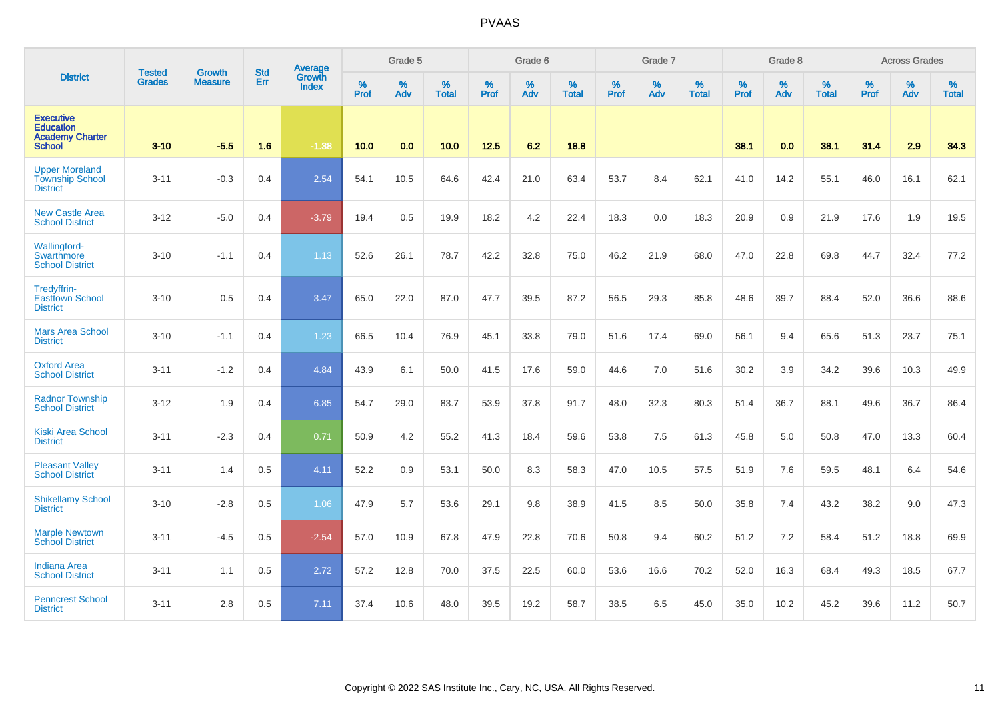|                                                                                 |                                |                                 | <b>Std</b> | Average                |           | Grade 5  |                   |           | Grade 6  |                   |           | Grade 7  |                   |           | Grade 8  |                   |           | <b>Across Grades</b> |                   |
|---------------------------------------------------------------------------------|--------------------------------|---------------------------------|------------|------------------------|-----------|----------|-------------------|-----------|----------|-------------------|-----------|----------|-------------------|-----------|----------|-------------------|-----------|----------------------|-------------------|
| <b>District</b>                                                                 | <b>Tested</b><br><b>Grades</b> | <b>Growth</b><br><b>Measure</b> | Err        | Growth<br><b>Index</b> | %<br>Prof | %<br>Adv | %<br><b>Total</b> | %<br>Prof | %<br>Adv | %<br><b>Total</b> | %<br>Prof | %<br>Adv | %<br><b>Total</b> | %<br>Prof | %<br>Adv | %<br><b>Total</b> | %<br>Prof | %<br>Adv             | %<br><b>Total</b> |
| <b>Executive</b><br><b>Education</b><br><b>Academy Charter</b><br><b>School</b> | $3 - 10$                       | $-5.5$                          | 1.6        | $-1.38$                | 10.0      | 0.0      | 10.0              | 12.5      | 6.2      | 18.8              |           |          |                   | 38.1      | 0.0      | 38.1              | 31.4      | 2.9                  | 34.3              |
| <b>Upper Moreland</b><br><b>Township School</b><br><b>District</b>              | $3 - 11$                       | $-0.3$                          | 0.4        | 2.54                   | 54.1      | 10.5     | 64.6              | 42.4      | 21.0     | 63.4              | 53.7      | 8.4      | 62.1              | 41.0      | 14.2     | 55.1              | 46.0      | 16.1                 | 62.1              |
| <b>New Castle Area</b><br><b>School District</b>                                | $3 - 12$                       | $-5.0$                          | 0.4        | $-3.79$                | 19.4      | 0.5      | 19.9              | 18.2      | 4.2      | 22.4              | 18.3      | 0.0      | 18.3              | 20.9      | 0.9      | 21.9              | 17.6      | 1.9                  | 19.5              |
| Wallingford-<br>Swarthmore<br><b>School District</b>                            | $3 - 10$                       | $-1.1$                          | 0.4        | 1.13                   | 52.6      | 26.1     | 78.7              | 42.2      | 32.8     | 75.0              | 46.2      | 21.9     | 68.0              | 47.0      | 22.8     | 69.8              | 44.7      | 32.4                 | 77.2              |
| Tredyffrin-<br><b>Easttown School</b><br><b>District</b>                        | $3 - 10$                       | 0.5                             | 0.4        | 3.47                   | 65.0      | 22.0     | 87.0              | 47.7      | 39.5     | 87.2              | 56.5      | 29.3     | 85.8              | 48.6      | 39.7     | 88.4              | 52.0      | 36.6                 | 88.6              |
| <b>Mars Area School</b><br><b>District</b>                                      | $3 - 10$                       | $-1.1$                          | 0.4        | 1.23                   | 66.5      | 10.4     | 76.9              | 45.1      | 33.8     | 79.0              | 51.6      | 17.4     | 69.0              | 56.1      | 9.4      | 65.6              | 51.3      | 23.7                 | 75.1              |
| <b>Oxford Area</b><br><b>School District</b>                                    | $3 - 11$                       | $-1.2$                          | 0.4        | 4.84                   | 43.9      | 6.1      | 50.0              | 41.5      | 17.6     | 59.0              | 44.6      | 7.0      | 51.6              | 30.2      | 3.9      | 34.2              | 39.6      | 10.3                 | 49.9              |
| <b>Radnor Township</b><br><b>School District</b>                                | $3 - 12$                       | 1.9                             | 0.4        | 6.85                   | 54.7      | 29.0     | 83.7              | 53.9      | 37.8     | 91.7              | 48.0      | 32.3     | 80.3              | 51.4      | 36.7     | 88.1              | 49.6      | 36.7                 | 86.4              |
| <b>Kiski Area School</b><br><b>District</b>                                     | $3 - 11$                       | $-2.3$                          | 0.4        | 0.71                   | 50.9      | 4.2      | 55.2              | 41.3      | 18.4     | 59.6              | 53.8      | 7.5      | 61.3              | 45.8      | 5.0      | 50.8              | 47.0      | 13.3                 | 60.4              |
| <b>Pleasant Valley</b><br><b>School District</b>                                | $3 - 11$                       | 1.4                             | 0.5        | 4.11                   | 52.2      | 0.9      | 53.1              | 50.0      | 8.3      | 58.3              | 47.0      | 10.5     | 57.5              | 51.9      | 7.6      | 59.5              | 48.1      | 6.4                  | 54.6              |
| <b>Shikellamy School</b><br><b>District</b>                                     | $3 - 10$                       | $-2.8$                          | 0.5        | 1.06                   | 47.9      | 5.7      | 53.6              | 29.1      | 9.8      | 38.9              | 41.5      | 8.5      | 50.0              | 35.8      | 7.4      | 43.2              | 38.2      | 9.0                  | 47.3              |
| <b>Marple Newtown</b><br><b>School District</b>                                 | $3 - 11$                       | $-4.5$                          | 0.5        | $-2.54$                | 57.0      | 10.9     | 67.8              | 47.9      | 22.8     | 70.6              | 50.8      | 9.4      | 60.2              | 51.2      | $7.2\,$  | 58.4              | 51.2      | 18.8                 | 69.9              |
| <b>Indiana Area</b><br><b>School District</b>                                   | $3 - 11$                       | 1.1                             | 0.5        | 2.72                   | 57.2      | 12.8     | 70.0              | 37.5      | 22.5     | 60.0              | 53.6      | 16.6     | 70.2              | 52.0      | 16.3     | 68.4              | 49.3      | 18.5                 | 67.7              |
| <b>Penncrest School</b><br><b>District</b>                                      | $3 - 11$                       | 2.8                             | 0.5        | 7.11                   | 37.4      | 10.6     | 48.0              | 39.5      | 19.2     | 58.7              | 38.5      | 6.5      | 45.0              | 35.0      | 10.2     | 45.2              | 39.6      | 11.2                 | 50.7              |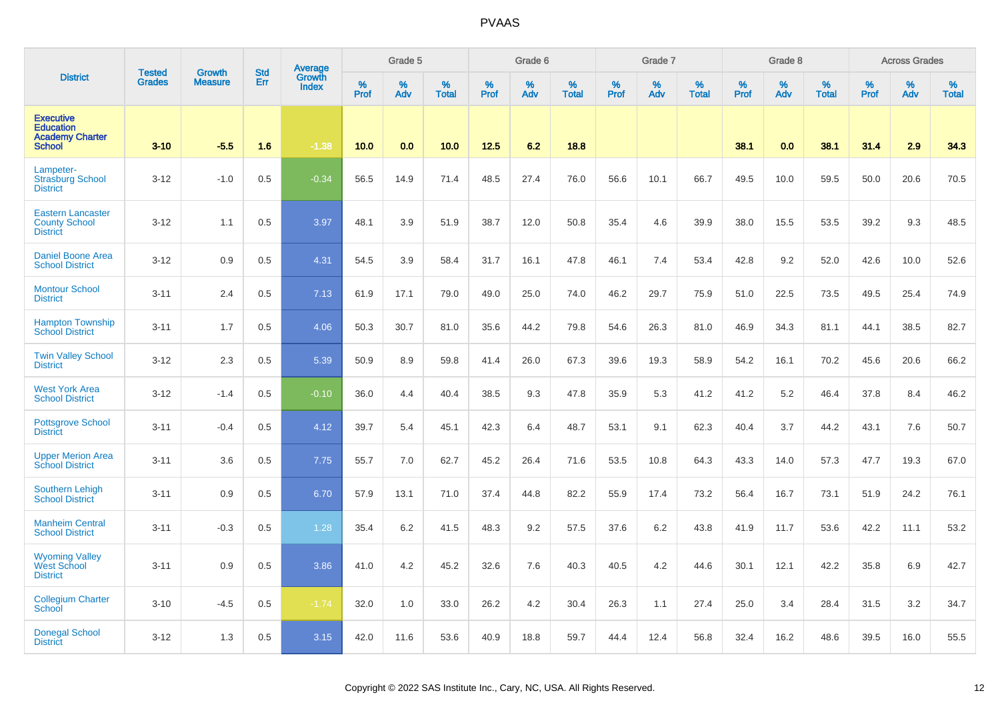|                                                                                 | <b>Tested</b> | <b>Growth</b>  | <b>Std</b> | Average                |              | Grade 5     |                   |              | Grade 6     |                   |              | Grade 7  |                   |              | Grade 8  |                      |              | <b>Across Grades</b> |                   |
|---------------------------------------------------------------------------------|---------------|----------------|------------|------------------------|--------------|-------------|-------------------|--------------|-------------|-------------------|--------------|----------|-------------------|--------------|----------|----------------------|--------------|----------------------|-------------------|
| <b>District</b>                                                                 | <b>Grades</b> | <b>Measure</b> | Err        | Growth<br><b>Index</b> | $\%$<br>Prof | $\%$<br>Adv | %<br><b>Total</b> | $\%$<br>Prof | $\%$<br>Adv | %<br><b>Total</b> | $\%$<br>Prof | %<br>Adv | %<br><b>Total</b> | $\%$<br>Prof | %<br>Adv | $\%$<br><b>Total</b> | $\%$<br>Prof | $\%$<br>Adv          | %<br><b>Total</b> |
| <b>Executive</b><br><b>Education</b><br><b>Academy Charter</b><br><b>School</b> | $3 - 10$      | $-5.5$         | 1.6        | $-1.38$                | 10.0         | 0.0         | 10.0              | 12.5         | 6.2         | 18.8              |              |          |                   | 38.1         | 0.0      | 38.1                 | 31.4         | 2.9                  | 34.3              |
| Lampeter-<br><b>Strasburg School</b><br><b>District</b>                         | $3 - 12$      | $-1.0$         | 0.5        | $-0.34$                | 56.5         | 14.9        | 71.4              | 48.5         | 27.4        | 76.0              | 56.6         | 10.1     | 66.7              | 49.5         | 10.0     | 59.5                 | 50.0         | 20.6                 | 70.5              |
| <b>Eastern Lancaster</b><br><b>County School</b><br><b>District</b>             | $3 - 12$      | 1.1            | 0.5        | 3.97                   | 48.1         | 3.9         | 51.9              | 38.7         | 12.0        | 50.8              | 35.4         | 4.6      | 39.9              | 38.0         | 15.5     | 53.5                 | 39.2         | 9.3                  | 48.5              |
| Daniel Boone Area<br><b>School District</b>                                     | $3 - 12$      | 0.9            | 0.5        | 4.31                   | 54.5         | 3.9         | 58.4              | 31.7         | 16.1        | 47.8              | 46.1         | 7.4      | 53.4              | 42.8         | 9.2      | 52.0                 | 42.6         | 10.0                 | 52.6              |
| <b>Montour School</b><br><b>District</b>                                        | $3 - 11$      | 2.4            | 0.5        | 7.13                   | 61.9         | 17.1        | 79.0              | 49.0         | 25.0        | 74.0              | 46.2         | 29.7     | 75.9              | 51.0         | 22.5     | 73.5                 | 49.5         | 25.4                 | 74.9              |
| <b>Hampton Township</b><br><b>School District</b>                               | $3 - 11$      | 1.7            | 0.5        | 4.06                   | 50.3         | 30.7        | 81.0              | 35.6         | 44.2        | 79.8              | 54.6         | 26.3     | 81.0              | 46.9         | 34.3     | 81.1                 | 44.1         | 38.5                 | 82.7              |
| <b>Twin Valley School</b><br><b>District</b>                                    | $3 - 12$      | 2.3            | 0.5        | 5.39                   | 50.9         | 8.9         | 59.8              | 41.4         | 26.0        | 67.3              | 39.6         | 19.3     | 58.9              | 54.2         | 16.1     | 70.2                 | 45.6         | 20.6                 | 66.2              |
| <b>West York Area</b><br><b>School District</b>                                 | $3 - 12$      | $-1.4$         | 0.5        | $-0.10$                | 36.0         | 4.4         | 40.4              | 38.5         | 9.3         | 47.8              | 35.9         | 5.3      | 41.2              | 41.2         | 5.2      | 46.4                 | 37.8         | 8.4                  | 46.2              |
| <b>Pottsgrove School</b><br><b>District</b>                                     | $3 - 11$      | $-0.4$         | 0.5        | 4.12                   | 39.7         | 5.4         | 45.1              | 42.3         | 6.4         | 48.7              | 53.1         | 9.1      | 62.3              | 40.4         | 3.7      | 44.2                 | 43.1         | 7.6                  | 50.7              |
| <b>Upper Merion Area</b><br><b>School District</b>                              | $3 - 11$      | 3.6            | 0.5        | 7.75                   | 55.7         | 7.0         | 62.7              | 45.2         | 26.4        | 71.6              | 53.5         | 10.8     | 64.3              | 43.3         | 14.0     | 57.3                 | 47.7         | 19.3                 | 67.0              |
| Southern Lehigh<br><b>School District</b>                                       | $3 - 11$      | 0.9            | 0.5        | 6.70                   | 57.9         | 13.1        | 71.0              | 37.4         | 44.8        | 82.2              | 55.9         | 17.4     | 73.2              | 56.4         | 16.7     | 73.1                 | 51.9         | 24.2                 | 76.1              |
| <b>Manheim Central</b><br><b>School District</b>                                | $3 - 11$      | $-0.3$         | 0.5        | 1.28                   | 35.4         | 6.2         | 41.5              | 48.3         | 9.2         | 57.5              | 37.6         | 6.2      | 43.8              | 41.9         | 11.7     | 53.6                 | 42.2         | 11.1                 | 53.2              |
| <b>Wyoming Valley</b><br><b>West School</b><br><b>District</b>                  | $3 - 11$      | 0.9            | 0.5        | 3.86                   | 41.0         | 4.2         | 45.2              | 32.6         | 7.6         | 40.3              | 40.5         | 4.2      | 44.6              | 30.1         | 12.1     | 42.2                 | 35.8         | 6.9                  | 42.7              |
| <b>Collegium Charter</b><br><b>School</b>                                       | $3 - 10$      | $-4.5$         | 0.5        | $-1.74$                | 32.0         | 1.0         | 33.0              | 26.2         | 4.2         | 30.4              | 26.3         | 1.1      | 27.4              | 25.0         | 3.4      | 28.4                 | 31.5         | 3.2                  | 34.7              |
| <b>Donegal School</b><br><b>District</b>                                        | $3 - 12$      | 1.3            | 0.5        | 3.15                   | 42.0         | 11.6        | 53.6              | 40.9         | 18.8        | 59.7              | 44.4         | 12.4     | 56.8              | 32.4         | 16.2     | 48.6                 | 39.5         | 16.0                 | 55.5              |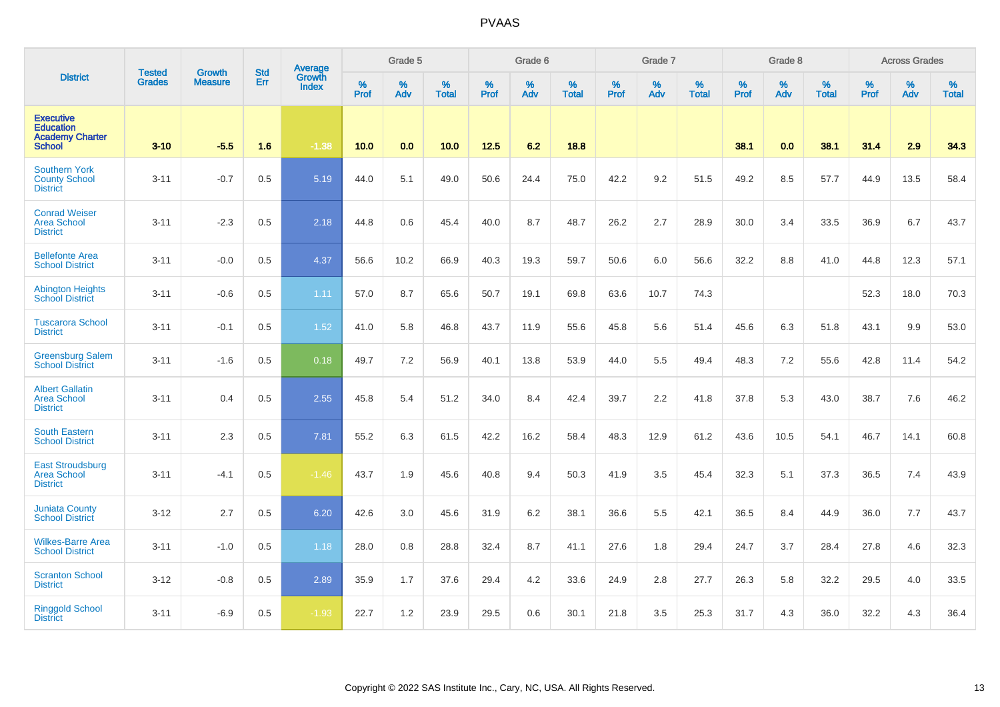|                                                                                 | <b>Tested</b> | <b>Growth</b>  | <b>Std</b> | Average                |              | Grade 5  |                   |           | Grade 6  |                   |              | Grade 7  |                   |                  | Grade 8  |                   |                  | <b>Across Grades</b> |                   |
|---------------------------------------------------------------------------------|---------------|----------------|------------|------------------------|--------------|----------|-------------------|-----------|----------|-------------------|--------------|----------|-------------------|------------------|----------|-------------------|------------------|----------------------|-------------------|
| <b>District</b>                                                                 | <b>Grades</b> | <b>Measure</b> | Err        | Growth<br><b>Index</b> | $\%$<br>Prof | %<br>Adv | %<br><b>Total</b> | %<br>Prof | %<br>Adv | %<br><b>Total</b> | $\%$<br>Prof | %<br>Adv | %<br><b>Total</b> | %<br><b>Prof</b> | %<br>Adv | %<br><b>Total</b> | %<br><b>Prof</b> | %<br>Adv             | %<br><b>Total</b> |
| <b>Executive</b><br><b>Education</b><br><b>Academy Charter</b><br><b>School</b> | $3 - 10$      | $-5.5$         | 1.6        | $-1.38$                | 10.0         | 0.0      | 10.0              | $12.5$    | 6.2      | 18.8              |              |          |                   | 38.1             | 0.0      | 38.1              | 31.4             | 2.9                  | 34.3              |
| <b>Southern York</b><br><b>County School</b><br><b>District</b>                 | $3 - 11$      | $-0.7$         | 0.5        | 5.19                   | 44.0         | 5.1      | 49.0              | 50.6      | 24.4     | 75.0              | 42.2         | 9.2      | 51.5              | 49.2             | 8.5      | 57.7              | 44.9             | 13.5                 | 58.4              |
| <b>Conrad Weiser</b><br><b>Area School</b><br><b>District</b>                   | $3 - 11$      | $-2.3$         | 0.5        | 2.18                   | 44.8         | 0.6      | 45.4              | 40.0      | 8.7      | 48.7              | 26.2         | 2.7      | 28.9              | 30.0             | 3.4      | 33.5              | 36.9             | 6.7                  | 43.7              |
| <b>Bellefonte Area</b><br><b>School District</b>                                | $3 - 11$      | $-0.0$         | 0.5        | 4.37                   | 56.6         | 10.2     | 66.9              | 40.3      | 19.3     | 59.7              | 50.6         | 6.0      | 56.6              | 32.2             | 8.8      | 41.0              | 44.8             | 12.3                 | 57.1              |
| <b>Abington Heights</b><br><b>School District</b>                               | $3 - 11$      | $-0.6$         | 0.5        | 1.11                   | 57.0         | 8.7      | 65.6              | 50.7      | 19.1     | 69.8              | 63.6         | 10.7     | 74.3              |                  |          |                   | 52.3             | 18.0                 | 70.3              |
| <b>Tuscarora School</b><br><b>District</b>                                      | $3 - 11$      | $-0.1$         | 0.5        | 1.52                   | 41.0         | 5.8      | 46.8              | 43.7      | 11.9     | 55.6              | 45.8         | 5.6      | 51.4              | 45.6             | 6.3      | 51.8              | 43.1             | 9.9                  | 53.0              |
| <b>Greensburg Salem</b><br><b>School District</b>                               | $3 - 11$      | $-1.6$         | 0.5        | 0.18                   | 49.7         | 7.2      | 56.9              | 40.1      | 13.8     | 53.9              | 44.0         | 5.5      | 49.4              | 48.3             | 7.2      | 55.6              | 42.8             | 11.4                 | 54.2              |
| <b>Albert Gallatin</b><br>Area School<br><b>District</b>                        | $3 - 11$      | 0.4            | 0.5        | 2.55                   | 45.8         | 5.4      | 51.2              | 34.0      | 8.4      | 42.4              | 39.7         | 2.2      | 41.8              | 37.8             | 5.3      | 43.0              | 38.7             | 7.6                  | 46.2              |
| <b>South Eastern</b><br><b>School District</b>                                  | $3 - 11$      | 2.3            | 0.5        | 7.81                   | 55.2         | 6.3      | 61.5              | 42.2      | 16.2     | 58.4              | 48.3         | 12.9     | 61.2              | 43.6             | 10.5     | 54.1              | 46.7             | 14.1                 | 60.8              |
| <b>East Stroudsburg</b><br><b>Area School</b><br><b>District</b>                | $3 - 11$      | $-4.1$         | 0.5        | $-1.46$                | 43.7         | 1.9      | 45.6              | 40.8      | 9.4      | 50.3              | 41.9         | 3.5      | 45.4              | 32.3             | 5.1      | 37.3              | 36.5             | 7.4                  | 43.9              |
| <b>Juniata County</b><br><b>School District</b>                                 | $3 - 12$      | 2.7            | 0.5        | 6.20                   | 42.6         | 3.0      | 45.6              | 31.9      | 6.2      | 38.1              | 36.6         | 5.5      | 42.1              | 36.5             | 8.4      | 44.9              | 36.0             | 7.7                  | 43.7              |
| <b>Wilkes-Barre Area</b><br><b>School District</b>                              | $3 - 11$      | $-1.0$         | 0.5        | 1.18                   | 28.0         | 0.8      | 28.8              | 32.4      | 8.7      | 41.1              | 27.6         | 1.8      | 29.4              | 24.7             | 3.7      | 28.4              | 27.8             | 4.6                  | 32.3              |
| <b>Scranton School</b><br><b>District</b>                                       | $3 - 12$      | $-0.8$         | 0.5        | 2.89                   | 35.9         | 1.7      | 37.6              | 29.4      | 4.2      | 33.6              | 24.9         | 2.8      | 27.7              | 26.3             | 5.8      | 32.2              | 29.5             | 4.0                  | 33.5              |
| <b>Ringgold School</b><br><b>District</b>                                       | $3 - 11$      | $-6.9$         | 0.5        | $-1.93$                | 22.7         | 1.2      | 23.9              | 29.5      | 0.6      | 30.1              | 21.8         | 3.5      | 25.3              | 31.7             | 4.3      | 36.0              | 32.2             | 4.3                  | 36.4              |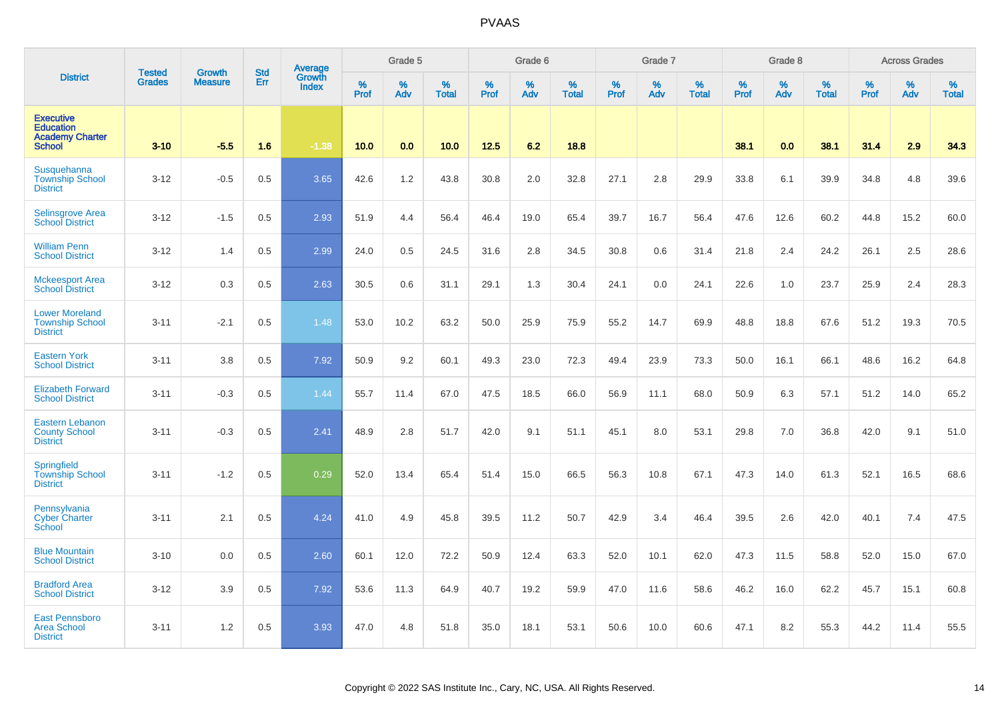|                                                                                 | <b>Tested</b> | Growth         | <b>Std</b> | <b>Average</b><br>Growth |                  | Grade 5  |                   |                  | Grade 6  |                   |                  | Grade 7  |                   |           | Grade 8  |                   |           | <b>Across Grades</b> |                   |
|---------------------------------------------------------------------------------|---------------|----------------|------------|--------------------------|------------------|----------|-------------------|------------------|----------|-------------------|------------------|----------|-------------------|-----------|----------|-------------------|-----------|----------------------|-------------------|
| <b>District</b>                                                                 | <b>Grades</b> | <b>Measure</b> | Err        | <b>Index</b>             | %<br><b>Prof</b> | %<br>Adv | %<br><b>Total</b> | %<br><b>Prof</b> | %<br>Adv | %<br><b>Total</b> | %<br><b>Prof</b> | %<br>Adv | %<br><b>Total</b> | %<br>Prof | %<br>Adv | %<br><b>Total</b> | %<br>Prof | %<br>Adv             | %<br><b>Total</b> |
| <b>Executive</b><br><b>Education</b><br><b>Academy Charter</b><br><b>School</b> | $3 - 10$      | $-5.5$         | 1.6        | $-1.38$                  | 10.0             | 0.0      | 10.0              | 12.5             | 6.2      | 18.8              |                  |          |                   | 38.1      | 0.0      | 38.1              | 31.4      | 2.9                  | 34.3              |
| Susquehanna<br><b>Township School</b><br><b>District</b>                        | $3 - 12$      | $-0.5$         | 0.5        | 3.65                     | 42.6             | 1.2      | 43.8              | 30.8             | 2.0      | 32.8              | 27.1             | 2.8      | 29.9              | 33.8      | 6.1      | 39.9              | 34.8      | 4.8                  | 39.6              |
| Selinsgrove Area<br><b>School District</b>                                      | $3 - 12$      | $-1.5$         | 0.5        | 2.93                     | 51.9             | 4.4      | 56.4              | 46.4             | 19.0     | 65.4              | 39.7             | 16.7     | 56.4              | 47.6      | 12.6     | 60.2              | 44.8      | 15.2                 | 60.0              |
| <b>William Penn</b><br><b>School District</b>                                   | $3 - 12$      | 1.4            | 0.5        | 2.99                     | 24.0             | 0.5      | 24.5              | 31.6             | 2.8      | 34.5              | 30.8             | 0.6      | 31.4              | 21.8      | 2.4      | 24.2              | 26.1      | 2.5                  | 28.6              |
| <b>Mckeesport Area</b><br><b>School District</b>                                | $3 - 12$      | 0.3            | 0.5        | 2.63                     | 30.5             | 0.6      | 31.1              | 29.1             | 1.3      | 30.4              | 24.1             | 0.0      | 24.1              | 22.6      | 1.0      | 23.7              | 25.9      | 2.4                  | 28.3              |
| <b>Lower Moreland</b><br><b>Township School</b><br><b>District</b>              | $3 - 11$      | $-2.1$         | 0.5        | 1.48                     | 53.0             | 10.2     | 63.2              | 50.0             | 25.9     | 75.9              | 55.2             | 14.7     | 69.9              | 48.8      | 18.8     | 67.6              | 51.2      | 19.3                 | 70.5              |
| <b>Eastern York</b><br><b>School District</b>                                   | $3 - 11$      | 3.8            | 0.5        | 7.92                     | 50.9             | 9.2      | 60.1              | 49.3             | 23.0     | 72.3              | 49.4             | 23.9     | 73.3              | 50.0      | 16.1     | 66.1              | 48.6      | 16.2                 | 64.8              |
| <b>Elizabeth Forward</b><br><b>School District</b>                              | $3 - 11$      | $-0.3$         | 0.5        | 1.44                     | 55.7             | 11.4     | 67.0              | 47.5             | 18.5     | 66.0              | 56.9             | 11.1     | 68.0              | 50.9      | 6.3      | 57.1              | 51.2      | 14.0                 | 65.2              |
| <b>Eastern Lebanon</b><br><b>County School</b><br><b>District</b>               | $3 - 11$      | $-0.3$         | 0.5        | 2.41                     | 48.9             | 2.8      | 51.7              | 42.0             | 9.1      | 51.1              | 45.1             | 8.0      | 53.1              | 29.8      | 7.0      | 36.8              | 42.0      | 9.1                  | 51.0              |
| <b>Springfield</b><br><b>Township School</b><br><b>District</b>                 | $3 - 11$      | $-1.2$         | 0.5        | 0.29                     | 52.0             | 13.4     | 65.4              | 51.4             | 15.0     | 66.5              | 56.3             | 10.8     | 67.1              | 47.3      | 14.0     | 61.3              | 52.1      | 16.5                 | 68.6              |
| Pennsylvania<br><b>Cyber Charter</b><br>School                                  | $3 - 11$      | 2.1            | 0.5        | 4.24                     | 41.0             | 4.9      | 45.8              | 39.5             | 11.2     | 50.7              | 42.9             | 3.4      | 46.4              | 39.5      | 2.6      | 42.0              | 40.1      | 7.4                  | 47.5              |
| <b>Blue Mountain</b><br><b>School District</b>                                  | $3 - 10$      | 0.0            | 0.5        | 2.60                     | 60.1             | 12.0     | 72.2              | 50.9             | 12.4     | 63.3              | 52.0             | 10.1     | 62.0              | 47.3      | 11.5     | 58.8              | 52.0      | 15.0                 | 67.0              |
| <b>Bradford Area</b><br><b>School District</b>                                  | $3 - 12$      | 3.9            | 0.5        | 7.92                     | 53.6             | 11.3     | 64.9              | 40.7             | 19.2     | 59.9              | 47.0             | 11.6     | 58.6              | 46.2      | 16.0     | 62.2              | 45.7      | 15.1                 | 60.8              |
| <b>East Pennsboro</b><br><b>Area School</b><br><b>District</b>                  | $3 - 11$      | 1.2            | 0.5        | 3.93                     | 47.0             | 4.8      | 51.8              | 35.0             | 18.1     | 53.1              | 50.6             | 10.0     | 60.6              | 47.1      | 8.2      | 55.3              | 44.2      | 11.4                 | 55.5              |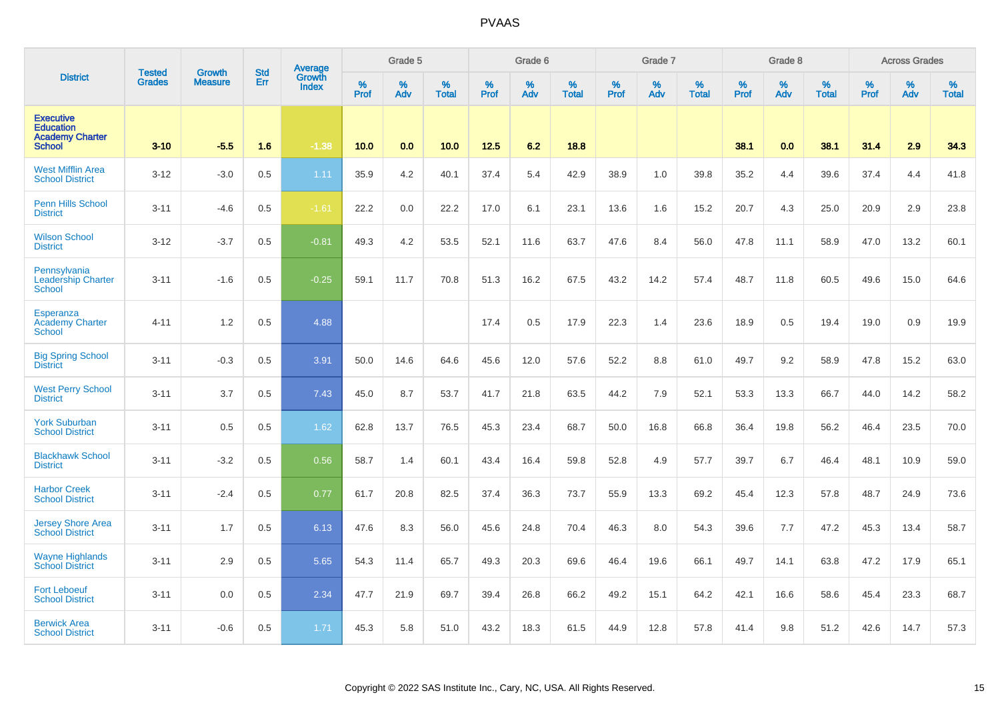|                                                                                 | <b>Tested</b> | <b>Growth</b>  | <b>Std</b> | Average<br>Growth |                     | Grade 5  |                   |           | Grade 6  |                   |           | Grade 7  |                   |           | Grade 8  |                   |           | <b>Across Grades</b> |                   |
|---------------------------------------------------------------------------------|---------------|----------------|------------|-------------------|---------------------|----------|-------------------|-----------|----------|-------------------|-----------|----------|-------------------|-----------|----------|-------------------|-----------|----------------------|-------------------|
| <b>District</b>                                                                 | <b>Grades</b> | <b>Measure</b> | Err        | <b>Index</b>      | $\%$<br><b>Prof</b> | %<br>Adv | %<br><b>Total</b> | %<br>Prof | %<br>Adv | %<br><b>Total</b> | %<br>Prof | %<br>Adv | %<br><b>Total</b> | %<br>Prof | %<br>Adv | %<br><b>Total</b> | %<br>Prof | %<br>Adv             | %<br><b>Total</b> |
| <b>Executive</b><br><b>Education</b><br><b>Academy Charter</b><br><b>School</b> | $3 - 10$      | $-5.5$         | 1.6        | $-1.38$           | 10.0                | 0.0      | 10.0              | 12.5      | 6.2      | 18.8              |           |          |                   | 38.1      | 0.0      | 38.1              | 31.4      | 2.9                  | 34.3              |
| <b>West Mifflin Area</b><br><b>School District</b>                              | $3 - 12$      | $-3.0$         | 0.5        | 1.11              | 35.9                | 4.2      | 40.1              | 37.4      | 5.4      | 42.9              | 38.9      | 1.0      | 39.8              | 35.2      | 4.4      | 39.6              | 37.4      | 4.4                  | 41.8              |
| <b>Penn Hills School</b><br><b>District</b>                                     | $3 - 11$      | $-4.6$         | 0.5        | $-1.61$           | 22.2                | 0.0      | 22.2              | 17.0      | 6.1      | 23.1              | 13.6      | 1.6      | 15.2              | 20.7      | 4.3      | 25.0              | 20.9      | 2.9                  | 23.8              |
| <b>Wilson School</b><br><b>District</b>                                         | $3 - 12$      | $-3.7$         | 0.5        | $-0.81$           | 49.3                | 4.2      | 53.5              | 52.1      | 11.6     | 63.7              | 47.6      | 8.4      | 56.0              | 47.8      | 11.1     | 58.9              | 47.0      | 13.2                 | 60.1              |
| Pennsylvania<br><b>Leadership Charter</b><br><b>School</b>                      | $3 - 11$      | $-1.6$         | 0.5        | $-0.25$           | 59.1                | 11.7     | 70.8              | 51.3      | 16.2     | 67.5              | 43.2      | 14.2     | 57.4              | 48.7      | 11.8     | 60.5              | 49.6      | 15.0                 | 64.6              |
| Esperanza<br><b>Academy Charter</b><br><b>School</b>                            | $4 - 11$      | 1.2            | 0.5        | 4.88              |                     |          |                   | 17.4      | 0.5      | 17.9              | 22.3      | 1.4      | 23.6              | 18.9      | 0.5      | 19.4              | 19.0      | 0.9                  | 19.9              |
| <b>Big Spring School</b><br><b>District</b>                                     | $3 - 11$      | $-0.3$         | 0.5        | 3.91              | 50.0                | 14.6     | 64.6              | 45.6      | 12.0     | 57.6              | 52.2      | 8.8      | 61.0              | 49.7      | 9.2      | 58.9              | 47.8      | 15.2                 | 63.0              |
| <b>West Perry School</b><br><b>District</b>                                     | $3 - 11$      | 3.7            | 0.5        | 7.43              | 45.0                | 8.7      | 53.7              | 41.7      | 21.8     | 63.5              | 44.2      | 7.9      | 52.1              | 53.3      | 13.3     | 66.7              | 44.0      | 14.2                 | 58.2              |
| <b>York Suburban</b><br><b>School District</b>                                  | $3 - 11$      | 0.5            | 0.5        | 1.62              | 62.8                | 13.7     | 76.5              | 45.3      | 23.4     | 68.7              | 50.0      | 16.8     | 66.8              | 36.4      | 19.8     | 56.2              | 46.4      | 23.5                 | 70.0              |
| <b>Blackhawk School</b><br><b>District</b>                                      | $3 - 11$      | $-3.2$         | 0.5        | 0.56              | 58.7                | 1.4      | 60.1              | 43.4      | 16.4     | 59.8              | 52.8      | 4.9      | 57.7              | 39.7      | 6.7      | 46.4              | 48.1      | 10.9                 | 59.0              |
| <b>Harbor Creek</b><br><b>School District</b>                                   | $3 - 11$      | $-2.4$         | 0.5        | 0.77              | 61.7                | 20.8     | 82.5              | 37.4      | 36.3     | 73.7              | 55.9      | 13.3     | 69.2              | 45.4      | 12.3     | 57.8              | 48.7      | 24.9                 | 73.6              |
| <b>Jersey Shore Area</b><br><b>School District</b>                              | $3 - 11$      | 1.7            | 0.5        | 6.13              | 47.6                | 8.3      | 56.0              | 45.6      | 24.8     | 70.4              | 46.3      | 8.0      | 54.3              | 39.6      | 7.7      | 47.2              | 45.3      | 13.4                 | 58.7              |
| <b>Wayne Highlands</b><br><b>School District</b>                                | $3 - 11$      | 2.9            | 0.5        | 5.65              | 54.3                | 11.4     | 65.7              | 49.3      | 20.3     | 69.6              | 46.4      | 19.6     | 66.1              | 49.7      | 14.1     | 63.8              | 47.2      | 17.9                 | 65.1              |
| <b>Fort Leboeuf</b><br><b>School District</b>                                   | $3 - 11$      | 0.0            | 0.5        | 2.34              | 47.7                | 21.9     | 69.7              | 39.4      | 26.8     | 66.2              | 49.2      | 15.1     | 64.2              | 42.1      | 16.6     | 58.6              | 45.4      | 23.3                 | 68.7              |
| <b>Berwick Area</b><br><b>School District</b>                                   | $3 - 11$      | $-0.6$         | 0.5        | 1.71              | 45.3                | 5.8      | 51.0              | 43.2      | 18.3     | 61.5              | 44.9      | 12.8     | 57.8              | 41.4      | 9.8      | 51.2              | 42.6      | 14.7                 | 57.3              |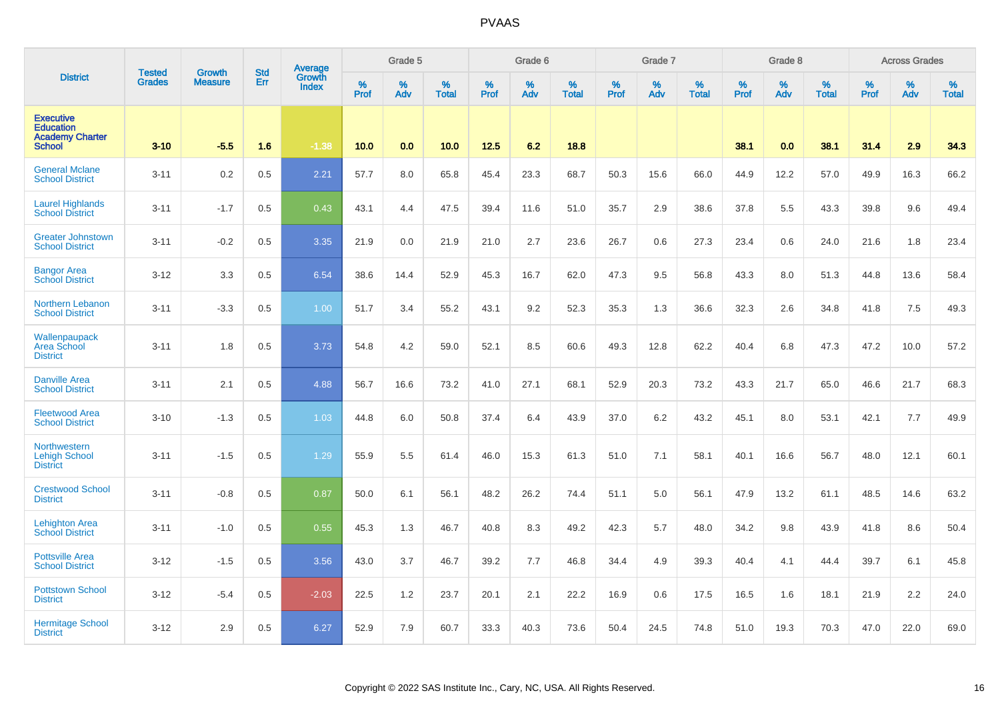|                                                                                 | <b>Tested</b> | <b>Growth</b>  | <b>Std</b> | <b>Average</b>         |                  | Grade 5  |                   |           | Grade 6  |                   |           | Grade 7  |                   |           | Grade 8  |                   |           | <b>Across Grades</b> |                   |
|---------------------------------------------------------------------------------|---------------|----------------|------------|------------------------|------------------|----------|-------------------|-----------|----------|-------------------|-----------|----------|-------------------|-----------|----------|-------------------|-----------|----------------------|-------------------|
| <b>District</b>                                                                 | <b>Grades</b> | <b>Measure</b> | Err        | Growth<br><b>Index</b> | %<br><b>Prof</b> | %<br>Adv | %<br><b>Total</b> | %<br>Prof | %<br>Adv | %<br><b>Total</b> | %<br>Prof | %<br>Adv | %<br><b>Total</b> | %<br>Prof | %<br>Adv | %<br><b>Total</b> | %<br>Prof | %<br>Adv             | %<br><b>Total</b> |
| <b>Executive</b><br><b>Education</b><br><b>Academy Charter</b><br><b>School</b> | $3 - 10$      | $-5.5$         | 1.6        | $-1.38$                | 10.0             | 0.0      | 10.0              | 12.5      | 6.2      | 18.8              |           |          |                   | 38.1      | 0.0      | 38.1              | 31.4      | 2.9                  | 34.3              |
| <b>General Mclane</b><br><b>School District</b>                                 | $3 - 11$      | 0.2            | 0.5        | 2.21                   | 57.7             | 8.0      | 65.8              | 45.4      | 23.3     | 68.7              | 50.3      | 15.6     | 66.0              | 44.9      | 12.2     | 57.0              | 49.9      | 16.3                 | 66.2              |
| <b>Laurel Highlands</b><br><b>School District</b>                               | $3 - 11$      | $-1.7$         | 0.5        | 0.43                   | 43.1             | 4.4      | 47.5              | 39.4      | 11.6     | 51.0              | 35.7      | 2.9      | 38.6              | 37.8      | 5.5      | 43.3              | 39.8      | 9.6                  | 49.4              |
| <b>Greater Johnstown</b><br><b>School District</b>                              | $3 - 11$      | $-0.2$         | 0.5        | 3.35                   | 21.9             | 0.0      | 21.9              | 21.0      | 2.7      | 23.6              | 26.7      | 0.6      | 27.3              | 23.4      | 0.6      | 24.0              | 21.6      | 1.8                  | 23.4              |
| <b>Bangor Area</b><br><b>School District</b>                                    | $3 - 12$      | 3.3            | 0.5        | 6.54                   | 38.6             | 14.4     | 52.9              | 45.3      | 16.7     | 62.0              | 47.3      | 9.5      | 56.8              | 43.3      | 8.0      | 51.3              | 44.8      | 13.6                 | 58.4              |
| Northern Lebanon<br><b>School District</b>                                      | $3 - 11$      | $-3.3$         | 0.5        | 1.00                   | 51.7             | 3.4      | 55.2              | 43.1      | 9.2      | 52.3              | 35.3      | 1.3      | 36.6              | 32.3      | 2.6      | 34.8              | 41.8      | 7.5                  | 49.3              |
| Wallenpaupack<br>Area School<br><b>District</b>                                 | $3 - 11$      | 1.8            | 0.5        | 3.73                   | 54.8             | 4.2      | 59.0              | 52.1      | 8.5      | 60.6              | 49.3      | 12.8     | 62.2              | 40.4      | 6.8      | 47.3              | 47.2      | 10.0                 | 57.2              |
| <b>Danville Area</b><br><b>School District</b>                                  | $3 - 11$      | 2.1            | 0.5        | 4.88                   | 56.7             | 16.6     | 73.2              | 41.0      | 27.1     | 68.1              | 52.9      | 20.3     | 73.2              | 43.3      | 21.7     | 65.0              | 46.6      | 21.7                 | 68.3              |
| <b>Fleetwood Area</b><br><b>School District</b>                                 | $3 - 10$      | $-1.3$         | 0.5        | 1.03                   | 44.8             | 6.0      | 50.8              | 37.4      | 6.4      | 43.9              | 37.0      | 6.2      | 43.2              | 45.1      | 8.0      | 53.1              | 42.1      | 7.7                  | 49.9              |
| <b>Northwestern</b><br><b>Lehigh School</b><br><b>District</b>                  | $3 - 11$      | $-1.5$         | 0.5        | 1.29                   | 55.9             | 5.5      | 61.4              | 46.0      | 15.3     | 61.3              | 51.0      | 7.1      | 58.1              | 40.1      | 16.6     | 56.7              | 48.0      | 12.1                 | 60.1              |
| <b>Crestwood School</b><br><b>District</b>                                      | $3 - 11$      | $-0.8$         | 0.5        | 0.87                   | 50.0             | 6.1      | 56.1              | 48.2      | 26.2     | 74.4              | 51.1      | 5.0      | 56.1              | 47.9      | 13.2     | 61.1              | 48.5      | 14.6                 | 63.2              |
| <b>Lehighton Area</b><br><b>School District</b>                                 | $3 - 11$      | $-1.0$         | 0.5        | 0.55                   | 45.3             | 1.3      | 46.7              | 40.8      | 8.3      | 49.2              | 42.3      | 5.7      | 48.0              | 34.2      | 9.8      | 43.9              | 41.8      | 8.6                  | 50.4              |
| <b>Pottsville Area</b><br><b>School District</b>                                | $3 - 12$      | $-1.5$         | 0.5        | 3.56                   | 43.0             | 3.7      | 46.7              | 39.2      | 7.7      | 46.8              | 34.4      | 4.9      | 39.3              | 40.4      | 4.1      | 44.4              | 39.7      | 6.1                  | 45.8              |
| <b>Pottstown School</b><br><b>District</b>                                      | $3 - 12$      | $-5.4$         | 0.5        | $-2.03$                | 22.5             | 1.2      | 23.7              | 20.1      | 2.1      | 22.2              | 16.9      | 0.6      | 17.5              | 16.5      | 1.6      | 18.1              | 21.9      | 2.2                  | 24.0              |
| <b>Hermitage School</b><br><b>District</b>                                      | $3 - 12$      | 2.9            | 0.5        | 6.27                   | 52.9             | 7.9      | 60.7              | 33.3      | 40.3     | 73.6              | 50.4      | 24.5     | 74.8              | 51.0      | 19.3     | 70.3              | 47.0      | 22.0                 | 69.0              |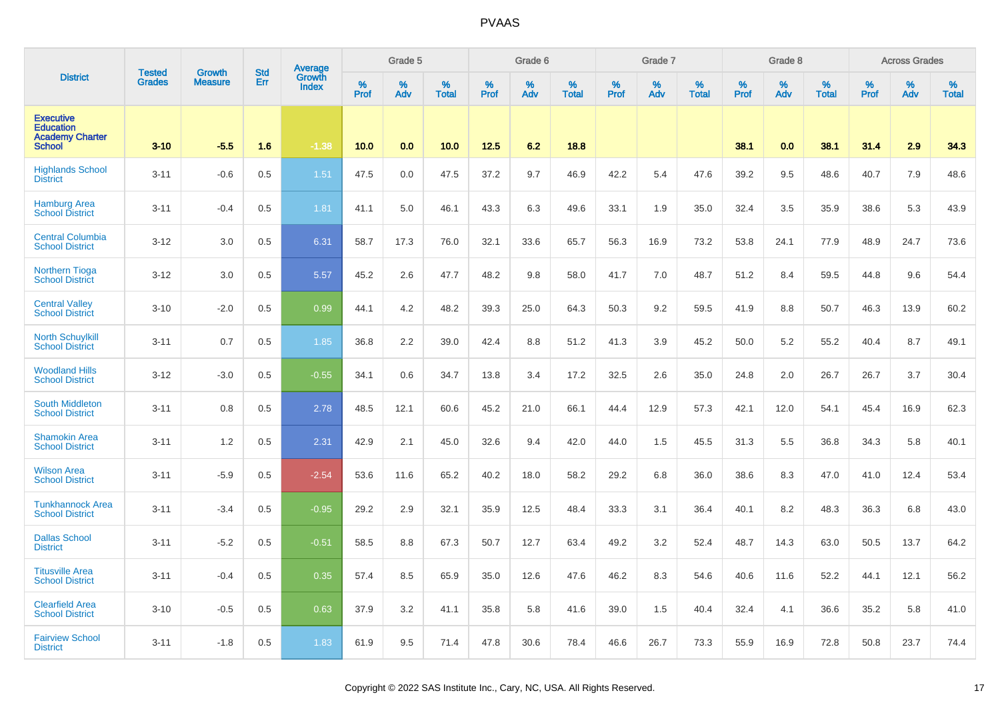|                                                                                 | <b>Tested</b> |                          | <b>Std</b> | Average                |           | Grade 5  |                   |           | Grade 6  |                   |           | Grade 7  |                   |           | Grade 8  |                   |           | <b>Across Grades</b> |                   |
|---------------------------------------------------------------------------------|---------------|--------------------------|------------|------------------------|-----------|----------|-------------------|-----------|----------|-------------------|-----------|----------|-------------------|-----------|----------|-------------------|-----------|----------------------|-------------------|
| <b>District</b>                                                                 | <b>Grades</b> | Growth<br><b>Measure</b> | Err        | Growth<br><b>Index</b> | %<br>Prof | %<br>Adv | %<br><b>Total</b> | %<br>Prof | %<br>Adv | %<br><b>Total</b> | %<br>Prof | %<br>Adv | %<br><b>Total</b> | %<br>Prof | %<br>Adv | %<br><b>Total</b> | %<br>Prof | %<br>Adv             | %<br><b>Total</b> |
| <b>Executive</b><br><b>Education</b><br><b>Academy Charter</b><br><b>School</b> | $3 - 10$      | $-5.5$                   | 1.6        | $-1.38$                | 10.0      | 0.0      | 10.0              | 12.5      | 6.2      | 18.8              |           |          |                   | 38.1      | 0.0      | 38.1              | 31.4      | 2.9                  | 34.3              |
| <b>Highlands School</b><br><b>District</b>                                      | $3 - 11$      | $-0.6$                   | 0.5        | 1.51                   | 47.5      | 0.0      | 47.5              | 37.2      | 9.7      | 46.9              | 42.2      | 5.4      | 47.6              | 39.2      | 9.5      | 48.6              | 40.7      | 7.9                  | 48.6              |
| <b>Hamburg Area</b><br><b>School District</b>                                   | $3 - 11$      | $-0.4$                   | 0.5        | 1.81                   | 41.1      | 5.0      | 46.1              | 43.3      | 6.3      | 49.6              | 33.1      | 1.9      | 35.0              | 32.4      | 3.5      | 35.9              | 38.6      | 5.3                  | 43.9              |
| <b>Central Columbia</b><br><b>School District</b>                               | $3 - 12$      | 3.0                      | 0.5        | 6.31                   | 58.7      | 17.3     | 76.0              | 32.1      | 33.6     | 65.7              | 56.3      | 16.9     | 73.2              | 53.8      | 24.1     | 77.9              | 48.9      | 24.7                 | 73.6              |
| <b>Northern Tioga</b><br><b>School District</b>                                 | $3 - 12$      | 3.0                      | 0.5        | 5.57                   | 45.2      | 2.6      | 47.7              | 48.2      | 9.8      | 58.0              | 41.7      | 7.0      | 48.7              | 51.2      | 8.4      | 59.5              | 44.8      | 9.6                  | 54.4              |
| <b>Central Valley</b><br><b>School District</b>                                 | $3 - 10$      | $-2.0$                   | 0.5        | 0.99                   | 44.1      | 4.2      | 48.2              | 39.3      | 25.0     | 64.3              | 50.3      | 9.2      | 59.5              | 41.9      | 8.8      | 50.7              | 46.3      | 13.9                 | 60.2              |
| <b>North Schuylkill</b><br><b>School District</b>                               | $3 - 11$      | 0.7                      | 0.5        | 1.85                   | 36.8      | 2.2      | 39.0              | 42.4      | 8.8      | 51.2              | 41.3      | 3.9      | 45.2              | 50.0      | 5.2      | 55.2              | 40.4      | 8.7                  | 49.1              |
| <b>Woodland Hills</b><br><b>School District</b>                                 | $3 - 12$      | $-3.0$                   | 0.5        | $-0.55$                | 34.1      | 0.6      | 34.7              | 13.8      | 3.4      | 17.2              | 32.5      | 2.6      | 35.0              | 24.8      | 2.0      | 26.7              | 26.7      | 3.7                  | 30.4              |
| <b>South Middleton</b><br><b>School District</b>                                | $3 - 11$      | 0.8                      | 0.5        | 2.78                   | 48.5      | 12.1     | 60.6              | 45.2      | 21.0     | 66.1              | 44.4      | 12.9     | 57.3              | 42.1      | 12.0     | 54.1              | 45.4      | 16.9                 | 62.3              |
| <b>Shamokin Area</b><br><b>School District</b>                                  | $3 - 11$      | 1.2                      | 0.5        | 2.31                   | 42.9      | 2.1      | 45.0              | 32.6      | 9.4      | 42.0              | 44.0      | 1.5      | 45.5              | 31.3      | 5.5      | 36.8              | 34.3      | 5.8                  | 40.1              |
| <b>Wilson Area</b><br><b>School District</b>                                    | $3 - 11$      | $-5.9$                   | 0.5        | $-2.54$                | 53.6      | 11.6     | 65.2              | 40.2      | 18.0     | 58.2              | 29.2      | 6.8      | 36.0              | 38.6      | 8.3      | 47.0              | 41.0      | 12.4                 | 53.4              |
| <b>Tunkhannock Area</b><br><b>School District</b>                               | $3 - 11$      | $-3.4$                   | 0.5        | $-0.95$                | 29.2      | 2.9      | 32.1              | 35.9      | 12.5     | 48.4              | 33.3      | 3.1      | 36.4              | 40.1      | 8.2      | 48.3              | 36.3      | 6.8                  | 43.0              |
| <b>Dallas School</b><br><b>District</b>                                         | $3 - 11$      | $-5.2$                   | 0.5        | $-0.51$                | 58.5      | 8.8      | 67.3              | 50.7      | 12.7     | 63.4              | 49.2      | 3.2      | 52.4              | 48.7      | 14.3     | 63.0              | 50.5      | 13.7                 | 64.2              |
| <b>Titusville Area</b><br><b>School District</b>                                | $3 - 11$      | $-0.4$                   | 0.5        | 0.35                   | 57.4      | 8.5      | 65.9              | 35.0      | 12.6     | 47.6              | 46.2      | 8.3      | 54.6              | 40.6      | 11.6     | 52.2              | 44.1      | 12.1                 | 56.2              |
| <b>Clearfield Area</b><br><b>School District</b>                                | $3 - 10$      | $-0.5$                   | 0.5        | 0.63                   | 37.9      | 3.2      | 41.1              | 35.8      | 5.8      | 41.6              | 39.0      | 1.5      | 40.4              | 32.4      | 4.1      | 36.6              | 35.2      | 5.8                  | 41.0              |
| <b>Fairview School</b><br><b>District</b>                                       | $3 - 11$      | $-1.8$                   | 0.5        | 1.83                   | 61.9      | 9.5      | 71.4              | 47.8      | 30.6     | 78.4              | 46.6      | 26.7     | 73.3              | 55.9      | 16.9     | 72.8              | 50.8      | 23.7                 | 74.4              |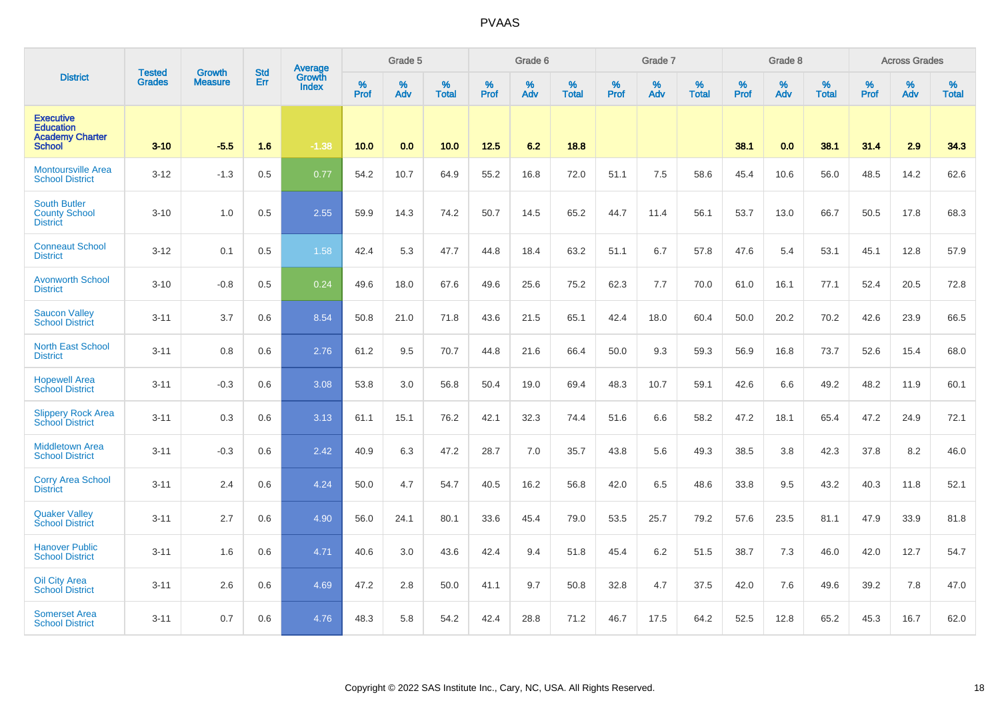|                                                                                 | <b>Tested</b> | <b>Growth</b>  | <b>Std</b> | Average                |              | Grade 5  |                   |           | Grade 6  |                   |           | Grade 7  |                   |           | Grade 8  |                   |           | <b>Across Grades</b> |                   |
|---------------------------------------------------------------------------------|---------------|----------------|------------|------------------------|--------------|----------|-------------------|-----------|----------|-------------------|-----------|----------|-------------------|-----------|----------|-------------------|-----------|----------------------|-------------------|
| <b>District</b>                                                                 | Grades        | <b>Measure</b> | Err        | Growth<br><b>Index</b> | $\%$<br>Prof | %<br>Adv | %<br><b>Total</b> | %<br>Prof | %<br>Adv | %<br><b>Total</b> | %<br>Prof | %<br>Adv | %<br><b>Total</b> | %<br>Prof | %<br>Adv | %<br><b>Total</b> | %<br>Prof | %<br>Adv             | %<br><b>Total</b> |
| <b>Executive</b><br><b>Education</b><br><b>Academy Charter</b><br><b>School</b> | $3 - 10$      | $-5.5$         | 1.6        | $-1.38$                | 10.0         | 0.0      | 10.0              | 12.5      | 6.2      | 18.8              |           |          |                   | 38.1      | 0.0      | 38.1              | 31.4      | 2.9                  | 34.3              |
| <b>Montoursville Area</b><br><b>School District</b>                             | $3 - 12$      | $-1.3$         | 0.5        | 0.77                   | 54.2         | 10.7     | 64.9              | 55.2      | 16.8     | 72.0              | 51.1      | 7.5      | 58.6              | 45.4      | 10.6     | 56.0              | 48.5      | 14.2                 | 62.6              |
| <b>South Butler</b><br><b>County School</b><br><b>District</b>                  | $3 - 10$      | 1.0            | 0.5        | 2.55                   | 59.9         | 14.3     | 74.2              | 50.7      | 14.5     | 65.2              | 44.7      | 11.4     | 56.1              | 53.7      | 13.0     | 66.7              | 50.5      | 17.8                 | 68.3              |
| <b>Conneaut School</b><br><b>District</b>                                       | $3 - 12$      | 0.1            | 0.5        | 1.58                   | 42.4         | 5.3      | 47.7              | 44.8      | 18.4     | 63.2              | 51.1      | 6.7      | 57.8              | 47.6      | 5.4      | 53.1              | 45.1      | 12.8                 | 57.9              |
| <b>Avonworth School</b><br><b>District</b>                                      | $3 - 10$      | $-0.8$         | 0.5        | 0.24                   | 49.6         | 18.0     | 67.6              | 49.6      | 25.6     | 75.2              | 62.3      | 7.7      | 70.0              | 61.0      | 16.1     | 77.1              | 52.4      | 20.5                 | 72.8              |
| <b>Saucon Valley</b><br><b>School District</b>                                  | $3 - 11$      | 3.7            | 0.6        | 8.54                   | 50.8         | 21.0     | 71.8              | 43.6      | 21.5     | 65.1              | 42.4      | 18.0     | 60.4              | 50.0      | 20.2     | 70.2              | 42.6      | 23.9                 | 66.5              |
| <b>North East School</b><br><b>District</b>                                     | $3 - 11$      | 0.8            | 0.6        | 2.76                   | 61.2         | 9.5      | 70.7              | 44.8      | 21.6     | 66.4              | 50.0      | 9.3      | 59.3              | 56.9      | 16.8     | 73.7              | 52.6      | 15.4                 | 68.0              |
| <b>Hopewell Area</b><br><b>School District</b>                                  | $3 - 11$      | $-0.3$         | 0.6        | 3.08                   | 53.8         | 3.0      | 56.8              | 50.4      | 19.0     | 69.4              | 48.3      | 10.7     | 59.1              | 42.6      | 6.6      | 49.2              | 48.2      | 11.9                 | 60.1              |
| <b>Slippery Rock Area</b><br><b>School District</b>                             | $3 - 11$      | 0.3            | 0.6        | 3.13                   | 61.1         | 15.1     | 76.2              | 42.1      | 32.3     | 74.4              | 51.6      | 6.6      | 58.2              | 47.2      | 18.1     | 65.4              | 47.2      | 24.9                 | 72.1              |
| <b>Middletown Area</b><br><b>School District</b>                                | $3 - 11$      | $-0.3$         | 0.6        | 2.42                   | 40.9         | 6.3      | 47.2              | 28.7      | 7.0      | 35.7              | 43.8      | 5.6      | 49.3              | 38.5      | 3.8      | 42.3              | 37.8      | 8.2                  | 46.0              |
| <b>Corry Area School</b><br><b>District</b>                                     | $3 - 11$      | 2.4            | 0.6        | 4.24                   | 50.0         | 4.7      | 54.7              | 40.5      | 16.2     | 56.8              | 42.0      | 6.5      | 48.6              | 33.8      | 9.5      | 43.2              | 40.3      | 11.8                 | 52.1              |
| <b>Quaker Valley</b><br><b>School District</b>                                  | $3 - 11$      | 2.7            | 0.6        | 4.90                   | 56.0         | 24.1     | 80.1              | 33.6      | 45.4     | 79.0              | 53.5      | 25.7     | 79.2              | 57.6      | 23.5     | 81.1              | 47.9      | 33.9                 | 81.8              |
| <b>Hanover Public</b><br><b>School District</b>                                 | $3 - 11$      | 1.6            | 0.6        | 4.71                   | 40.6         | 3.0      | 43.6              | 42.4      | 9.4      | 51.8              | 45.4      | 6.2      | 51.5              | 38.7      | 7.3      | 46.0              | 42.0      | 12.7                 | 54.7              |
| <b>Oil City Area</b><br><b>School District</b>                                  | $3 - 11$      | 2.6            | 0.6        | 4.69                   | 47.2         | 2.8      | 50.0              | 41.1      | 9.7      | 50.8              | 32.8      | 4.7      | 37.5              | 42.0      | 7.6      | 49.6              | 39.2      | 7.8                  | 47.0              |
| <b>Somerset Area</b><br><b>School District</b>                                  | $3 - 11$      | 0.7            | 0.6        | 4.76                   | 48.3         | 5.8      | 54.2              | 42.4      | 28.8     | 71.2              | 46.7      | 17.5     | 64.2              | 52.5      | 12.8     | 65.2              | 45.3      | 16.7                 | 62.0              |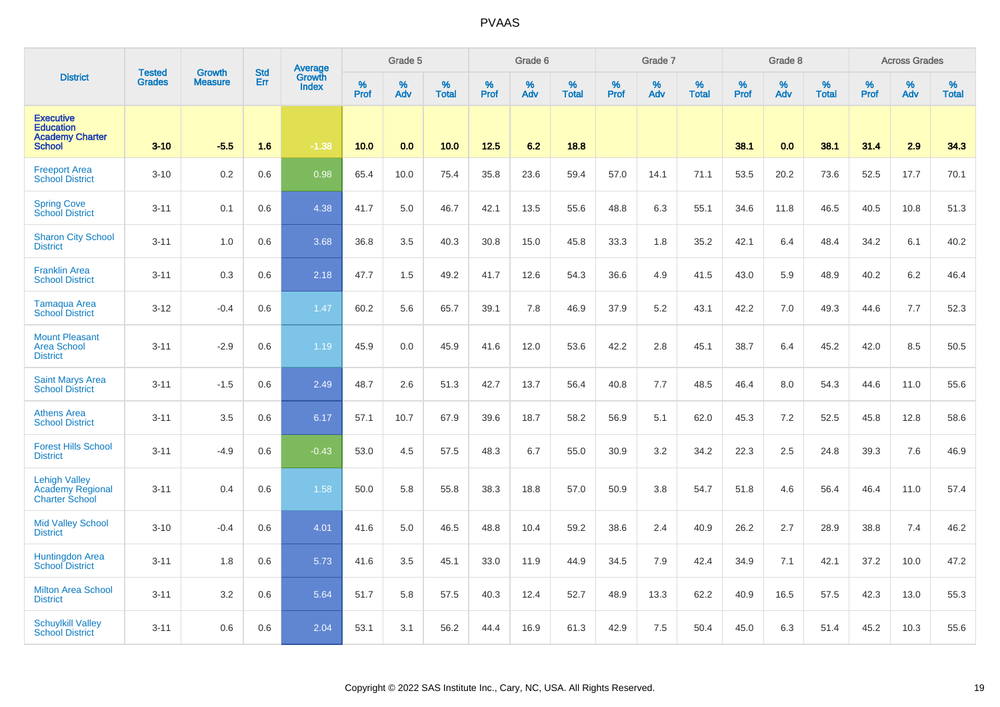|                                                                                 | <b>Tested</b> | <b>Growth</b>  | <b>Std</b> | Average<br>Growth |                  | Grade 5  |                   |           | Grade 6  |                   |           | Grade 7  |                   |           | Grade 8  |                   |           | <b>Across Grades</b> |                   |
|---------------------------------------------------------------------------------|---------------|----------------|------------|-------------------|------------------|----------|-------------------|-----------|----------|-------------------|-----------|----------|-------------------|-----------|----------|-------------------|-----------|----------------------|-------------------|
| <b>District</b>                                                                 | <b>Grades</b> | <b>Measure</b> | Err        | <b>Index</b>      | %<br><b>Prof</b> | %<br>Adv | %<br><b>Total</b> | %<br>Prof | %<br>Adv | %<br><b>Total</b> | %<br>Prof | %<br>Adv | %<br><b>Total</b> | %<br>Prof | %<br>Adv | %<br><b>Total</b> | %<br>Prof | %<br>Adv             | %<br><b>Total</b> |
| <b>Executive</b><br><b>Education</b><br><b>Academy Charter</b><br><b>School</b> | $3 - 10$      | $-5.5$         | 1.6        | $-1.38$           | 10.0             | 0.0      | 10.0              | 12.5      | 6.2      | 18.8              |           |          |                   | 38.1      | 0.0      | 38.1              | 31.4      | 2.9                  | 34.3              |
| <b>Freeport Area</b><br><b>School District</b>                                  | $3 - 10$      | 0.2            | 0.6        | 0.98              | 65.4             | 10.0     | 75.4              | 35.8      | 23.6     | 59.4              | 57.0      | 14.1     | 71.1              | 53.5      | 20.2     | 73.6              | 52.5      | 17.7                 | 70.1              |
| <b>Spring Cove</b><br><b>School District</b>                                    | $3 - 11$      | 0.1            | 0.6        | 4.38              | 41.7             | 5.0      | 46.7              | 42.1      | 13.5     | 55.6              | 48.8      | 6.3      | 55.1              | 34.6      | 11.8     | 46.5              | 40.5      | 10.8                 | 51.3              |
| <b>Sharon City School</b><br><b>District</b>                                    | $3 - 11$      | 1.0            | 0.6        | 3.68              | 36.8             | 3.5      | 40.3              | 30.8      | 15.0     | 45.8              | 33.3      | 1.8      | 35.2              | 42.1      | 6.4      | 48.4              | 34.2      | 6.1                  | 40.2              |
| <b>Franklin Area</b><br><b>School District</b>                                  | $3 - 11$      | 0.3            | 0.6        | 2.18              | 47.7             | 1.5      | 49.2              | 41.7      | 12.6     | 54.3              | 36.6      | 4.9      | 41.5              | 43.0      | 5.9      | 48.9              | 40.2      | 6.2                  | 46.4              |
| <b>Tamaqua Area</b><br><b>School District</b>                                   | $3 - 12$      | $-0.4$         | 0.6        | 1.47              | 60.2             | 5.6      | 65.7              | 39.1      | 7.8      | 46.9              | 37.9      | 5.2      | 43.1              | 42.2      | 7.0      | 49.3              | 44.6      | 7.7                  | 52.3              |
| <b>Mount Pleasant</b><br><b>Area School</b><br><b>District</b>                  | $3 - 11$      | $-2.9$         | 0.6        | 1.19              | 45.9             | 0.0      | 45.9              | 41.6      | 12.0     | 53.6              | 42.2      | 2.8      | 45.1              | 38.7      | 6.4      | 45.2              | 42.0      | 8.5                  | 50.5              |
| <b>Saint Marys Area</b><br><b>School District</b>                               | $3 - 11$      | $-1.5$         | 0.6        | 2.49              | 48.7             | 2.6      | 51.3              | 42.7      | 13.7     | 56.4              | 40.8      | 7.7      | 48.5              | 46.4      | 8.0      | 54.3              | 44.6      | 11.0                 | 55.6              |
| <b>Athens Area</b><br><b>School District</b>                                    | $3 - 11$      | 3.5            | 0.6        | 6.17              | 57.1             | 10.7     | 67.9              | 39.6      | 18.7     | 58.2              | 56.9      | 5.1      | 62.0              | 45.3      | 7.2      | 52.5              | 45.8      | 12.8                 | 58.6              |
| <b>Forest Hills School</b><br><b>District</b>                                   | $3 - 11$      | $-4.9$         | 0.6        | $-0.43$           | 53.0             | 4.5      | 57.5              | 48.3      | 6.7      | 55.0              | 30.9      | 3.2      | 34.2              | 22.3      | 2.5      | 24.8              | 39.3      | 7.6                  | 46.9              |
| <b>Lehigh Valley</b><br><b>Academy Regional</b><br><b>Charter School</b>        | $3 - 11$      | 0.4            | 0.6        | 1.58              | 50.0             | 5.8      | 55.8              | 38.3      | 18.8     | 57.0              | 50.9      | 3.8      | 54.7              | 51.8      | 4.6      | 56.4              | 46.4      | 11.0                 | 57.4              |
| <b>Mid Valley School</b><br><b>District</b>                                     | $3 - 10$      | $-0.4$         | 0.6        | 4.01              | 41.6             | 5.0      | 46.5              | 48.8      | 10.4     | 59.2              | 38.6      | 2.4      | 40.9              | 26.2      | 2.7      | 28.9              | 38.8      | 7.4                  | 46.2              |
| <b>Huntingdon Area</b><br><b>School District</b>                                | $3 - 11$      | 1.8            | 0.6        | 5.73              | 41.6             | 3.5      | 45.1              | 33.0      | 11.9     | 44.9              | 34.5      | 7.9      | 42.4              | 34.9      | 7.1      | 42.1              | 37.2      | 10.0                 | 47.2              |
| <b>Milton Area School</b><br><b>District</b>                                    | $3 - 11$      | 3.2            | 0.6        | 5.64              | 51.7             | 5.8      | 57.5              | 40.3      | 12.4     | 52.7              | 48.9      | 13.3     | 62.2              | 40.9      | 16.5     | 57.5              | 42.3      | 13.0                 | 55.3              |
| <b>Schuylkill Valley</b><br><b>School District</b>                              | $3 - 11$      | 0.6            | 0.6        | 2.04              | 53.1             | 3.1      | 56.2              | 44.4      | 16.9     | 61.3              | 42.9      | 7.5      | 50.4              | 45.0      | 6.3      | 51.4              | 45.2      | 10.3                 | 55.6              |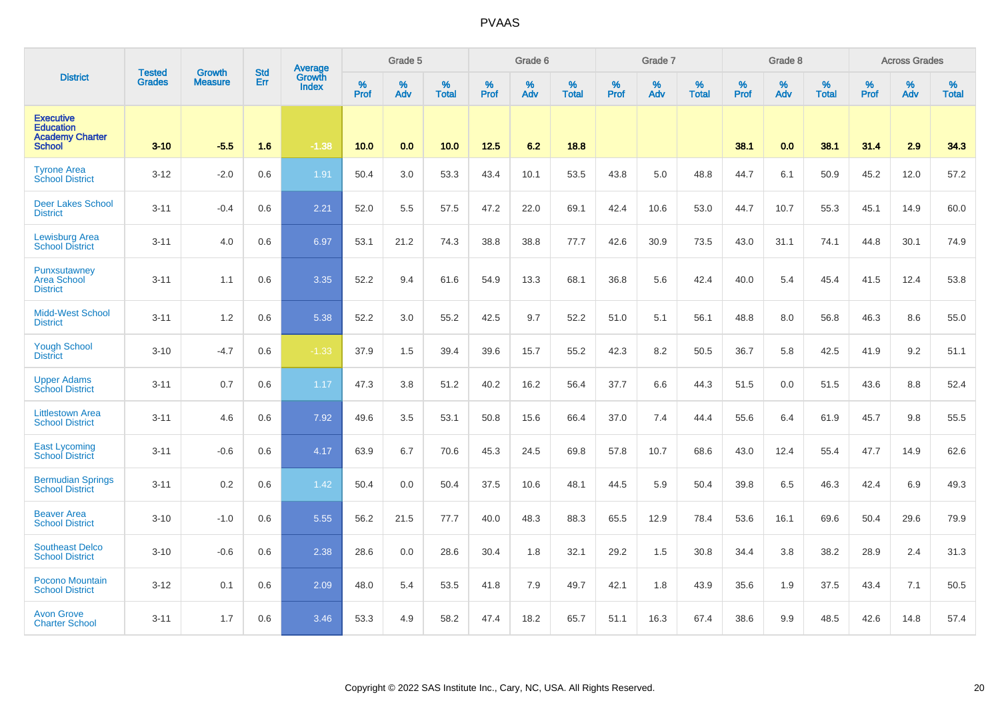|                                                                                 | <b>Tested</b> | <b>Growth</b>  | <b>Std</b> | Average                |                     | Grade 5  |                   |                  | Grade 6  |                   |           | Grade 7  |                   |           | Grade 8  |                   |                  | <b>Across Grades</b> |                   |
|---------------------------------------------------------------------------------|---------------|----------------|------------|------------------------|---------------------|----------|-------------------|------------------|----------|-------------------|-----------|----------|-------------------|-----------|----------|-------------------|------------------|----------------------|-------------------|
| <b>District</b>                                                                 | <b>Grades</b> | <b>Measure</b> | Err        | Growth<br><b>Index</b> | $\%$<br><b>Prof</b> | %<br>Adv | %<br><b>Total</b> | %<br><b>Prof</b> | %<br>Adv | %<br><b>Total</b> | %<br>Prof | %<br>Adv | %<br><b>Total</b> | %<br>Prof | %<br>Adv | %<br><b>Total</b> | %<br><b>Prof</b> | %<br>Adv             | %<br><b>Total</b> |
| <b>Executive</b><br><b>Education</b><br><b>Academy Charter</b><br><b>School</b> | $3 - 10$      | $-5.5$         | 1.6        | $-1.38$                | 10.0                | 0.0      | 10.0              | 12.5             | 6.2      | 18.8              |           |          |                   | 38.1      | 0.0      | 38.1              | 31.4             | 2.9                  | 34.3              |
| <b>Tyrone Area</b><br><b>School District</b>                                    | $3 - 12$      | $-2.0$         | 0.6        | 1.91                   | 50.4                | 3.0      | 53.3              | 43.4             | 10.1     | 53.5              | 43.8      | 5.0      | 48.8              | 44.7      | 6.1      | 50.9              | 45.2             | 12.0                 | 57.2              |
| <b>Deer Lakes School</b><br><b>District</b>                                     | $3 - 11$      | $-0.4$         | 0.6        | 2.21                   | 52.0                | 5.5      | 57.5              | 47.2             | 22.0     | 69.1              | 42.4      | 10.6     | 53.0              | 44.7      | 10.7     | 55.3              | 45.1             | 14.9                 | 60.0              |
| <b>Lewisburg Area</b><br><b>School District</b>                                 | $3 - 11$      | 4.0            | 0.6        | 6.97                   | 53.1                | 21.2     | 74.3              | 38.8             | 38.8     | 77.7              | 42.6      | 30.9     | 73.5              | 43.0      | 31.1     | 74.1              | 44.8             | 30.1                 | 74.9              |
| Punxsutawney<br><b>Area School</b><br><b>District</b>                           | $3 - 11$      | 1.1            | 0.6        | 3.35                   | 52.2                | 9.4      | 61.6              | 54.9             | 13.3     | 68.1              | 36.8      | 5.6      | 42.4              | 40.0      | 5.4      | 45.4              | 41.5             | 12.4                 | 53.8              |
| <b>Midd-West School</b><br><b>District</b>                                      | $3 - 11$      | 1.2            | 0.6        | 5.38                   | 52.2                | 3.0      | 55.2              | 42.5             | 9.7      | 52.2              | 51.0      | 5.1      | 56.1              | 48.8      | 8.0      | 56.8              | 46.3             | 8.6                  | 55.0              |
| <b>Yough School</b><br><b>District</b>                                          | $3 - 10$      | $-4.7$         | 0.6        | $-1.33$                | 37.9                | 1.5      | 39.4              | 39.6             | 15.7     | 55.2              | 42.3      | 8.2      | 50.5              | 36.7      | 5.8      | 42.5              | 41.9             | 9.2                  | 51.1              |
| <b>Upper Adams</b><br><b>School District</b>                                    | $3 - 11$      | 0.7            | 0.6        | 1.17                   | 47.3                | 3.8      | 51.2              | 40.2             | 16.2     | 56.4              | 37.7      | 6.6      | 44.3              | 51.5      | 0.0      | 51.5              | 43.6             | 8.8                  | 52.4              |
| <b>Littlestown Area</b><br><b>School District</b>                               | $3 - 11$      | 4.6            | 0.6        | 7.92                   | 49.6                | 3.5      | 53.1              | 50.8             | 15.6     | 66.4              | 37.0      | 7.4      | 44.4              | 55.6      | 6.4      | 61.9              | 45.7             | 9.8                  | 55.5              |
| <b>East Lycoming</b><br><b>School District</b>                                  | $3 - 11$      | $-0.6$         | 0.6        | 4.17                   | 63.9                | 6.7      | 70.6              | 45.3             | 24.5     | 69.8              | 57.8      | 10.7     | 68.6              | 43.0      | 12.4     | 55.4              | 47.7             | 14.9                 | 62.6              |
| <b>Bermudian Springs</b><br><b>School District</b>                              | $3 - 11$      | 0.2            | 0.6        | 1.42                   | 50.4                | 0.0      | 50.4              | 37.5             | 10.6     | 48.1              | 44.5      | 5.9      | 50.4              | 39.8      | 6.5      | 46.3              | 42.4             | 6.9                  | 49.3              |
| <b>Beaver Area</b><br><b>School District</b>                                    | $3 - 10$      | $-1.0$         | 0.6        | 5.55                   | 56.2                | 21.5     | 77.7              | 40.0             | 48.3     | 88.3              | 65.5      | 12.9     | 78.4              | 53.6      | 16.1     | 69.6              | 50.4             | 29.6                 | 79.9              |
| <b>Southeast Delco</b><br><b>School District</b>                                | $3 - 10$      | $-0.6$         | 0.6        | 2.38                   | 28.6                | 0.0      | 28.6              | 30.4             | 1.8      | 32.1              | 29.2      | 1.5      | 30.8              | 34.4      | 3.8      | 38.2              | 28.9             | 2.4                  | 31.3              |
| Pocono Mountain<br><b>School District</b>                                       | $3 - 12$      | 0.1            | 0.6        | 2.09                   | 48.0                | 5.4      | 53.5              | 41.8             | 7.9      | 49.7              | 42.1      | 1.8      | 43.9              | 35.6      | 1.9      | 37.5              | 43.4             | 7.1                  | 50.5              |
| <b>Avon Grove</b><br><b>Charter School</b>                                      | $3 - 11$      | 1.7            | 0.6        | 3.46                   | 53.3                | 4.9      | 58.2              | 47.4             | 18.2     | 65.7              | 51.1      | 16.3     | 67.4              | 38.6      | 9.9      | 48.5              | 42.6             | 14.8                 | 57.4              |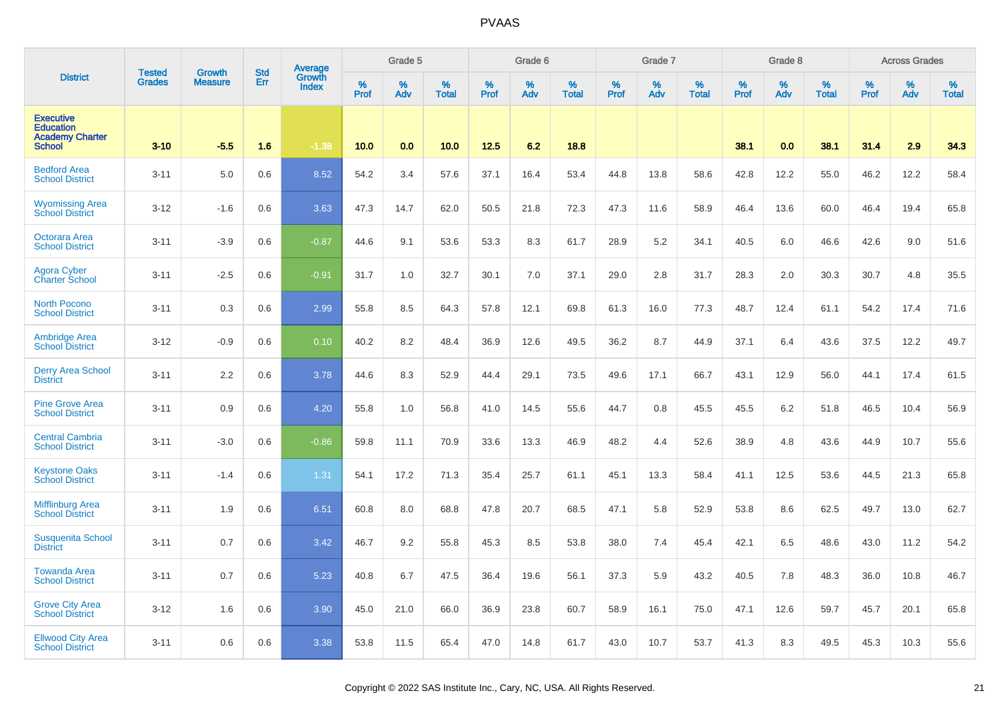|                                                                                 |                                |                          | <b>Std</b> | Average                |           | Grade 5  |                   |           | Grade 6  |                   |           | Grade 7  |                   |           | Grade 8  |                   |           | <b>Across Grades</b> |                   |
|---------------------------------------------------------------------------------|--------------------------------|--------------------------|------------|------------------------|-----------|----------|-------------------|-----------|----------|-------------------|-----------|----------|-------------------|-----------|----------|-------------------|-----------|----------------------|-------------------|
| <b>District</b>                                                                 | <b>Tested</b><br><b>Grades</b> | Growth<br><b>Measure</b> | Err        | Growth<br><b>Index</b> | %<br>Prof | %<br>Adv | %<br><b>Total</b> | %<br>Prof | %<br>Adv | %<br><b>Total</b> | %<br>Prof | %<br>Adv | %<br><b>Total</b> | %<br>Prof | %<br>Adv | %<br><b>Total</b> | %<br>Prof | %<br>Adv             | %<br><b>Total</b> |
| <b>Executive</b><br><b>Education</b><br><b>Academy Charter</b><br><b>School</b> | $3 - 10$                       | $-5.5$                   | 1.6        | $-1.38$                | 10.0      | 0.0      | 10.0              | 12.5      | 6.2      | 18.8              |           |          |                   | 38.1      | 0.0      | 38.1              | 31.4      | 2.9                  | 34.3              |
| <b>Bedford Area</b><br><b>School District</b>                                   | $3 - 11$                       | 5.0                      | 0.6        | 8.52                   | 54.2      | 3.4      | 57.6              | 37.1      | 16.4     | 53.4              | 44.8      | 13.8     | 58.6              | 42.8      | 12.2     | 55.0              | 46.2      | 12.2                 | 58.4              |
| <b>Wyomissing Area</b><br><b>School District</b>                                | $3-12$                         | $-1.6$                   | 0.6        | 3.63                   | 47.3      | 14.7     | 62.0              | 50.5      | 21.8     | 72.3              | 47.3      | 11.6     | 58.9              | 46.4      | 13.6     | 60.0              | 46.4      | 19.4                 | 65.8              |
| <b>Octorara Area</b><br><b>School District</b>                                  | $3 - 11$                       | $-3.9$                   | 0.6        | $-0.87$                | 44.6      | 9.1      | 53.6              | 53.3      | 8.3      | 61.7              | 28.9      | 5.2      | 34.1              | 40.5      | 6.0      | 46.6              | 42.6      | 9.0                  | 51.6              |
| <b>Agora Cyber</b><br><b>Charter School</b>                                     | $3 - 11$                       | $-2.5$                   | 0.6        | $-0.91$                | 31.7      | 1.0      | 32.7              | 30.1      | 7.0      | 37.1              | 29.0      | 2.8      | 31.7              | 28.3      | 2.0      | 30.3              | 30.7      | 4.8                  | 35.5              |
| <b>North Pocono</b><br><b>School District</b>                                   | $3 - 11$                       | 0.3                      | 0.6        | 2.99                   | 55.8      | 8.5      | 64.3              | 57.8      | 12.1     | 69.8              | 61.3      | 16.0     | 77.3              | 48.7      | 12.4     | 61.1              | 54.2      | 17.4                 | 71.6              |
| <b>Ambridge Area</b><br><b>School District</b>                                  | $3 - 12$                       | $-0.9$                   | 0.6        | 0.10                   | 40.2      | 8.2      | 48.4              | 36.9      | 12.6     | 49.5              | 36.2      | 8.7      | 44.9              | 37.1      | 6.4      | 43.6              | 37.5      | 12.2                 | 49.7              |
| <b>Derry Area School</b><br><b>District</b>                                     | $3 - 11$                       | 2.2                      | 0.6        | 3.78                   | 44.6      | 8.3      | 52.9              | 44.4      | 29.1     | 73.5              | 49.6      | 17.1     | 66.7              | 43.1      | 12.9     | 56.0              | 44.1      | 17.4                 | 61.5              |
| <b>Pine Grove Area</b><br><b>School District</b>                                | $3 - 11$                       | 0.9                      | 0.6        | 4.20                   | 55.8      | 1.0      | 56.8              | 41.0      | 14.5     | 55.6              | 44.7      | 0.8      | 45.5              | 45.5      | 6.2      | 51.8              | 46.5      | 10.4                 | 56.9              |
| <b>Central Cambria</b><br><b>School District</b>                                | $3 - 11$                       | $-3.0$                   | 0.6        | $-0.86$                | 59.8      | 11.1     | 70.9              | 33.6      | 13.3     | 46.9              | 48.2      | 4.4      | 52.6              | 38.9      | 4.8      | 43.6              | 44.9      | 10.7                 | 55.6              |
| <b>Keystone Oaks</b><br><b>School District</b>                                  | $3 - 11$                       | $-1.4$                   | 0.6        | 1.31                   | 54.1      | 17.2     | 71.3              | 35.4      | 25.7     | 61.1              | 45.1      | 13.3     | 58.4              | 41.1      | 12.5     | 53.6              | 44.5      | 21.3                 | 65.8              |
| <b>Mifflinburg Area</b><br><b>School District</b>                               | $3 - 11$                       | 1.9                      | 0.6        | 6.51                   | 60.8      | 8.0      | 68.8              | 47.8      | 20.7     | 68.5              | 47.1      | 5.8      | 52.9              | 53.8      | 8.6      | 62.5              | 49.7      | 13.0                 | 62.7              |
| <b>Susquenita School</b><br><b>District</b>                                     | $3 - 11$                       | 0.7                      | 0.6        | 3.42                   | 46.7      | 9.2      | 55.8              | 45.3      | 8.5      | 53.8              | 38.0      | 7.4      | 45.4              | 42.1      | 6.5      | 48.6              | 43.0      | 11.2                 | 54.2              |
| <b>Towanda Area</b><br><b>School District</b>                                   | $3 - 11$                       | 0.7                      | 0.6        | 5.23                   | 40.8      | 6.7      | 47.5              | 36.4      | 19.6     | 56.1              | 37.3      | 5.9      | 43.2              | 40.5      | 7.8      | 48.3              | 36.0      | 10.8                 | 46.7              |
| <b>Grove City Area</b><br><b>School District</b>                                | $3 - 12$                       | 1.6                      | 0.6        | 3.90                   | 45.0      | 21.0     | 66.0              | 36.9      | 23.8     | 60.7              | 58.9      | 16.1     | 75.0              | 47.1      | 12.6     | 59.7              | 45.7      | 20.1                 | 65.8              |
| <b>Ellwood City Area</b><br><b>School District</b>                              | $3 - 11$                       | 0.6                      | 0.6        | 3.38                   | 53.8      | 11.5     | 65.4              | 47.0      | 14.8     | 61.7              | 43.0      | 10.7     | 53.7              | 41.3      | 8.3      | 49.5              | 45.3      | 10.3                 | 55.6              |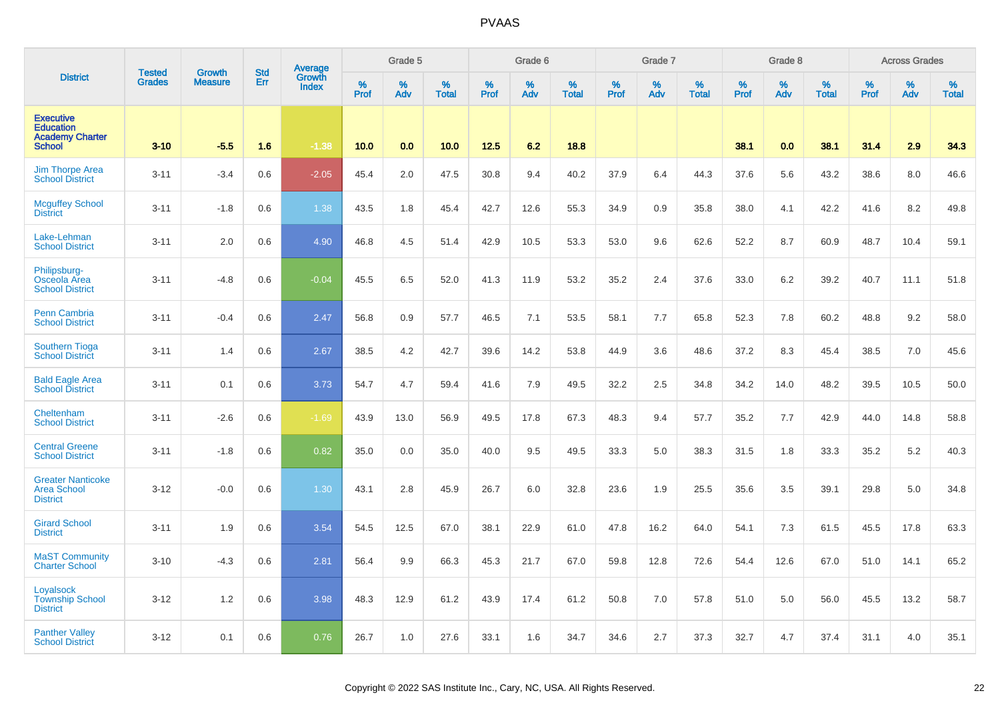|                                                                                 | <b>Tested</b> |                          | <b>Std</b> | Average                |              | Grade 5  |                   |           | Grade 6  |                   |           | Grade 7  |                   |           | Grade 8  |                      |              | <b>Across Grades</b> |                   |
|---------------------------------------------------------------------------------|---------------|--------------------------|------------|------------------------|--------------|----------|-------------------|-----------|----------|-------------------|-----------|----------|-------------------|-----------|----------|----------------------|--------------|----------------------|-------------------|
| <b>District</b>                                                                 | <b>Grades</b> | Growth<br><b>Measure</b> | Err        | Growth<br><b>Index</b> | $\%$<br>Prof | %<br>Adv | %<br><b>Total</b> | %<br>Prof | %<br>Adv | %<br><b>Total</b> | %<br>Prof | %<br>Adv | %<br><b>Total</b> | %<br>Prof | %<br>Adv | $\%$<br><b>Total</b> | $\%$<br>Prof | %<br>Adv             | %<br><b>Total</b> |
| <b>Executive</b><br><b>Education</b><br><b>Academy Charter</b><br><b>School</b> | $3 - 10$      | $-5.5$                   | 1.6        | $-1.38$                | 10.0         | 0.0      | 10.0              | 12.5      | 6.2      | 18.8              |           |          |                   | 38.1      | 0.0      | 38.1                 | 31.4         | 2.9                  | 34.3              |
| <b>Jim Thorpe Area</b><br><b>School District</b>                                | $3 - 11$      | $-3.4$                   | 0.6        | $-2.05$                | 45.4         | 2.0      | 47.5              | 30.8      | 9.4      | 40.2              | 37.9      | 6.4      | 44.3              | 37.6      | 5.6      | 43.2                 | 38.6         | 8.0                  | 46.6              |
| <b>Mcguffey School</b><br><b>District</b>                                       | $3 - 11$      | $-1.8$                   | 0.6        | 1.38                   | 43.5         | 1.8      | 45.4              | 42.7      | 12.6     | 55.3              | 34.9      | 0.9      | 35.8              | 38.0      | 4.1      | 42.2                 | 41.6         | 8.2                  | 49.8              |
| Lake-Lehman<br><b>School District</b>                                           | $3 - 11$      | 2.0                      | 0.6        | 4.90                   | 46.8         | 4.5      | 51.4              | 42.9      | 10.5     | 53.3              | 53.0      | 9.6      | 62.6              | 52.2      | 8.7      | 60.9                 | 48.7         | 10.4                 | 59.1              |
| Philipsburg-<br>Osceola Area<br><b>School District</b>                          | $3 - 11$      | $-4.8$                   | 0.6        | $-0.04$                | 45.5         | 6.5      | 52.0              | 41.3      | 11.9     | 53.2              | 35.2      | 2.4      | 37.6              | 33.0      | 6.2      | 39.2                 | 40.7         | 11.1                 | 51.8              |
| <b>Penn Cambria</b><br><b>School District</b>                                   | $3 - 11$      | $-0.4$                   | 0.6        | 2.47                   | 56.8         | 0.9      | 57.7              | 46.5      | 7.1      | 53.5              | 58.1      | 7.7      | 65.8              | 52.3      | 7.8      | 60.2                 | 48.8         | 9.2                  | 58.0              |
| <b>Southern Tioga</b><br><b>School District</b>                                 | $3 - 11$      | 1.4                      | 0.6        | 2.67                   | 38.5         | 4.2      | 42.7              | 39.6      | 14.2     | 53.8              | 44.9      | 3.6      | 48.6              | 37.2      | 8.3      | 45.4                 | 38.5         | 7.0                  | 45.6              |
| <b>Bald Eagle Area</b><br><b>School District</b>                                | $3 - 11$      | 0.1                      | 0.6        | 3.73                   | 54.7         | 4.7      | 59.4              | 41.6      | 7.9      | 49.5              | 32.2      | 2.5      | 34.8              | 34.2      | 14.0     | 48.2                 | 39.5         | 10.5                 | 50.0              |
| Cheltenham<br><b>School District</b>                                            | $3 - 11$      | $-2.6$                   | 0.6        | $-1.69$                | 43.9         | 13.0     | 56.9              | 49.5      | 17.8     | 67.3              | 48.3      | 9.4      | 57.7              | 35.2      | 7.7      | 42.9                 | 44.0         | 14.8                 | 58.8              |
| <b>Central Greene</b><br><b>School District</b>                                 | $3 - 11$      | $-1.8$                   | 0.6        | 0.82                   | 35.0         | 0.0      | 35.0              | 40.0      | 9.5      | 49.5              | 33.3      | 5.0      | 38.3              | 31.5      | 1.8      | 33.3                 | 35.2         | 5.2                  | 40.3              |
| <b>Greater Nanticoke</b><br><b>Area School</b><br><b>District</b>               | $3 - 12$      | $-0.0$                   | 0.6        | 1.30                   | 43.1         | 2.8      | 45.9              | 26.7      | 6.0      | 32.8              | 23.6      | 1.9      | 25.5              | 35.6      | 3.5      | 39.1                 | 29.8         | 5.0                  | 34.8              |
| <b>Girard School</b><br><b>District</b>                                         | $3 - 11$      | 1.9                      | 0.6        | 3.54                   | 54.5         | 12.5     | 67.0              | 38.1      | 22.9     | 61.0              | 47.8      | 16.2     | 64.0              | 54.1      | 7.3      | 61.5                 | 45.5         | 17.8                 | 63.3              |
| <b>MaST Community</b><br><b>Charter School</b>                                  | $3 - 10$      | $-4.3$                   | 0.6        | 2.81                   | 56.4         | 9.9      | 66.3              | 45.3      | 21.7     | 67.0              | 59.8      | 12.8     | 72.6              | 54.4      | 12.6     | 67.0                 | 51.0         | 14.1                 | 65.2              |
| Loyalsock<br><b>Township School</b><br><b>District</b>                          | $3 - 12$      | 1.2                      | 0.6        | 3.98                   | 48.3         | 12.9     | 61.2              | 43.9      | 17.4     | 61.2              | 50.8      | 7.0      | 57.8              | 51.0      | 5.0      | 56.0                 | 45.5         | 13.2                 | 58.7              |
| <b>Panther Valley</b><br><b>School District</b>                                 | $3 - 12$      | 0.1                      | 0.6        | 0.76                   | 26.7         | 1.0      | 27.6              | 33.1      | 1.6      | 34.7              | 34.6      | 2.7      | 37.3              | 32.7      | 4.7      | 37.4                 | 31.1         | 4.0                  | 35.1              |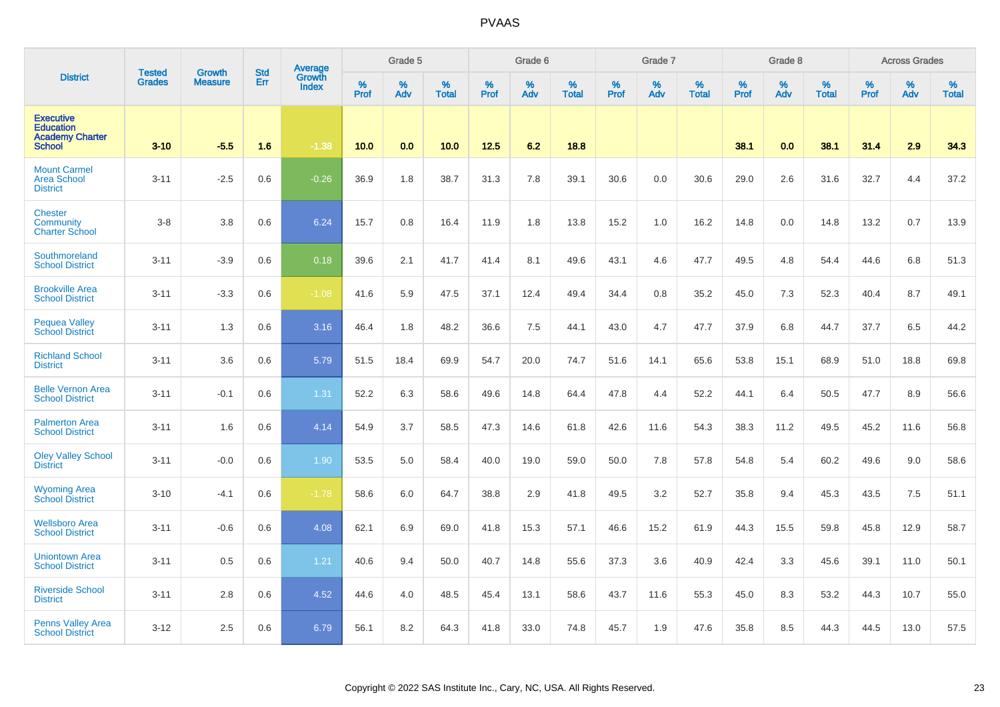|                                                                                 | <b>Tested</b> | <b>Growth</b>  | <b>Std</b> | Average<br>Growth |                  | Grade 5  |                   |           | Grade 6  |                   |           | Grade 7  |                   |           | Grade 8  |                   |           | <b>Across Grades</b> |                   |
|---------------------------------------------------------------------------------|---------------|----------------|------------|-------------------|------------------|----------|-------------------|-----------|----------|-------------------|-----------|----------|-------------------|-----------|----------|-------------------|-----------|----------------------|-------------------|
| <b>District</b>                                                                 | <b>Grades</b> | <b>Measure</b> | Err        | <b>Index</b>      | %<br><b>Prof</b> | %<br>Adv | %<br><b>Total</b> | %<br>Prof | %<br>Adv | %<br><b>Total</b> | %<br>Prof | %<br>Adv | %<br><b>Total</b> | %<br>Prof | %<br>Adv | %<br><b>Total</b> | %<br>Prof | %<br>Adv             | %<br><b>Total</b> |
| <b>Executive</b><br><b>Education</b><br><b>Academy Charter</b><br><b>School</b> | $3 - 10$      | $-5.5$         | 1.6        | $-1.38$           | 10.0             | 0.0      | 10.0              | 12.5      | 6.2      | 18.8              |           |          |                   | 38.1      | 0.0      | 38.1              | 31.4      | 2.9                  | 34.3              |
| <b>Mount Carmel</b><br><b>Area School</b><br><b>District</b>                    | $3 - 11$      | $-2.5$         | 0.6        | $-0.26$           | 36.9             | 1.8      | 38.7              | 31.3      | 7.8      | 39.1              | 30.6      | 0.0      | 30.6              | 29.0      | 2.6      | 31.6              | 32.7      | 4.4                  | 37.2              |
| <b>Chester</b><br>Community<br><b>Charter School</b>                            | $3-8$         | 3.8            | 0.6        | 6.24              | 15.7             | 0.8      | 16.4              | 11.9      | 1.8      | 13.8              | 15.2      | 1.0      | 16.2              | 14.8      | 0.0      | 14.8              | 13.2      | 0.7                  | 13.9              |
| Southmoreland<br><b>School District</b>                                         | $3 - 11$      | $-3.9$         | 0.6        | 0.18              | 39.6             | 2.1      | 41.7              | 41.4      | 8.1      | 49.6              | 43.1      | 4.6      | 47.7              | 49.5      | 4.8      | 54.4              | 44.6      | 6.8                  | 51.3              |
| <b>Brookville Area</b><br><b>School District</b>                                | $3 - 11$      | $-3.3$         | 0.6        | $-1.08$           | 41.6             | 5.9      | 47.5              | 37.1      | 12.4     | 49.4              | 34.4      | 0.8      | 35.2              | 45.0      | 7.3      | 52.3              | 40.4      | 8.7                  | 49.1              |
| <b>Pequea Valley</b><br><b>School District</b>                                  | $3 - 11$      | 1.3            | 0.6        | 3.16              | 46.4             | 1.8      | 48.2              | 36.6      | 7.5      | 44.1              | 43.0      | 4.7      | 47.7              | 37.9      | 6.8      | 44.7              | 37.7      | 6.5                  | 44.2              |
| <b>Richland School</b><br><b>District</b>                                       | $3 - 11$      | 3.6            | 0.6        | 5.79              | 51.5             | 18.4     | 69.9              | 54.7      | 20.0     | 74.7              | 51.6      | 14.1     | 65.6              | 53.8      | 15.1     | 68.9              | 51.0      | 18.8                 | 69.8              |
| <b>Belle Vernon Area</b><br><b>School District</b>                              | $3 - 11$      | $-0.1$         | 0.6        | 1.31              | 52.2             | 6.3      | 58.6              | 49.6      | 14.8     | 64.4              | 47.8      | 4.4      | 52.2              | 44.1      | 6.4      | 50.5              | 47.7      | 8.9                  | 56.6              |
| <b>Palmerton Area</b><br><b>School District</b>                                 | $3 - 11$      | 1.6            | 0.6        | 4.14              | 54.9             | 3.7      | 58.5              | 47.3      | 14.6     | 61.8              | 42.6      | 11.6     | 54.3              | 38.3      | 11.2     | 49.5              | 45.2      | 11.6                 | 56.8              |
| <b>Oley Valley School</b><br><b>District</b>                                    | $3 - 11$      | $-0.0$         | 0.6        | 1.90              | 53.5             | 5.0      | 58.4              | 40.0      | 19.0     | 59.0              | 50.0      | 7.8      | 57.8              | 54.8      | 5.4      | 60.2              | 49.6      | 9.0                  | 58.6              |
| <b>Wyoming Area</b><br><b>School District</b>                                   | $3 - 10$      | $-4.1$         | 0.6        | $-1.78$           | 58.6             | 6.0      | 64.7              | 38.8      | 2.9      | 41.8              | 49.5      | 3.2      | 52.7              | 35.8      | 9.4      | 45.3              | 43.5      | 7.5                  | 51.1              |
| <b>Wellsboro Area</b><br><b>School District</b>                                 | $3 - 11$      | $-0.6$         | 0.6        | 4.08              | 62.1             | 6.9      | 69.0              | 41.8      | 15.3     | 57.1              | 46.6      | 15.2     | 61.9              | 44.3      | 15.5     | 59.8              | 45.8      | 12.9                 | 58.7              |
| <b>Uniontown Area</b><br><b>School District</b>                                 | $3 - 11$      | 0.5            | 0.6        | 1.21              | 40.6             | 9.4      | 50.0              | 40.7      | 14.8     | 55.6              | 37.3      | 3.6      | 40.9              | 42.4      | 3.3      | 45.6              | 39.1      | 11.0                 | 50.1              |
| <b>Riverside School</b><br><b>District</b>                                      | $3 - 11$      | 2.8            | 0.6        | 4.52              | 44.6             | 4.0      | 48.5              | 45.4      | 13.1     | 58.6              | 43.7      | 11.6     | 55.3              | 45.0      | 8.3      | 53.2              | 44.3      | 10.7                 | 55.0              |
| <b>Penns Valley Area</b><br><b>School District</b>                              | $3 - 12$      | 2.5            | 0.6        | 6.79              | 56.1             | 8.2      | 64.3              | 41.8      | 33.0     | 74.8              | 45.7      | 1.9      | 47.6              | 35.8      | 8.5      | 44.3              | 44.5      | 13.0                 | 57.5              |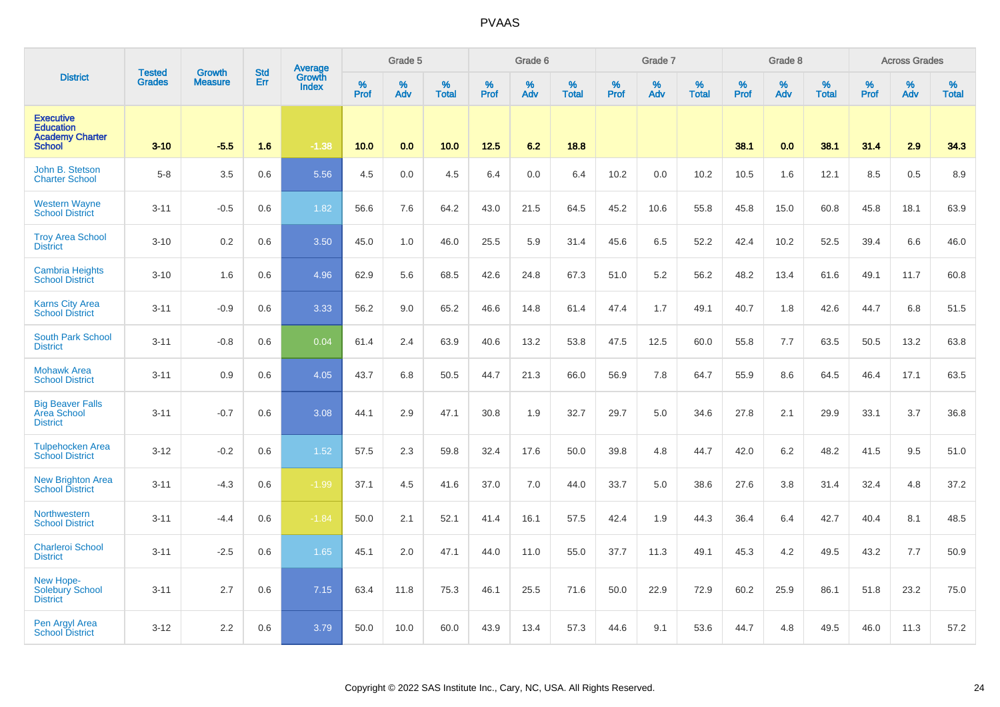|                                                                                 | <b>Tested</b> | <b>Growth</b>  | <b>Std</b> | Average<br>Growth |                  | Grade 5  |                   |           | Grade 6  |                   |           | Grade 7  |                   |           | Grade 8  |                   |           | <b>Across Grades</b> |                   |
|---------------------------------------------------------------------------------|---------------|----------------|------------|-------------------|------------------|----------|-------------------|-----------|----------|-------------------|-----------|----------|-------------------|-----------|----------|-------------------|-----------|----------------------|-------------------|
| <b>District</b>                                                                 | <b>Grades</b> | <b>Measure</b> | Err        | <b>Index</b>      | %<br><b>Prof</b> | %<br>Adv | %<br><b>Total</b> | %<br>Prof | %<br>Adv | %<br><b>Total</b> | %<br>Prof | %<br>Adv | %<br><b>Total</b> | %<br>Prof | %<br>Adv | %<br><b>Total</b> | %<br>Prof | %<br>Adv             | %<br><b>Total</b> |
| <b>Executive</b><br><b>Education</b><br><b>Academy Charter</b><br><b>School</b> | $3 - 10$      | $-5.5$         | 1.6        | $-1.38$           | 10.0             | 0.0      | 10.0              | 12.5      | 6.2      | 18.8              |           |          |                   | 38.1      | 0.0      | 38.1              | 31.4      | 2.9                  | 34.3              |
| John B. Stetson<br><b>Charter School</b>                                        | $5 - 8$       | 3.5            | 0.6        | 5.56              | 4.5              | 0.0      | 4.5               | 6.4       | 0.0      | 6.4               | 10.2      | 0.0      | 10.2              | 10.5      | 1.6      | 12.1              | 8.5       | 0.5                  | 8.9               |
| <b>Western Wayne</b><br><b>School District</b>                                  | $3 - 11$      | $-0.5$         | 0.6        | 1.82              | 56.6             | 7.6      | 64.2              | 43.0      | 21.5     | 64.5              | 45.2      | 10.6     | 55.8              | 45.8      | 15.0     | 60.8              | 45.8      | 18.1                 | 63.9              |
| <b>Troy Area School</b><br><b>District</b>                                      | $3 - 10$      | 0.2            | 0.6        | 3.50              | 45.0             | 1.0      | 46.0              | 25.5      | 5.9      | 31.4              | 45.6      | 6.5      | 52.2              | 42.4      | 10.2     | 52.5              | 39.4      | 6.6                  | 46.0              |
| <b>Cambria Heights</b><br><b>School District</b>                                | $3 - 10$      | 1.6            | 0.6        | 4.96              | 62.9             | 5.6      | 68.5              | 42.6      | 24.8     | 67.3              | 51.0      | 5.2      | 56.2              | 48.2      | 13.4     | 61.6              | 49.1      | 11.7                 | 60.8              |
| <b>Karns City Area</b><br><b>School District</b>                                | $3 - 11$      | $-0.9$         | 0.6        | 3.33              | 56.2             | 9.0      | 65.2              | 46.6      | 14.8     | 61.4              | 47.4      | 1.7      | 49.1              | 40.7      | 1.8      | 42.6              | 44.7      | 6.8                  | 51.5              |
| <b>South Park School</b><br><b>District</b>                                     | $3 - 11$      | $-0.8$         | 0.6        | 0.04              | 61.4             | 2.4      | 63.9              | 40.6      | 13.2     | 53.8              | 47.5      | 12.5     | 60.0              | 55.8      | 7.7      | 63.5              | 50.5      | 13.2                 | 63.8              |
| <b>Mohawk Area</b><br><b>School District</b>                                    | $3 - 11$      | 0.9            | 0.6        | 4.05              | 43.7             | 6.8      | 50.5              | 44.7      | 21.3     | 66.0              | 56.9      | 7.8      | 64.7              | 55.9      | 8.6      | 64.5              | 46.4      | 17.1                 | 63.5              |
| <b>Big Beaver Falls</b><br><b>Area School</b><br><b>District</b>                | $3 - 11$      | $-0.7$         | 0.6        | 3.08              | 44.1             | 2.9      | 47.1              | 30.8      | 1.9      | 32.7              | 29.7      | 5.0      | 34.6              | 27.8      | 2.1      | 29.9              | 33.1      | 3.7                  | 36.8              |
| <b>Tulpehocken Area</b><br><b>School District</b>                               | $3 - 12$      | $-0.2$         | 0.6        | 1.52              | 57.5             | 2.3      | 59.8              | 32.4      | 17.6     | 50.0              | 39.8      | 4.8      | 44.7              | 42.0      | 6.2      | 48.2              | 41.5      | 9.5                  | 51.0              |
| <b>New Brighton Area</b><br><b>School District</b>                              | $3 - 11$      | $-4.3$         | 0.6        | $-1.99$           | 37.1             | 4.5      | 41.6              | 37.0      | 7.0      | 44.0              | 33.7      | 5.0      | 38.6              | 27.6      | 3.8      | 31.4              | 32.4      | 4.8                  | 37.2              |
| Northwestern<br><b>School District</b>                                          | $3 - 11$      | $-4.4$         | 0.6        | $-1.84$           | 50.0             | 2.1      | 52.1              | 41.4      | 16.1     | 57.5              | 42.4      | 1.9      | 44.3              | 36.4      | 6.4      | 42.7              | 40.4      | 8.1                  | 48.5              |
| <b>Charleroi School</b><br><b>District</b>                                      | $3 - 11$      | $-2.5$         | 0.6        | 1.65              | 45.1             | 2.0      | 47.1              | 44.0      | 11.0     | 55.0              | 37.7      | 11.3     | 49.1              | 45.3      | 4.2      | 49.5              | 43.2      | 7.7                  | 50.9              |
| New Hope-<br>Solebury School<br><b>District</b>                                 | $3 - 11$      | 2.7            | 0.6        | 7.15              | 63.4             | 11.8     | 75.3              | 46.1      | 25.5     | 71.6              | 50.0      | 22.9     | 72.9              | 60.2      | 25.9     | 86.1              | 51.8      | 23.2                 | 75.0              |
| Pen Argyl Area<br><b>School District</b>                                        | $3 - 12$      | 2.2            | 0.6        | 3.79              | 50.0             | 10.0     | 60.0              | 43.9      | 13.4     | 57.3              | 44.6      | 9.1      | 53.6              | 44.7      | 4.8      | 49.5              | 46.0      | 11.3                 | 57.2              |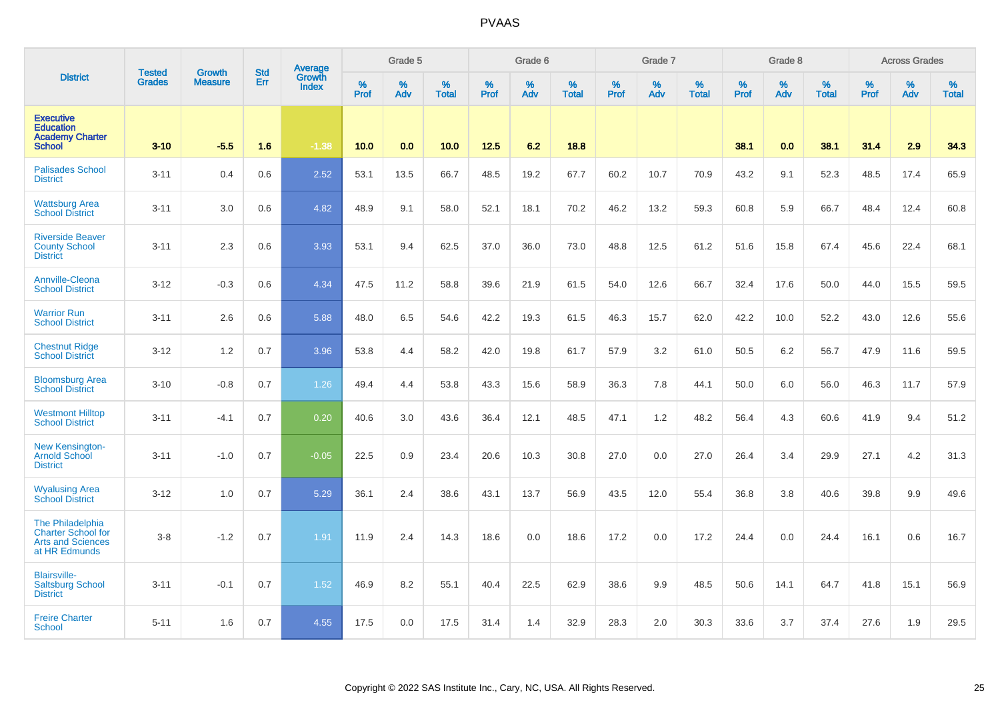|                                                                                            | <b>Tested</b> | <b>Growth</b>  | <b>Std</b> | Average                |           | Grade 5     |                      |                  | Grade 6  |                   |              | Grade 7  |                   |              | Grade 8  |                      |              | <b>Across Grades</b> |                      |
|--------------------------------------------------------------------------------------------|---------------|----------------|------------|------------------------|-----------|-------------|----------------------|------------------|----------|-------------------|--------------|----------|-------------------|--------------|----------|----------------------|--------------|----------------------|----------------------|
| <b>District</b>                                                                            | <b>Grades</b> | <b>Measure</b> | Err        | Growth<br><b>Index</b> | %<br>Prof | $\%$<br>Adv | $\%$<br><b>Total</b> | %<br><b>Prof</b> | %<br>Adv | %<br><b>Total</b> | $\%$<br>Prof | %<br>Adv | %<br><b>Total</b> | $\%$<br>Prof | %<br>Adv | $\%$<br><b>Total</b> | $\%$<br>Prof | $\%$<br>Adv          | $\%$<br><b>Total</b> |
| <b>Executive</b><br><b>Education</b><br><b>Academy Charter</b><br><b>School</b>            | $3 - 10$      | $-5.5$         | 1.6        | $-1.38$                | 10.0      | 0.0         | 10.0                 | 12.5             | 6.2      | 18.8              |              |          |                   | 38.1         | 0.0      | 38.1                 | 31.4         | 2.9                  | 34.3                 |
| <b>Palisades School</b><br><b>District</b>                                                 | $3 - 11$      | 0.4            | 0.6        | 2.52                   | 53.1      | 13.5        | 66.7                 | 48.5             | 19.2     | 67.7              | 60.2         | 10.7     | 70.9              | 43.2         | 9.1      | 52.3                 | 48.5         | 17.4                 | 65.9                 |
| <b>Wattsburg Area</b><br><b>School District</b>                                            | $3 - 11$      | 3.0            | 0.6        | 4.82                   | 48.9      | 9.1         | 58.0                 | 52.1             | 18.1     | 70.2              | 46.2         | 13.2     | 59.3              | 60.8         | 5.9      | 66.7                 | 48.4         | 12.4                 | 60.8                 |
| <b>Riverside Beaver</b><br><b>County School</b><br><b>District</b>                         | $3 - 11$      | 2.3            | 0.6        | 3.93                   | 53.1      | 9.4         | 62.5                 | 37.0             | 36.0     | 73.0              | 48.8         | 12.5     | 61.2              | 51.6         | 15.8     | 67.4                 | 45.6         | 22.4                 | 68.1                 |
| <b>Annville-Cleona</b><br><b>School District</b>                                           | $3 - 12$      | $-0.3$         | 0.6        | 4.34                   | 47.5      | 11.2        | 58.8                 | 39.6             | 21.9     | 61.5              | 54.0         | 12.6     | 66.7              | 32.4         | 17.6     | 50.0                 | 44.0         | 15.5                 | 59.5                 |
| <b>Warrior Run</b><br><b>School District</b>                                               | $3 - 11$      | 2.6            | 0.6        | 5.88                   | 48.0      | 6.5         | 54.6                 | 42.2             | 19.3     | 61.5              | 46.3         | 15.7     | 62.0              | 42.2         | 10.0     | 52.2                 | 43.0         | 12.6                 | 55.6                 |
| <b>Chestnut Ridge</b><br><b>School District</b>                                            | $3 - 12$      | 1.2            | 0.7        | 3.96                   | 53.8      | 4.4         | 58.2                 | 42.0             | 19.8     | 61.7              | 57.9         | 3.2      | 61.0              | 50.5         | 6.2      | 56.7                 | 47.9         | 11.6                 | 59.5                 |
| <b>Bloomsburg Area</b><br><b>School District</b>                                           | $3 - 10$      | $-0.8$         | 0.7        | 1.26                   | 49.4      | 4.4         | 53.8                 | 43.3             | 15.6     | 58.9              | 36.3         | 7.8      | 44.1              | 50.0         | 6.0      | 56.0                 | 46.3         | 11.7                 | 57.9                 |
| <b>Westmont Hilltop</b><br><b>School District</b>                                          | $3 - 11$      | -4.1           | 0.7        | 0.20                   | 40.6      | 3.0         | 43.6                 | 36.4             | 12.1     | 48.5              | 47.1         | 1.2      | 48.2              | 56.4         | 4.3      | 60.6                 | 41.9         | 9.4                  | 51.2                 |
| <b>New Kensington-</b><br><b>Arnold School</b><br><b>District</b>                          | $3 - 11$      | $-1.0$         | 0.7        | $-0.05$                | 22.5      | 0.9         | 23.4                 | 20.6             | 10.3     | 30.8              | 27.0         | 0.0      | 27.0              | 26.4         | 3.4      | 29.9                 | 27.1         | 4.2                  | 31.3                 |
| <b>Wyalusing Area</b><br><b>School District</b>                                            | $3 - 12$      | 1.0            | 0.7        | 5.29                   | 36.1      | 2.4         | 38.6                 | 43.1             | 13.7     | 56.9              | 43.5         | 12.0     | 55.4              | 36.8         | 3.8      | 40.6                 | 39.8         | 9.9                  | 49.6                 |
| The Philadelphia<br><b>Charter School for</b><br><b>Arts and Sciences</b><br>at HR Edmunds | $3 - 8$       | $-1.2$         | 0.7        | 1.91                   | 11.9      | 2.4         | 14.3                 | 18.6             | 0.0      | 18.6              | 17.2         | 0.0      | 17.2              | 24.4         | 0.0      | 24.4                 | 16.1         | 0.6                  | 16.7                 |
| <b>Blairsville-</b><br><b>Saltsburg School</b><br><b>District</b>                          | $3 - 11$      | $-0.1$         | 0.7        | 1.52                   | 46.9      | 8.2         | 55.1                 | 40.4             | 22.5     | 62.9              | 38.6         | 9.9      | 48.5              | 50.6         | 14.1     | 64.7                 | 41.8         | 15.1                 | 56.9                 |
| <b>Freire Charter</b><br>School                                                            | $5 - 11$      | 1.6            | 0.7        | 4.55                   | 17.5      | 0.0         | 17.5                 | 31.4             | 1.4      | 32.9              | 28.3         | 2.0      | 30.3              | 33.6         | 3.7      | 37.4                 | 27.6         | 1.9                  | 29.5                 |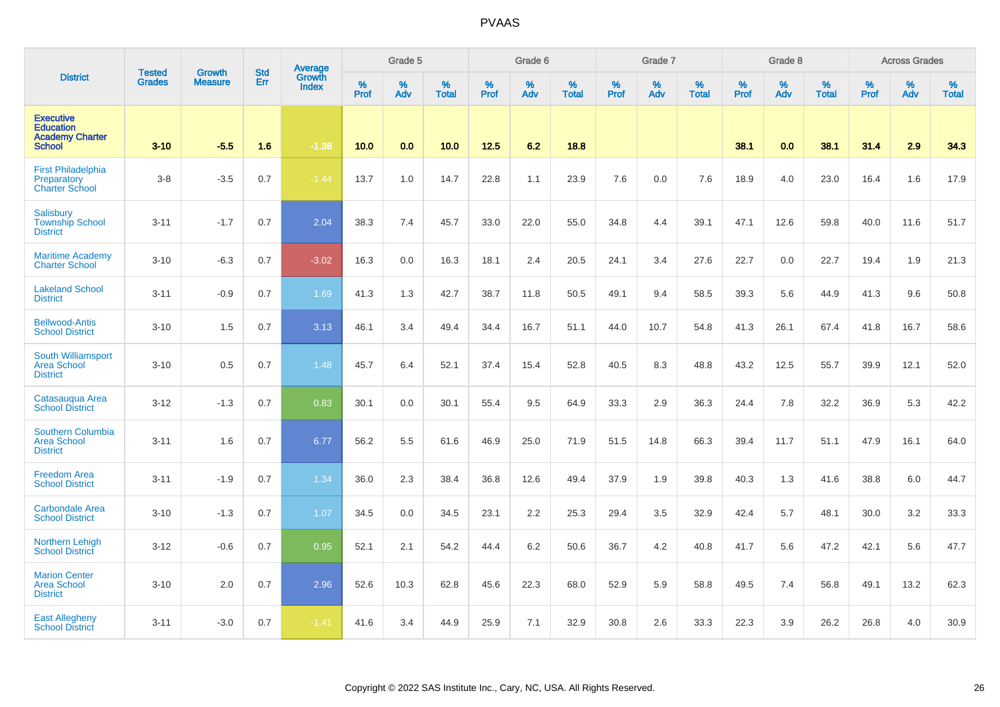|                                                                                 | <b>Tested</b> | <b>Growth</b>  | <b>Std</b> | Average                |                     | Grade 5     |                   |                  | Grade 6  |                   |                  | Grade 7  |                   |           | Grade 8  |                   |                  | <b>Across Grades</b> |                   |
|---------------------------------------------------------------------------------|---------------|----------------|------------|------------------------|---------------------|-------------|-------------------|------------------|----------|-------------------|------------------|----------|-------------------|-----------|----------|-------------------|------------------|----------------------|-------------------|
| <b>District</b>                                                                 | <b>Grades</b> | <b>Measure</b> | Err        | Growth<br><b>Index</b> | $\%$<br><b>Prof</b> | $\%$<br>Adv | %<br><b>Total</b> | %<br><b>Prof</b> | %<br>Adv | %<br><b>Total</b> | %<br><b>Prof</b> | %<br>Adv | %<br><b>Total</b> | %<br>Prof | %<br>Adv | %<br><b>Total</b> | %<br><b>Prof</b> | %<br>Adv             | %<br><b>Total</b> |
| <b>Executive</b><br><b>Education</b><br><b>Academy Charter</b><br><b>School</b> | $3 - 10$      | $-5.5$         | 1.6        | $-1.38$                | 10.0                | 0.0         | 10.0              | $12.5$           | 6.2      | 18.8              |                  |          |                   | 38.1      | 0.0      | 38.1              | 31.4             | 2.9                  | 34.3              |
| <b>First Philadelphia</b><br>Preparatory<br><b>Charter School</b>               | $3 - 8$       | $-3.5$         | 0.7        | $-1.44$                | 13.7                | 1.0         | 14.7              | 22.8             | 1.1      | 23.9              | 7.6              | 0.0      | 7.6               | 18.9      | 4.0      | 23.0              | 16.4             | 1.6                  | 17.9              |
| <b>Salisbury</b><br><b>Township School</b><br><b>District</b>                   | $3 - 11$      | $-1.7$         | 0.7        | 2.04                   | 38.3                | 7.4         | 45.7              | 33.0             | 22.0     | 55.0              | 34.8             | 4.4      | 39.1              | 47.1      | 12.6     | 59.8              | 40.0             | 11.6                 | 51.7              |
| <b>Maritime Academy</b><br><b>Charter School</b>                                | $3 - 10$      | $-6.3$         | 0.7        | $-3.02$                | 16.3                | 0.0         | 16.3              | 18.1             | 2.4      | 20.5              | 24.1             | 3.4      | 27.6              | 22.7      | 0.0      | 22.7              | 19.4             | 1.9                  | 21.3              |
| <b>Lakeland School</b><br><b>District</b>                                       | $3 - 11$      | $-0.9$         | 0.7        | 1.69                   | 41.3                | 1.3         | 42.7              | 38.7             | 11.8     | 50.5              | 49.1             | 9.4      | 58.5              | 39.3      | 5.6      | 44.9              | 41.3             | 9.6                  | 50.8              |
| <b>Bellwood-Antis</b><br><b>School District</b>                                 | $3 - 10$      | 1.5            | 0.7        | 3.13                   | 46.1                | 3.4         | 49.4              | 34.4             | 16.7     | 51.1              | 44.0             | 10.7     | 54.8              | 41.3      | 26.1     | 67.4              | 41.8             | 16.7                 | 58.6              |
| <b>South Williamsport</b><br><b>Area School</b><br><b>District</b>              | $3 - 10$      | 0.5            | 0.7        | 1.48                   | 45.7                | 6.4         | 52.1              | 37.4             | 15.4     | 52.8              | 40.5             | 8.3      | 48.8              | 43.2      | 12.5     | 55.7              | 39.9             | 12.1                 | 52.0              |
| Catasauqua Area<br><b>School District</b>                                       | $3 - 12$      | $-1.3$         | 0.7        | 0.83                   | 30.1                | 0.0         | 30.1              | 55.4             | 9.5      | 64.9              | 33.3             | 2.9      | 36.3              | 24.4      | 7.8      | 32.2              | 36.9             | 5.3                  | 42.2              |
| <b>Southern Columbia</b><br><b>Area School</b><br><b>District</b>               | $3 - 11$      | 1.6            | 0.7        | 6.77                   | 56.2                | 5.5         | 61.6              | 46.9             | 25.0     | 71.9              | 51.5             | 14.8     | 66.3              | 39.4      | 11.7     | 51.1              | 47.9             | 16.1                 | 64.0              |
| <b>Freedom Area</b><br><b>School District</b>                                   | $3 - 11$      | $-1.9$         | 0.7        | 1.34                   | 36.0                | 2.3         | 38.4              | 36.8             | 12.6     | 49.4              | 37.9             | 1.9      | 39.8              | 40.3      | 1.3      | 41.6              | 38.8             | 6.0                  | 44.7              |
| <b>Carbondale Area</b><br><b>School District</b>                                | $3 - 10$      | $-1.3$         | 0.7        | 1.07                   | 34.5                | 0.0         | 34.5              | 23.1             | 2.2      | 25.3              | 29.4             | 3.5      | 32.9              | 42.4      | 5.7      | 48.1              | 30.0             | 3.2                  | 33.3              |
| <b>Northern Lehigh</b><br><b>School District</b>                                | $3 - 12$      | $-0.6$         | 0.7        | 0.95                   | 52.1                | 2.1         | 54.2              | 44.4             | 6.2      | 50.6              | 36.7             | 4.2      | 40.8              | 41.7      | 5.6      | 47.2              | 42.1             | 5.6                  | 47.7              |
| <b>Marion Center</b><br><b>Area School</b><br><b>District</b>                   | $3 - 10$      | 2.0            | 0.7        | 2.96                   | 52.6                | 10.3        | 62.8              | 45.6             | 22.3     | 68.0              | 52.9             | 5.9      | 58.8              | 49.5      | 7.4      | 56.8              | 49.1             | 13.2                 | 62.3              |
| <b>East Allegheny</b><br><b>School District</b>                                 | $3 - 11$      | $-3.0$         | 0.7        | $-1.41$                | 41.6                | 3.4         | 44.9              | 25.9             | 7.1      | 32.9              | 30.8             | 2.6      | 33.3              | 22.3      | 3.9      | 26.2              | 26.8             | 4.0                  | 30.9              |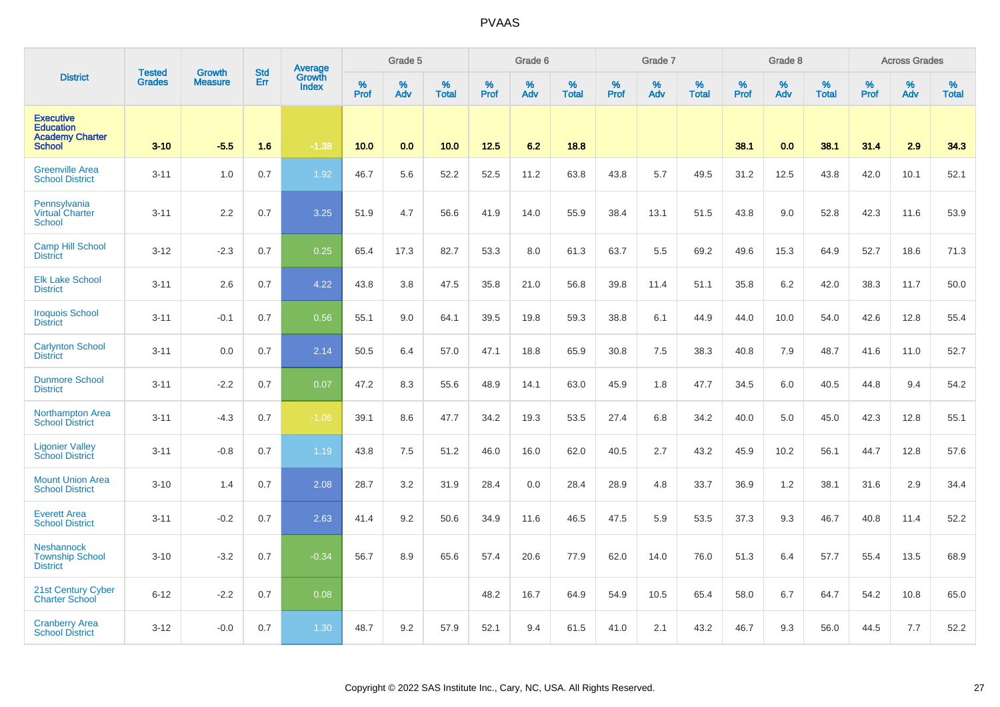|                                                                                 | <b>Tested</b> | <b>Growth</b>  | <b>Std</b> |                                          |           | Grade 5  |                   |           | Grade 6  |                   |           | Grade 7  |                   |           | Grade 8  |                   |           | <b>Across Grades</b> |                   |
|---------------------------------------------------------------------------------|---------------|----------------|------------|------------------------------------------|-----------|----------|-------------------|-----------|----------|-------------------|-----------|----------|-------------------|-----------|----------|-------------------|-----------|----------------------|-------------------|
| <b>District</b>                                                                 | <b>Grades</b> | <b>Measure</b> | Err        | <b>Average</b><br>Growth<br><b>Index</b> | %<br>Prof | %<br>Adv | %<br><b>Total</b> | %<br>Prof | %<br>Adv | %<br><b>Total</b> | %<br>Prof | %<br>Adv | %<br><b>Total</b> | %<br>Prof | %<br>Adv | %<br><b>Total</b> | %<br>Prof | %<br>Adv             | %<br><b>Total</b> |
| <b>Executive</b><br><b>Education</b><br><b>Academy Charter</b><br><b>School</b> | $3 - 10$      | $-5.5$         | 1.6        | $-1.38$                                  | 10.0      | 0.0      | 10.0              | 12.5      | 6.2      | 18.8              |           |          |                   | 38.1      | 0.0      | 38.1              | 31.4      | 2.9                  | 34.3              |
| <b>Greenville Area</b><br><b>School District</b>                                | $3 - 11$      | 1.0            | 0.7        | 1.92                                     | 46.7      | 5.6      | 52.2              | 52.5      | 11.2     | 63.8              | 43.8      | 5.7      | 49.5              | 31.2      | 12.5     | 43.8              | 42.0      | 10.1                 | 52.1              |
| Pennsylvania<br><b>Virtual Charter</b><br><b>School</b>                         | $3 - 11$      | 2.2            | 0.7        | 3.25                                     | 51.9      | 4.7      | 56.6              | 41.9      | 14.0     | 55.9              | 38.4      | 13.1     | 51.5              | 43.8      | 9.0      | 52.8              | 42.3      | 11.6                 | 53.9              |
| <b>Camp Hill School</b><br><b>District</b>                                      | $3 - 12$      | $-2.3$         | 0.7        | 0.25                                     | 65.4      | 17.3     | 82.7              | 53.3      | 8.0      | 61.3              | 63.7      | 5.5      | 69.2              | 49.6      | 15.3     | 64.9              | 52.7      | 18.6                 | 71.3              |
| <b>Elk Lake School</b><br><b>District</b>                                       | $3 - 11$      | 2.6            | 0.7        | 4.22                                     | 43.8      | 3.8      | 47.5              | 35.8      | 21.0     | 56.8              | 39.8      | 11.4     | 51.1              | 35.8      | 6.2      | 42.0              | 38.3      | 11.7                 | 50.0              |
| <b>Iroquois School</b><br><b>District</b>                                       | $3 - 11$      | $-0.1$         | 0.7        | 0.56                                     | 55.1      | 9.0      | 64.1              | 39.5      | 19.8     | 59.3              | 38.8      | 6.1      | 44.9              | 44.0      | 10.0     | 54.0              | 42.6      | 12.8                 | 55.4              |
| <b>Carlynton School</b><br><b>District</b>                                      | $3 - 11$      | 0.0            | 0.7        | 2.14                                     | 50.5      | 6.4      | 57.0              | 47.1      | 18.8     | 65.9              | 30.8      | 7.5      | 38.3              | 40.8      | 7.9      | 48.7              | 41.6      | 11.0                 | 52.7              |
| <b>Dunmore School</b><br><b>District</b>                                        | $3 - 11$      | $-2.2$         | 0.7        | 0.07                                     | 47.2      | 8.3      | 55.6              | 48.9      | 14.1     | 63.0              | 45.9      | 1.8      | 47.7              | 34.5      | 6.0      | 40.5              | 44.8      | 9.4                  | 54.2              |
| <b>Northampton Area</b><br><b>School District</b>                               | $3 - 11$      | $-4.3$         | 0.7        | $-1.06$                                  | 39.1      | 8.6      | 47.7              | 34.2      | 19.3     | 53.5              | 27.4      | 6.8      | 34.2              | 40.0      | 5.0      | 45.0              | 42.3      | 12.8                 | 55.1              |
| <b>Ligonier Valley</b><br><b>School District</b>                                | $3 - 11$      | $-0.8$         | 0.7        | 1.19                                     | 43.8      | 7.5      | 51.2              | 46.0      | 16.0     | 62.0              | 40.5      | 2.7      | 43.2              | 45.9      | 10.2     | 56.1              | 44.7      | 12.8                 | 57.6              |
| <b>Mount Union Area</b><br><b>School District</b>                               | $3 - 10$      | 1.4            | 0.7        | 2.08                                     | 28.7      | 3.2      | 31.9              | 28.4      | 0.0      | 28.4              | 28.9      | 4.8      | 33.7              | 36.9      | 1.2      | 38.1              | 31.6      | 2.9                  | 34.4              |
| <b>Everett Area</b><br><b>School District</b>                                   | $3 - 11$      | $-0.2$         | 0.7        | 2.63                                     | 41.4      | 9.2      | 50.6              | 34.9      | 11.6     | 46.5              | 47.5      | 5.9      | 53.5              | 37.3      | 9.3      | 46.7              | 40.8      | 11.4                 | 52.2              |
| <b>Neshannock</b><br><b>Township School</b><br><b>District</b>                  | $3 - 10$      | $-3.2$         | 0.7        | $-0.34$                                  | 56.7      | 8.9      | 65.6              | 57.4      | 20.6     | 77.9              | 62.0      | 14.0     | 76.0              | 51.3      | 6.4      | 57.7              | 55.4      | 13.5                 | 68.9              |
| 21st Century Cyber<br><b>Charter School</b>                                     | $6 - 12$      | $-2.2$         | 0.7        | 0.08                                     |           |          |                   | 48.2      | 16.7     | 64.9              | 54.9      | 10.5     | 65.4              | 58.0      | 6.7      | 64.7              | 54.2      | 10.8                 | 65.0              |
| <b>Cranberry Area</b><br><b>School District</b>                                 | $3-12$        | $-0.0$         | 0.7        | 1.30                                     | 48.7      | 9.2      | 57.9              | 52.1      | 9.4      | 61.5              | 41.0      | 2.1      | 43.2              | 46.7      | 9.3      | 56.0              | 44.5      | 7.7                  | 52.2              |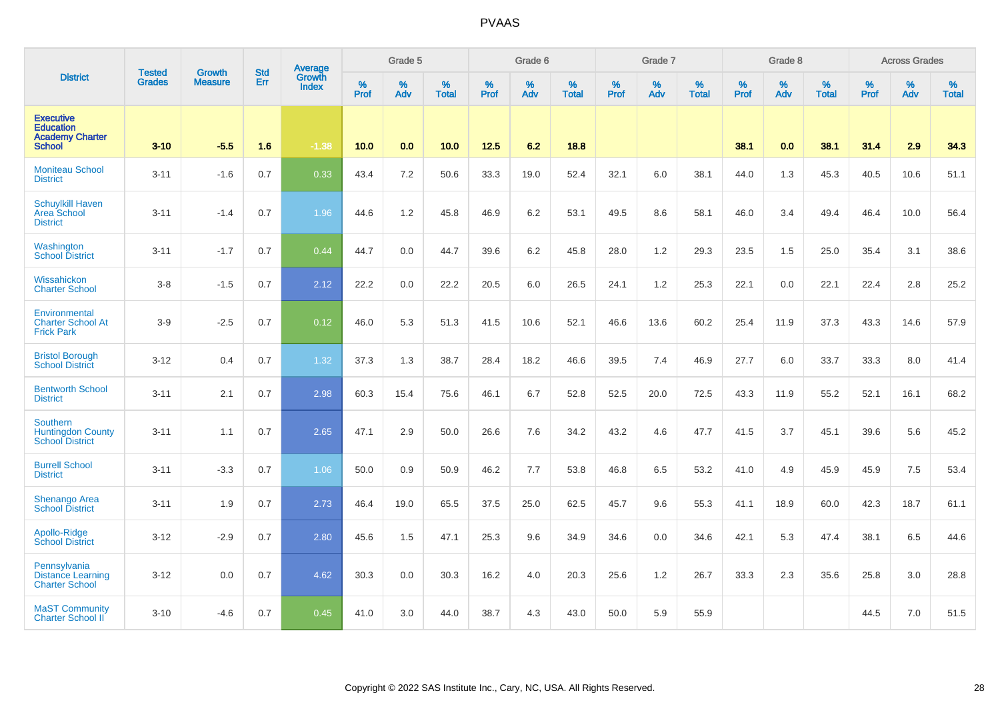|                                                                                 | <b>Tested</b> | <b>Growth</b>  | <b>Std</b> | Average                |              | Grade 5     |                   |           | Grade 6  |                   |              | Grade 7  |                   |           | Grade 8  |                   |                  | <b>Across Grades</b> |                   |
|---------------------------------------------------------------------------------|---------------|----------------|------------|------------------------|--------------|-------------|-------------------|-----------|----------|-------------------|--------------|----------|-------------------|-----------|----------|-------------------|------------------|----------------------|-------------------|
| <b>District</b>                                                                 | <b>Grades</b> | <b>Measure</b> | Err        | Growth<br><b>Index</b> | $\%$<br>Prof | $\%$<br>Adv | %<br><b>Total</b> | %<br>Prof | %<br>Adv | %<br><b>Total</b> | $\%$<br>Prof | %<br>Adv | %<br><b>Total</b> | %<br>Prof | %<br>Adv | %<br><b>Total</b> | %<br><b>Prof</b> | %<br>Adv             | %<br><b>Total</b> |
| <b>Executive</b><br><b>Education</b><br><b>Academy Charter</b><br><b>School</b> | $3 - 10$      | $-5.5$         | 1.6        | $-1.38$                | 10.0         | 0.0         | 10.0              | $12.5$    | 6.2      | 18.8              |              |          |                   | 38.1      | 0.0      | 38.1              | 31.4             | 2.9                  | 34.3              |
| <b>Moniteau School</b><br><b>District</b>                                       | $3 - 11$      | $-1.6$         | 0.7        | 0.33                   | 43.4         | 7.2         | 50.6              | 33.3      | 19.0     | 52.4              | 32.1         | 6.0      | 38.1              | 44.0      | 1.3      | 45.3              | 40.5             | 10.6                 | 51.1              |
| <b>Schuylkill Haven</b><br><b>Area School</b><br><b>District</b>                | $3 - 11$      | $-1.4$         | 0.7        | 1.96                   | 44.6         | 1.2         | 45.8              | 46.9      | 6.2      | 53.1              | 49.5         | 8.6      | 58.1              | 46.0      | 3.4      | 49.4              | 46.4             | 10.0                 | 56.4              |
| Washington<br><b>School District</b>                                            | $3 - 11$      | $-1.7$         | 0.7        | 0.44                   | 44.7         | 0.0         | 44.7              | 39.6      | 6.2      | 45.8              | 28.0         | 1.2      | 29.3              | 23.5      | 1.5      | 25.0              | 35.4             | 3.1                  | 38.6              |
| Wissahickon<br><b>Charter School</b>                                            | $3 - 8$       | $-1.5$         | 0.7        | 2.12                   | 22.2         | 0.0         | 22.2              | 20.5      | 6.0      | 26.5              | 24.1         | 1.2      | 25.3              | 22.1      | 0.0      | 22.1              | 22.4             | 2.8                  | 25.2              |
| Environmental<br><b>Charter School At</b><br><b>Frick Park</b>                  | $3-9$         | $-2.5$         | 0.7        | 0.12                   | 46.0         | 5.3         | 51.3              | 41.5      | 10.6     | 52.1              | 46.6         | 13.6     | 60.2              | 25.4      | 11.9     | 37.3              | 43.3             | 14.6                 | 57.9              |
| <b>Bristol Borough</b><br><b>School District</b>                                | $3 - 12$      | 0.4            | 0.7        | 1.32                   | 37.3         | 1.3         | 38.7              | 28.4      | 18.2     | 46.6              | 39.5         | 7.4      | 46.9              | 27.7      | 6.0      | 33.7              | 33.3             | 8.0                  | 41.4              |
| <b>Bentworth School</b><br><b>District</b>                                      | $3 - 11$      | 2.1            | 0.7        | 2.98                   | 60.3         | 15.4        | 75.6              | 46.1      | 6.7      | 52.8              | 52.5         | 20.0     | 72.5              | 43.3      | 11.9     | 55.2              | 52.1             | 16.1                 | 68.2              |
| <b>Southern</b><br><b>Huntingdon County</b><br><b>School District</b>           | $3 - 11$      | 1.1            | 0.7        | 2.65                   | 47.1         | 2.9         | 50.0              | 26.6      | 7.6      | 34.2              | 43.2         | 4.6      | 47.7              | 41.5      | 3.7      | 45.1              | 39.6             | 5.6                  | 45.2              |
| <b>Burrell School</b><br><b>District</b>                                        | $3 - 11$      | $-3.3$         | 0.7        | 1.06                   | 50.0         | 0.9         | 50.9              | 46.2      | 7.7      | 53.8              | 46.8         | 6.5      | 53.2              | 41.0      | 4.9      | 45.9              | 45.9             | 7.5                  | 53.4              |
| <b>Shenango Area</b><br><b>School District</b>                                  | $3 - 11$      | 1.9            | 0.7        | 2.73                   | 46.4         | 19.0        | 65.5              | 37.5      | 25.0     | 62.5              | 45.7         | 9.6      | 55.3              | 41.1      | 18.9     | 60.0              | 42.3             | 18.7                 | 61.1              |
| Apollo-Ridge<br><b>School District</b>                                          | $3 - 12$      | $-2.9$         | 0.7        | 2.80                   | 45.6         | 1.5         | 47.1              | 25.3      | 9.6      | 34.9              | 34.6         | 0.0      | 34.6              | 42.1      | 5.3      | 47.4              | 38.1             | 6.5                  | 44.6              |
| Pennsylvania<br><b>Distance Learning</b><br><b>Charter School</b>               | $3 - 12$      | 0.0            | 0.7        | 4.62                   | 30.3         | 0.0         | 30.3              | 16.2      | 4.0      | 20.3              | 25.6         | 1.2      | 26.7              | 33.3      | 2.3      | 35.6              | 25.8             | 3.0                  | 28.8              |
| <b>MaST Community</b><br><b>Charter School II</b>                               | $3 - 10$      | $-4.6$         | 0.7        | 0.45                   | 41.0         | 3.0         | 44.0              | 38.7      | 4.3      | 43.0              | 50.0         | 5.9      | 55.9              |           |          |                   | 44.5             | 7.0                  | 51.5              |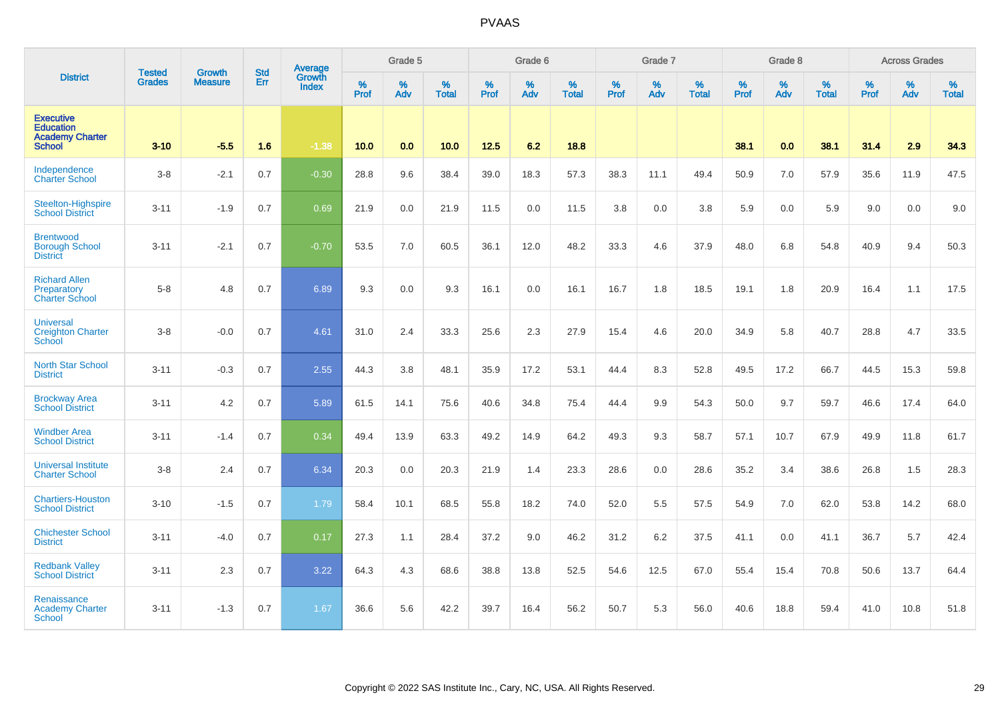|                                                                                 | <b>Tested</b> | <b>Growth</b>  | <b>Std</b> | Average                |                     | Grade 5  |                   |           | Grade 6  |                   |           | Grade 7  |                   |           | Grade 8  |                   |                  | <b>Across Grades</b> |                   |
|---------------------------------------------------------------------------------|---------------|----------------|------------|------------------------|---------------------|----------|-------------------|-----------|----------|-------------------|-----------|----------|-------------------|-----------|----------|-------------------|------------------|----------------------|-------------------|
| <b>District</b>                                                                 | <b>Grades</b> | <b>Measure</b> | Err        | Growth<br><b>Index</b> | $\%$<br><b>Prof</b> | %<br>Adv | %<br><b>Total</b> | %<br>Prof | %<br>Adv | %<br><b>Total</b> | %<br>Prof | %<br>Adv | %<br><b>Total</b> | %<br>Prof | %<br>Adv | %<br><b>Total</b> | %<br><b>Prof</b> | %<br>Adv             | %<br><b>Total</b> |
| <b>Executive</b><br><b>Education</b><br><b>Academy Charter</b><br><b>School</b> | $3 - 10$      | $-5.5$         | 1.6        | $-1.38$                | 10.0                | 0.0      | 10.0              | $12.5$    | 6.2      | 18.8              |           |          |                   | 38.1      | 0.0      | 38.1              | 31.4             | 2.9                  | 34.3              |
| Independence<br><b>Charter School</b>                                           | $3 - 8$       | $-2.1$         | 0.7        | $-0.30$                | 28.8                | 9.6      | 38.4              | 39.0      | 18.3     | 57.3              | 38.3      | 11.1     | 49.4              | 50.9      | 7.0      | 57.9              | 35.6             | 11.9                 | 47.5              |
| Steelton-Highspire<br><b>School District</b>                                    | $3 - 11$      | $-1.9$         | 0.7        | 0.69                   | 21.9                | 0.0      | 21.9              | 11.5      | 0.0      | 11.5              | 3.8       | 0.0      | 3.8               | 5.9       | 0.0      | 5.9               | 9.0              | 0.0                  | 9.0               |
| <b>Brentwood</b><br><b>Borough School</b><br><b>District</b>                    | $3 - 11$      | $-2.1$         | 0.7        | $-0.70$                | 53.5                | 7.0      | 60.5              | 36.1      | 12.0     | 48.2              | 33.3      | 4.6      | 37.9              | 48.0      | 6.8      | 54.8              | 40.9             | 9.4                  | 50.3              |
| <b>Richard Allen</b><br>Preparatory<br><b>Charter School</b>                    | $5 - 8$       | 4.8            | 0.7        | 6.89                   | 9.3                 | 0.0      | 9.3               | 16.1      | 0.0      | 16.1              | 16.7      | 1.8      | 18.5              | 19.1      | 1.8      | 20.9              | 16.4             | 1.1                  | 17.5              |
| <b>Universal</b><br><b>Creighton Charter</b><br><b>School</b>                   | $3 - 8$       | $-0.0$         | 0.7        | 4.61                   | 31.0                | 2.4      | 33.3              | 25.6      | 2.3      | 27.9              | 15.4      | 4.6      | 20.0              | 34.9      | 5.8      | 40.7              | 28.8             | 4.7                  | 33.5              |
| <b>North Star School</b><br><b>District</b>                                     | $3 - 11$      | $-0.3$         | 0.7        | 2.55                   | 44.3                | 3.8      | 48.1              | 35.9      | 17.2     | 53.1              | 44.4      | 8.3      | 52.8              | 49.5      | 17.2     | 66.7              | 44.5             | 15.3                 | 59.8              |
| <b>Brockway Area</b><br><b>School District</b>                                  | $3 - 11$      | 4.2            | 0.7        | 5.89                   | 61.5                | 14.1     | 75.6              | 40.6      | 34.8     | 75.4              | 44.4      | 9.9      | 54.3              | 50.0      | 9.7      | 59.7              | 46.6             | 17.4                 | 64.0              |
| <b>Windber Area</b><br><b>School District</b>                                   | $3 - 11$      | $-1.4$         | 0.7        | 0.34                   | 49.4                | 13.9     | 63.3              | 49.2      | 14.9     | 64.2              | 49.3      | 9.3      | 58.7              | 57.1      | 10.7     | 67.9              | 49.9             | 11.8                 | 61.7              |
| <b>Universal Institute</b><br><b>Charter School</b>                             | $3 - 8$       | 2.4            | 0.7        | 6.34                   | 20.3                | 0.0      | 20.3              | 21.9      | 1.4      | 23.3              | 28.6      | 0.0      | 28.6              | 35.2      | 3.4      | 38.6              | 26.8             | 1.5                  | 28.3              |
| <b>Chartiers-Houston</b><br><b>School District</b>                              | $3 - 10$      | $-1.5$         | 0.7        | 1.79                   | 58.4                | 10.1     | 68.5              | 55.8      | 18.2     | 74.0              | 52.0      | 5.5      | 57.5              | 54.9      | 7.0      | 62.0              | 53.8             | 14.2                 | 68.0              |
| <b>Chichester School</b><br><b>District</b>                                     | $3 - 11$      | $-4.0$         | 0.7        | 0.17                   | 27.3                | 1.1      | 28.4              | 37.2      | 9.0      | 46.2              | 31.2      | 6.2      | 37.5              | 41.1      | 0.0      | 41.1              | 36.7             | 5.7                  | 42.4              |
| <b>Redbank Valley</b><br><b>School District</b>                                 | $3 - 11$      | 2.3            | 0.7        | 3.22                   | 64.3                | 4.3      | 68.6              | 38.8      | 13.8     | 52.5              | 54.6      | 12.5     | 67.0              | 55.4      | 15.4     | 70.8              | 50.6             | 13.7                 | 64.4              |
| Renaissance<br><b>Academy Charter</b><br>School                                 | $3 - 11$      | $-1.3$         | 0.7        | 1.67                   | 36.6                | 5.6      | 42.2              | 39.7      | 16.4     | 56.2              | 50.7      | 5.3      | 56.0              | 40.6      | 18.8     | 59.4              | 41.0             | 10.8                 | 51.8              |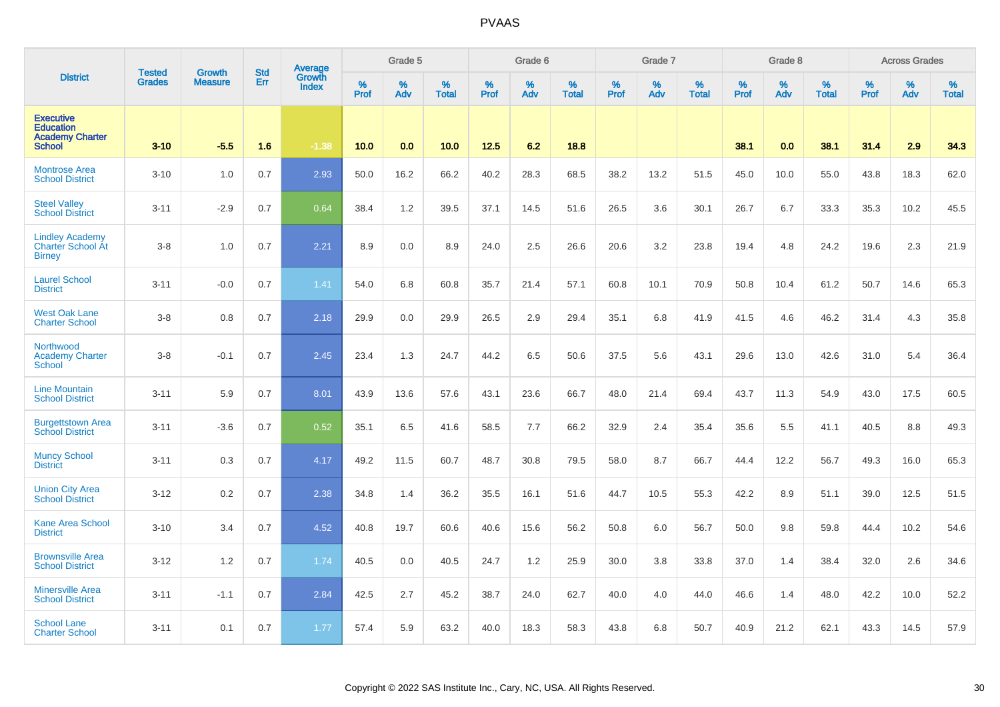|                                                                                 | <b>Tested</b> | <b>Growth</b>  | <b>Std</b> | Average<br>Growth |                     | Grade 5  |                   |           | Grade 6  |                   |           | Grade 7  |                   |           | Grade 8  |                   |           | <b>Across Grades</b> |                   |
|---------------------------------------------------------------------------------|---------------|----------------|------------|-------------------|---------------------|----------|-------------------|-----------|----------|-------------------|-----------|----------|-------------------|-----------|----------|-------------------|-----------|----------------------|-------------------|
| <b>District</b>                                                                 | <b>Grades</b> | <b>Measure</b> | Err        | <b>Index</b>      | $\%$<br><b>Prof</b> | %<br>Adv | %<br><b>Total</b> | %<br>Prof | %<br>Adv | %<br><b>Total</b> | %<br>Prof | %<br>Adv | %<br><b>Total</b> | %<br>Prof | %<br>Adv | %<br><b>Total</b> | %<br>Prof | %<br>Adv             | %<br><b>Total</b> |
| <b>Executive</b><br><b>Education</b><br><b>Academy Charter</b><br><b>School</b> | $3 - 10$      | $-5.5$         | 1.6        | $-1.38$           | 10.0                | 0.0      | 10.0              | 12.5      | 6.2      | 18.8              |           |          |                   | 38.1      | 0.0      | 38.1              | 31.4      | 2.9                  | 34.3              |
| <b>Montrose Area</b><br><b>School District</b>                                  | $3 - 10$      | 1.0            | 0.7        | 2.93              | 50.0                | 16.2     | 66.2              | 40.2      | 28.3     | 68.5              | 38.2      | 13.2     | 51.5              | 45.0      | 10.0     | 55.0              | 43.8      | 18.3                 | 62.0              |
| <b>Steel Valley</b><br><b>School District</b>                                   | $3 - 11$      | $-2.9$         | 0.7        | 0.64              | 38.4                | 1.2      | 39.5              | 37.1      | 14.5     | 51.6              | 26.5      | 3.6      | 30.1              | 26.7      | 6.7      | 33.3              | 35.3      | 10.2                 | 45.5              |
| <b>Lindley Academy</b><br>Charter School At<br><b>Birney</b>                    | $3-8$         | 1.0            | 0.7        | 2.21              | 8.9                 | 0.0      | 8.9               | 24.0      | 2.5      | 26.6              | 20.6      | 3.2      | 23.8              | 19.4      | 4.8      | 24.2              | 19.6      | 2.3                  | 21.9              |
| <b>Laurel School</b><br><b>District</b>                                         | $3 - 11$      | $-0.0$         | 0.7        | 1.41              | 54.0                | 6.8      | 60.8              | 35.7      | 21.4     | 57.1              | 60.8      | 10.1     | 70.9              | 50.8      | 10.4     | 61.2              | 50.7      | 14.6                 | 65.3              |
| <b>West Oak Lane</b><br><b>Charter School</b>                                   | $3-8$         | 0.8            | 0.7        | 2.18              | 29.9                | 0.0      | 29.9              | 26.5      | 2.9      | 29.4              | 35.1      | 6.8      | 41.9              | 41.5      | 4.6      | 46.2              | 31.4      | 4.3                  | 35.8              |
| Northwood<br><b>Academy Charter</b><br><b>School</b>                            | $3-8$         | $-0.1$         | 0.7        | 2.45              | 23.4                | 1.3      | 24.7              | 44.2      | 6.5      | 50.6              | 37.5      | 5.6      | 43.1              | 29.6      | 13.0     | 42.6              | 31.0      | 5.4                  | 36.4              |
| <b>Line Mountain</b><br><b>School District</b>                                  | $3 - 11$      | 5.9            | 0.7        | 8.01              | 43.9                | 13.6     | 57.6              | 43.1      | 23.6     | 66.7              | 48.0      | 21.4     | 69.4              | 43.7      | 11.3     | 54.9              | 43.0      | 17.5                 | 60.5              |
| <b>Burgettstown Area</b><br><b>School District</b>                              | $3 - 11$      | $-3.6$         | 0.7        | 0.52              | 35.1                | 6.5      | 41.6              | 58.5      | 7.7      | 66.2              | 32.9      | 2.4      | 35.4              | 35.6      | 5.5      | 41.1              | 40.5      | 8.8                  | 49.3              |
| <b>Muncy School</b><br><b>District</b>                                          | $3 - 11$      | 0.3            | 0.7        | 4.17              | 49.2                | 11.5     | 60.7              | 48.7      | 30.8     | 79.5              | 58.0      | 8.7      | 66.7              | 44.4      | 12.2     | 56.7              | 49.3      | 16.0                 | 65.3              |
| <b>Union City Area</b><br>School District                                       | $3 - 12$      | 0.2            | 0.7        | 2.38              | 34.8                | 1.4      | 36.2              | 35.5      | 16.1     | 51.6              | 44.7      | 10.5     | 55.3              | 42.2      | 8.9      | 51.1              | 39.0      | 12.5                 | 51.5              |
| <b>Kane Area School</b><br><b>District</b>                                      | $3 - 10$      | 3.4            | 0.7        | 4.52              | 40.8                | 19.7     | 60.6              | 40.6      | 15.6     | 56.2              | 50.8      | 6.0      | 56.7              | 50.0      | 9.8      | 59.8              | 44.4      | 10.2                 | 54.6              |
| <b>Brownsville Area</b><br><b>School District</b>                               | $3 - 12$      | 1.2            | 0.7        | 1.74              | 40.5                | 0.0      | 40.5              | 24.7      | 1.2      | 25.9              | 30.0      | 3.8      | 33.8              | 37.0      | 1.4      | 38.4              | 32.0      | 2.6                  | 34.6              |
| <b>Minersville Area</b><br><b>School District</b>                               | $3 - 11$      | $-1.1$         | 0.7        | 2.84              | 42.5                | 2.7      | 45.2              | 38.7      | 24.0     | 62.7              | 40.0      | 4.0      | 44.0              | 46.6      | 1.4      | 48.0              | 42.2      | 10.0                 | 52.2              |
| <b>School Lane</b><br><b>Charter School</b>                                     | $3 - 11$      | 0.1            | 0.7        | 1.77              | 57.4                | 5.9      | 63.2              | 40.0      | 18.3     | 58.3              | 43.8      | 6.8      | 50.7              | 40.9      | 21.2     | 62.1              | 43.3      | 14.5                 | 57.9              |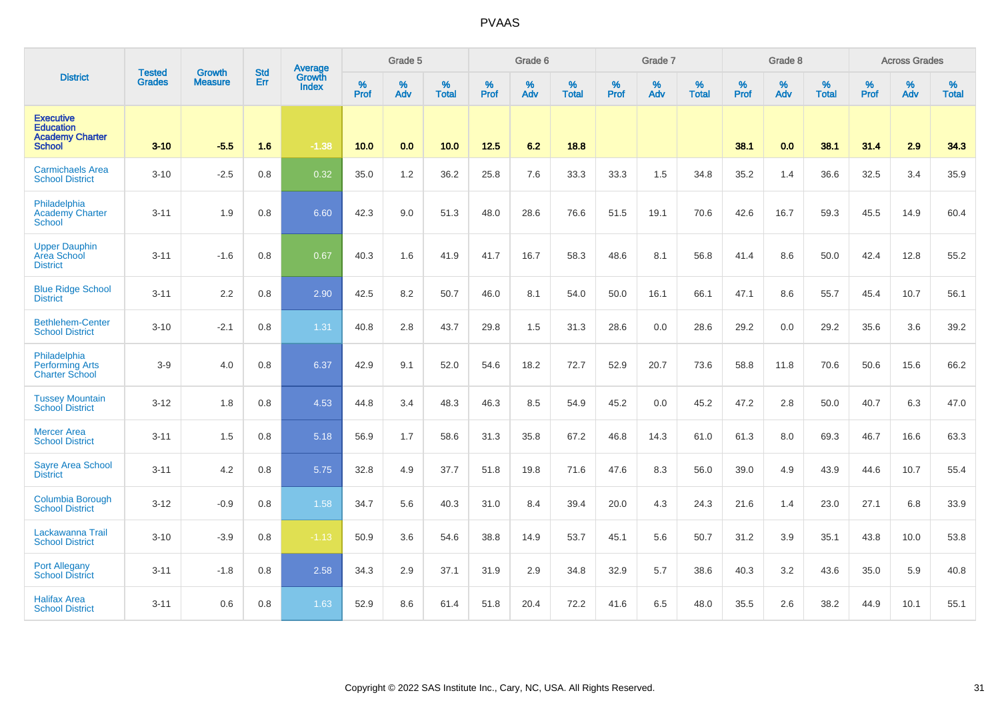|                                                                                 |                                | <b>Growth</b>  | <b>Std</b> | Average                       |                  | Grade 5  |                   |                  | Grade 6  |                   |           | Grade 7  |                   |           | Grade 8  |                   |                  | <b>Across Grades</b> |                   |
|---------------------------------------------------------------------------------|--------------------------------|----------------|------------|-------------------------------|------------------|----------|-------------------|------------------|----------|-------------------|-----------|----------|-------------------|-----------|----------|-------------------|------------------|----------------------|-------------------|
| <b>District</b>                                                                 | <b>Tested</b><br><b>Grades</b> | <b>Measure</b> | Err        | <b>Growth</b><br><b>Index</b> | %<br><b>Prof</b> | %<br>Adv | %<br><b>Total</b> | %<br><b>Prof</b> | %<br>Adv | %<br><b>Total</b> | %<br>Prof | %<br>Adv | %<br><b>Total</b> | %<br>Prof | %<br>Adv | %<br><b>Total</b> | %<br><b>Prof</b> | %<br>Adv             | %<br><b>Total</b> |
| <b>Executive</b><br><b>Education</b><br><b>Academy Charter</b><br><b>School</b> | $3 - 10$                       | $-5.5$         | 1.6        | $-1.38$                       | 10.0             | 0.0      | 10.0              | $12.5$           | 6.2      | 18.8              |           |          |                   | 38.1      | 0.0      | 38.1              | 31.4             | 2.9                  | 34.3              |
| <b>Carmichaels Area</b><br><b>School District</b>                               | $3 - 10$                       | $-2.5$         | 0.8        | 0.32                          | 35.0             | $1.2$    | 36.2              | 25.8             | 7.6      | 33.3              | 33.3      | 1.5      | 34.8              | 35.2      | 1.4      | 36.6              | 32.5             | 3.4                  | 35.9              |
| Philadelphia<br><b>Academy Charter</b><br>School                                | $3 - 11$                       | 1.9            | 0.8        | 6.60                          | 42.3             | 9.0      | 51.3              | 48.0             | 28.6     | 76.6              | 51.5      | 19.1     | 70.6              | 42.6      | 16.7     | 59.3              | 45.5             | 14.9                 | 60.4              |
| <b>Upper Dauphin</b><br>Area School<br><b>District</b>                          | $3 - 11$                       | $-1.6$         | 0.8        | 0.67                          | 40.3             | 1.6      | 41.9              | 41.7             | 16.7     | 58.3              | 48.6      | 8.1      | 56.8              | 41.4      | 8.6      | 50.0              | 42.4             | 12.8                 | 55.2              |
| <b>Blue Ridge School</b><br><b>District</b>                                     | $3 - 11$                       | 2.2            | 0.8        | 2.90                          | 42.5             | 8.2      | 50.7              | 46.0             | 8.1      | 54.0              | 50.0      | 16.1     | 66.1              | 47.1      | 8.6      | 55.7              | 45.4             | 10.7                 | 56.1              |
| <b>Bethlehem-Center</b><br><b>School District</b>                               | $3 - 10$                       | $-2.1$         | 0.8        | 1.31                          | 40.8             | 2.8      | 43.7              | 29.8             | 1.5      | 31.3              | 28.6      | 0.0      | 28.6              | 29.2      | 0.0      | 29.2              | 35.6             | 3.6                  | 39.2              |
| Philadelphia<br><b>Performing Arts</b><br><b>Charter School</b>                 | $3-9$                          | 4.0            | 0.8        | 6.37                          | 42.9             | 9.1      | 52.0              | 54.6             | 18.2     | 72.7              | 52.9      | 20.7     | 73.6              | 58.8      | 11.8     | 70.6              | 50.6             | 15.6                 | 66.2              |
| <b>Tussey Mountain</b><br><b>School District</b>                                | $3 - 12$                       | 1.8            | 0.8        | 4.53                          | 44.8             | 3.4      | 48.3              | 46.3             | 8.5      | 54.9              | 45.2      | 0.0      | 45.2              | 47.2      | 2.8      | 50.0              | 40.7             | 6.3                  | 47.0              |
| <b>Mercer Area</b><br><b>School District</b>                                    | $3 - 11$                       | 1.5            | 0.8        | 5.18                          | 56.9             | 1.7      | 58.6              | 31.3             | 35.8     | 67.2              | 46.8      | 14.3     | 61.0              | 61.3      | 8.0      | 69.3              | 46.7             | 16.6                 | 63.3              |
| <b>Sayre Area School</b><br><b>District</b>                                     | $3 - 11$                       | 4.2            | 0.8        | 5.75                          | 32.8             | 4.9      | 37.7              | 51.8             | 19.8     | 71.6              | 47.6      | 8.3      | 56.0              | 39.0      | 4.9      | 43.9              | 44.6             | 10.7                 | 55.4              |
| Columbia Borough<br><b>School District</b>                                      | $3 - 12$                       | $-0.9$         | 0.8        | 1.58                          | 34.7             | 5.6      | 40.3              | 31.0             | 8.4      | 39.4              | 20.0      | 4.3      | 24.3              | 21.6      | 1.4      | 23.0              | 27.1             | 6.8                  | 33.9              |
| Lackawanna Trail<br><b>School District</b>                                      | $3 - 10$                       | $-3.9$         | 0.8        | $-1.13$                       | 50.9             | 3.6      | 54.6              | 38.8             | 14.9     | 53.7              | 45.1      | 5.6      | 50.7              | 31.2      | 3.9      | 35.1              | 43.8             | 10.0                 | 53.8              |
| <b>Port Allegany</b><br><b>School District</b>                                  | $3 - 11$                       | $-1.8$         | 0.8        | 2.58                          | 34.3             | 2.9      | 37.1              | 31.9             | 2.9      | 34.8              | 32.9      | 5.7      | 38.6              | 40.3      | 3.2      | 43.6              | 35.0             | 5.9                  | 40.8              |
| <b>Halifax Area</b><br><b>School District</b>                                   | $3 - 11$                       | 0.6            | 0.8        | 1.63                          | 52.9             | 8.6      | 61.4              | 51.8             | 20.4     | 72.2              | 41.6      | 6.5      | 48.0              | 35.5      | 2.6      | 38.2              | 44.9             | 10.1                 | 55.1              |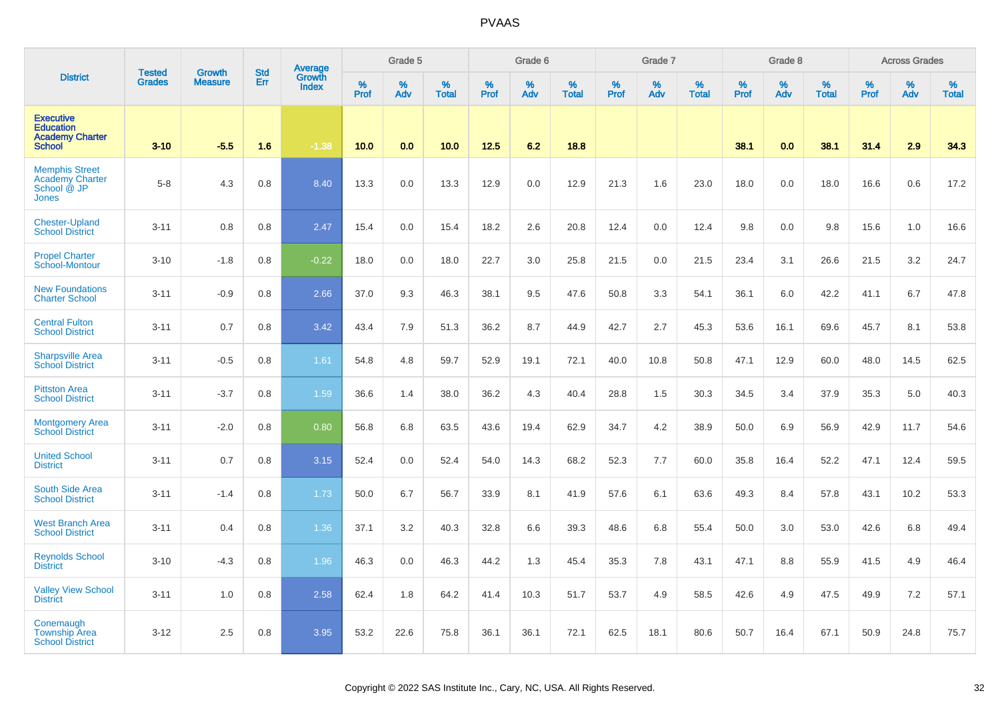|                                                                                 | <b>Tested</b> | Growth         | <b>Std</b> | Average                |                     | Grade 5     |                   |                  | Grade 6  |                   |                  | Grade 7  |                   |           | Grade 8  |                   |           | <b>Across Grades</b> |                   |
|---------------------------------------------------------------------------------|---------------|----------------|------------|------------------------|---------------------|-------------|-------------------|------------------|----------|-------------------|------------------|----------|-------------------|-----------|----------|-------------------|-----------|----------------------|-------------------|
| <b>District</b>                                                                 | <b>Grades</b> | <b>Measure</b> | Err        | Growth<br><b>Index</b> | $\%$<br><b>Prof</b> | $\%$<br>Adv | %<br><b>Total</b> | %<br><b>Prof</b> | %<br>Adv | %<br><b>Total</b> | %<br><b>Prof</b> | %<br>Adv | %<br><b>Total</b> | %<br>Prof | %<br>Adv | %<br><b>Total</b> | %<br>Prof | $\%$<br>Adv          | %<br><b>Total</b> |
| <b>Executive</b><br><b>Education</b><br><b>Academy Charter</b><br><b>School</b> | $3 - 10$      | $-5.5$         | 1.6        | $-1.38$                | 10.0                | 0.0         | 10.0              | 12.5             | 6.2      | 18.8              |                  |          |                   | 38.1      | 0.0      | 38.1              | 31.4      | 2.9                  | 34.3              |
| <b>Memphis Street</b><br><b>Academy Charter</b><br>School @ JP<br><b>Jones</b>  | $5-8$         | 4.3            | 0.8        | 8.40                   | 13.3                | 0.0         | 13.3              | 12.9             | 0.0      | 12.9              | 21.3             | 1.6      | 23.0              | 18.0      | 0.0      | 18.0              | 16.6      | 0.6                  | 17.2              |
| <b>Chester-Upland</b><br><b>School District</b>                                 | $3 - 11$      | 0.8            | 0.8        | 2.47                   | 15.4                | 0.0         | 15.4              | 18.2             | 2.6      | 20.8              | 12.4             | 0.0      | 12.4              | 9.8       | 0.0      | 9.8               | 15.6      | 1.0                  | 16.6              |
| <b>Propel Charter</b><br>School-Montour                                         | $3 - 10$      | $-1.8$         | 0.8        | $-0.22$                | 18.0                | 0.0         | 18.0              | 22.7             | 3.0      | 25.8              | 21.5             | 0.0      | 21.5              | 23.4      | 3.1      | 26.6              | 21.5      | 3.2                  | 24.7              |
| <b>New Foundations</b><br><b>Charter School</b>                                 | $3 - 11$      | $-0.9$         | 0.8        | 2.66                   | 37.0                | 9.3         | 46.3              | 38.1             | 9.5      | 47.6              | 50.8             | 3.3      | 54.1              | 36.1      | 6.0      | 42.2              | 41.1      | 6.7                  | 47.8              |
| <b>Central Fulton</b><br><b>School District</b>                                 | $3 - 11$      | 0.7            | 0.8        | 3.42                   | 43.4                | 7.9         | 51.3              | 36.2             | 8.7      | 44.9              | 42.7             | 2.7      | 45.3              | 53.6      | 16.1     | 69.6              | 45.7      | 8.1                  | 53.8              |
| <b>Sharpsville Area</b><br><b>School District</b>                               | $3 - 11$      | $-0.5$         | 0.8        | 1.61                   | 54.8                | 4.8         | 59.7              | 52.9             | 19.1     | 72.1              | 40.0             | 10.8     | 50.8              | 47.1      | 12.9     | 60.0              | 48.0      | 14.5                 | 62.5              |
| <b>Pittston Area</b><br><b>School District</b>                                  | $3 - 11$      | $-3.7$         | 0.8        | 1.59                   | 36.6                | 1.4         | 38.0              | 36.2             | 4.3      | 40.4              | 28.8             | 1.5      | 30.3              | 34.5      | 3.4      | 37.9              | 35.3      | 5.0                  | 40.3              |
| <b>Montgomery Area</b><br><b>School District</b>                                | $3 - 11$      | $-2.0$         | 0.8        | 0.80                   | 56.8                | 6.8         | 63.5              | 43.6             | 19.4     | 62.9              | 34.7             | 4.2      | 38.9              | 50.0      | 6.9      | 56.9              | 42.9      | 11.7                 | 54.6              |
| <b>United School</b><br><b>District</b>                                         | $3 - 11$      | 0.7            | 0.8        | 3.15                   | 52.4                | 0.0         | 52.4              | 54.0             | 14.3     | 68.2              | 52.3             | 7.7      | 60.0              | 35.8      | 16.4     | 52.2              | 47.1      | 12.4                 | 59.5              |
| South Side Area<br><b>School District</b>                                       | $3 - 11$      | $-1.4$         | 0.8        | 1.73                   | 50.0                | 6.7         | 56.7              | 33.9             | 8.1      | 41.9              | 57.6             | 6.1      | 63.6              | 49.3      | 8.4      | 57.8              | 43.1      | 10.2                 | 53.3              |
| <b>West Branch Area</b><br><b>School District</b>                               | $3 - 11$      | 0.4            | 0.8        | 1.36                   | 37.1                | 3.2         | 40.3              | 32.8             | 6.6      | 39.3              | 48.6             | 6.8      | 55.4              | 50.0      | 3.0      | 53.0              | 42.6      | 6.8                  | 49.4              |
| <b>Reynolds School</b><br><b>District</b>                                       | $3 - 10$      | $-4.3$         | 0.8        | 1.96                   | 46.3                | 0.0         | 46.3              | 44.2             | 1.3      | 45.4              | 35.3             | 7.8      | 43.1              | 47.1      | 8.8      | 55.9              | 41.5      | 4.9                  | 46.4              |
| <b>Valley View School</b><br><b>District</b>                                    | $3 - 11$      | 1.0            | 0.8        | 2.58                   | 62.4                | 1.8         | 64.2              | 41.4             | 10.3     | 51.7              | 53.7             | 4.9      | 58.5              | 42.6      | 4.9      | 47.5              | 49.9      | 7.2                  | 57.1              |
| Conemaugh<br><b>Township Area</b><br><b>School District</b>                     | $3 - 12$      | 2.5            | 0.8        | 3.95                   | 53.2                | 22.6        | 75.8              | 36.1             | 36.1     | 72.1              | 62.5             | 18.1     | 80.6              | 50.7      | 16.4     | 67.1              | 50.9      | 24.8                 | 75.7              |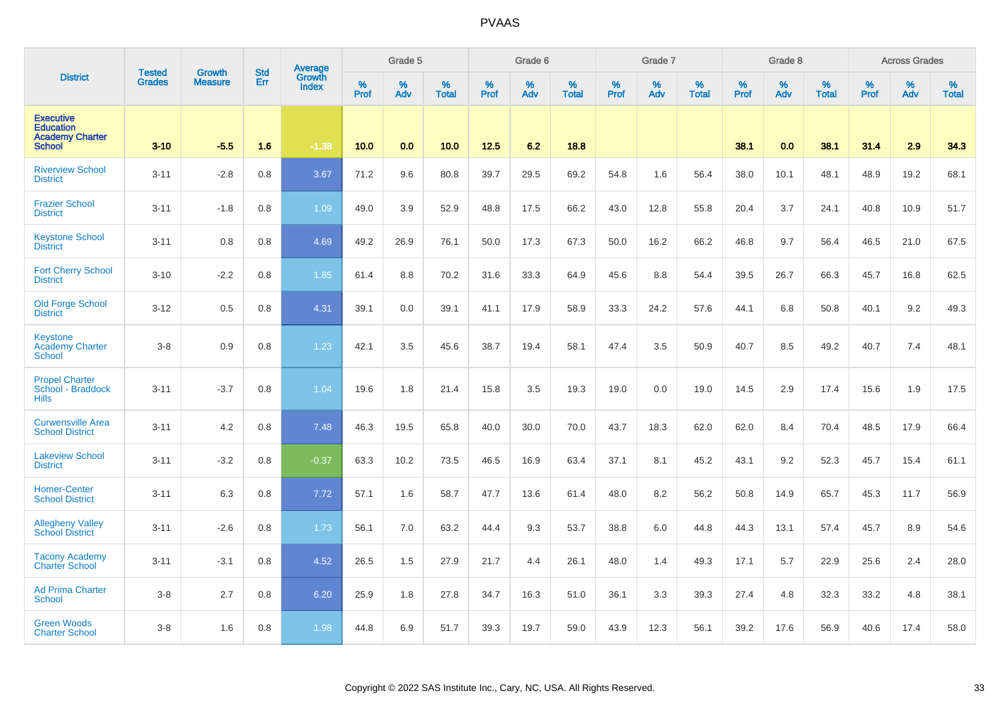|                                                                                 | <b>Tested</b> | <b>Growth</b>  | <b>Std</b> | <b>Average</b>         |                  | Grade 5  |                   |           | Grade 6  |                   |           | Grade 7  |                   |           | Grade 8  |                   |           | <b>Across Grades</b> |                   |
|---------------------------------------------------------------------------------|---------------|----------------|------------|------------------------|------------------|----------|-------------------|-----------|----------|-------------------|-----------|----------|-------------------|-----------|----------|-------------------|-----------|----------------------|-------------------|
| <b>District</b>                                                                 | <b>Grades</b> | <b>Measure</b> | Err        | Growth<br><b>Index</b> | %<br><b>Prof</b> | %<br>Adv | %<br><b>Total</b> | %<br>Prof | %<br>Adv | %<br><b>Total</b> | %<br>Prof | %<br>Adv | %<br><b>Total</b> | %<br>Prof | %<br>Adv | %<br><b>Total</b> | %<br>Prof | %<br>Adv             | %<br><b>Total</b> |
| <b>Executive</b><br><b>Education</b><br><b>Academy Charter</b><br><b>School</b> | $3 - 10$      | $-5.5$         | 1.6        | $-1.38$                | 10.0             | 0.0      | 10.0              | 12.5      | 6.2      | 18.8              |           |          |                   | 38.1      | 0.0      | 38.1              | 31.4      | 2.9                  | 34.3              |
| <b>Riverview School</b><br><b>District</b>                                      | $3 - 11$      | $-2.8$         | 0.8        | 3.67                   | 71.2             | 9.6      | 80.8              | 39.7      | 29.5     | 69.2              | 54.8      | 1.6      | 56.4              | 38.0      | 10.1     | 48.1              | 48.9      | 19.2                 | 68.1              |
| <b>Frazier School</b><br><b>District</b>                                        | $3 - 11$      | $-1.8$         | 0.8        | 1.09                   | 49.0             | 3.9      | 52.9              | 48.8      | 17.5     | 66.2              | 43.0      | 12.8     | 55.8              | 20.4      | 3.7      | 24.1              | 40.8      | 10.9                 | 51.7              |
| <b>Keystone School</b><br><b>District</b>                                       | $3 - 11$      | 0.8            | 0.8        | 4.69                   | 49.2             | 26.9     | 76.1              | 50.0      | 17.3     | 67.3              | 50.0      | 16.2     | 66.2              | 46.8      | 9.7      | 56.4              | 46.5      | 21.0                 | 67.5              |
| <b>Fort Cherry School</b><br><b>District</b>                                    | $3 - 10$      | $-2.2$         | 0.8        | 1.85                   | 61.4             | 8.8      | 70.2              | 31.6      | 33.3     | 64.9              | 45.6      | 8.8      | 54.4              | 39.5      | 26.7     | 66.3              | 45.7      | 16.8                 | 62.5              |
| <b>Old Forge School</b><br><b>District</b>                                      | $3 - 12$      | 0.5            | 0.8        | 4.31                   | 39.1             | 0.0      | 39.1              | 41.1      | 17.9     | 58.9              | 33.3      | 24.2     | 57.6              | 44.1      | 6.8      | 50.8              | 40.1      | 9.2                  | 49.3              |
| <b>Keystone</b><br><b>Academy Charter</b><br><b>School</b>                      | $3 - 8$       | 0.9            | 0.8        | 1.23                   | 42.1             | 3.5      | 45.6              | 38.7      | 19.4     | 58.1              | 47.4      | 3.5      | 50.9              | 40.7      | 8.5      | 49.2              | 40.7      | 7.4                  | 48.1              |
| <b>Propel Charter</b><br>School - Braddock<br><b>Hills</b>                      | $3 - 11$      | $-3.7$         | 0.8        | 1.04                   | 19.6             | 1.8      | 21.4              | 15.8      | 3.5      | 19.3              | 19.0      | 0.0      | 19.0              | 14.5      | 2.9      | 17.4              | 15.6      | 1.9                  | 17.5              |
| <b>Curwensville Area</b><br><b>School District</b>                              | $3 - 11$      | 4.2            | 0.8        | 7.48                   | 46.3             | 19.5     | 65.8              | 40.0      | 30.0     | 70.0              | 43.7      | 18.3     | 62.0              | 62.0      | 8.4      | 70.4              | 48.5      | 17.9                 | 66.4              |
| <b>Lakeview School</b><br><b>District</b>                                       | $3 - 11$      | $-3.2$         | 0.8        | $-0.37$                | 63.3             | 10.2     | 73.5              | 46.5      | 16.9     | 63.4              | 37.1      | 8.1      | 45.2              | 43.1      | 9.2      | 52.3              | 45.7      | 15.4                 | 61.1              |
| <b>Homer-Center</b><br><b>School District</b>                                   | $3 - 11$      | 6.3            | 0.8        | 7.72                   | 57.1             | 1.6      | 58.7              | 47.7      | 13.6     | 61.4              | 48.0      | 8.2      | 56.2              | 50.8      | 14.9     | 65.7              | 45.3      | 11.7                 | 56.9              |
| <b>Allegheny Valley</b><br><b>School District</b>                               | $3 - 11$      | $-2.6$         | 0.8        | 1.73                   | 56.1             | 7.0      | 63.2              | 44.4      | 9.3      | 53.7              | 38.8      | 6.0      | 44.8              | 44.3      | 13.1     | 57.4              | 45.7      | 8.9                  | 54.6              |
| <b>Tacony Academy</b><br><b>Charter School</b>                                  | $3 - 11$      | $-3.1$         | 0.8        | 4.52                   | 26.5             | 1.5      | 27.9              | 21.7      | 4.4      | 26.1              | 48.0      | 1.4      | 49.3              | 17.1      | 5.7      | 22.9              | 25.6      | 2.4                  | 28.0              |
| <b>Ad Prima Charter</b><br><b>School</b>                                        | $3 - 8$       | 2.7            | 0.8        | 6.20                   | 25.9             | 1.8      | 27.8              | 34.7      | 16.3     | 51.0              | 36.1      | 3.3      | 39.3              | 27.4      | 4.8      | 32.3              | 33.2      | 4.8                  | 38.1              |
| <b>Green Woods</b><br><b>Charter School</b>                                     | $3 - 8$       | 1.6            | 0.8        | 1.98                   | 44.8             | 6.9      | 51.7              | 39.3      | 19.7     | 59.0              | 43.9      | 12.3     | 56.1              | 39.2      | 17.6     | 56.9              | 40.6      | 17.4                 | 58.0              |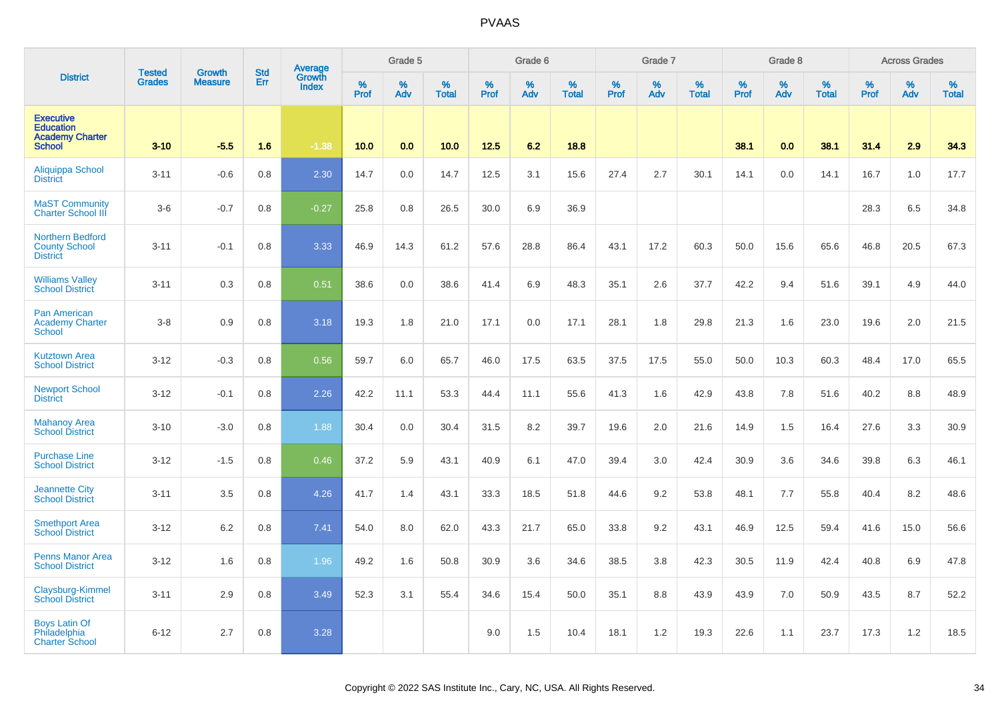|                                                                                 | <b>Tested</b> | Growth         | <b>Std</b> | <b>Average</b>         |              | Grade 5  |                   |           | Grade 6  |                   |           | Grade 7  |                   |           | Grade 8  |                   |              | <b>Across Grades</b> |                   |
|---------------------------------------------------------------------------------|---------------|----------------|------------|------------------------|--------------|----------|-------------------|-----------|----------|-------------------|-----------|----------|-------------------|-----------|----------|-------------------|--------------|----------------------|-------------------|
| <b>District</b>                                                                 | <b>Grades</b> | <b>Measure</b> | Err        | Growth<br><b>Index</b> | $\%$<br>Prof | %<br>Adv | %<br><b>Total</b> | %<br>Prof | %<br>Adv | %<br><b>Total</b> | %<br>Prof | %<br>Adv | %<br><b>Total</b> | %<br>Prof | %<br>Adv | %<br><b>Total</b> | $\%$<br>Prof | %<br>Adv             | %<br><b>Total</b> |
| <b>Executive</b><br><b>Education</b><br><b>Academy Charter</b><br><b>School</b> | $3 - 10$      | $-5.5$         | 1.6        | $-1.38$                | 10.0         | 0.0      | 10.0              | 12.5      | 6.2      | 18.8              |           |          |                   | 38.1      | 0.0      | 38.1              | 31.4         | 2.9                  | 34.3              |
| Aliquippa School<br><b>District</b>                                             | $3 - 11$      | $-0.6$         | 0.8        | 2.30                   | 14.7         | 0.0      | 14.7              | 12.5      | 3.1      | 15.6              | 27.4      | 2.7      | 30.1              | 14.1      | 0.0      | 14.1              | 16.7         | 1.0                  | 17.7              |
| <b>MaST Community</b><br><b>Charter School III</b>                              | $3-6$         | $-0.7$         | 0.8        | $-0.27$                | 25.8         | 0.8      | 26.5              | 30.0      | 6.9      | 36.9              |           |          |                   |           |          |                   | 28.3         | 6.5                  | 34.8              |
| Northern Bedford<br><b>County School</b><br><b>District</b>                     | $3 - 11$      | $-0.1$         | 0.8        | 3.33                   | 46.9         | 14.3     | 61.2              | 57.6      | 28.8     | 86.4              | 43.1      | 17.2     | 60.3              | 50.0      | 15.6     | 65.6              | 46.8         | 20.5                 | 67.3              |
| <b>Williams Valley</b><br><b>School District</b>                                | $3 - 11$      | 0.3            | 0.8        | 0.51                   | 38.6         | 0.0      | 38.6              | 41.4      | 6.9      | 48.3              | 35.1      | 2.6      | 37.7              | 42.2      | 9.4      | 51.6              | 39.1         | 4.9                  | 44.0              |
| Pan American<br><b>Academy Charter</b><br><b>School</b>                         | $3 - 8$       | 0.9            | 0.8        | 3.18                   | 19.3         | 1.8      | 21.0              | 17.1      | 0.0      | 17.1              | 28.1      | 1.8      | 29.8              | 21.3      | 1.6      | 23.0              | 19.6         | 2.0                  | 21.5              |
| <b>Kutztown Area</b><br><b>School District</b>                                  | $3 - 12$      | $-0.3$         | 0.8        | 0.56                   | 59.7         | 6.0      | 65.7              | 46.0      | 17.5     | 63.5              | 37.5      | 17.5     | 55.0              | 50.0      | 10.3     | 60.3              | 48.4         | 17.0                 | 65.5              |
| <b>Newport School</b><br><b>District</b>                                        | $3 - 12$      | $-0.1$         | 0.8        | 2.26                   | 42.2         | 11.1     | 53.3              | 44.4      | 11.1     | 55.6              | 41.3      | 1.6      | 42.9              | 43.8      | 7.8      | 51.6              | 40.2         | 8.8                  | 48.9              |
| <b>Mahanoy Area</b><br><b>School District</b>                                   | $3 - 10$      | $-3.0$         | 0.8        | 1.88                   | 30.4         | 0.0      | 30.4              | 31.5      | 8.2      | 39.7              | 19.6      | 2.0      | 21.6              | 14.9      | 1.5      | 16.4              | 27.6         | 3.3                  | 30.9              |
| <b>Purchase Line</b><br><b>School District</b>                                  | $3 - 12$      | $-1.5$         | 0.8        | 0.46                   | 37.2         | 5.9      | 43.1              | 40.9      | 6.1      | 47.0              | 39.4      | 3.0      | 42.4              | 30.9      | 3.6      | 34.6              | 39.8         | 6.3                  | 46.1              |
| <b>Jeannette City</b><br><b>School District</b>                                 | $3 - 11$      | 3.5            | 0.8        | 4.26                   | 41.7         | 1.4      | 43.1              | 33.3      | 18.5     | 51.8              | 44.6      | 9.2      | 53.8              | 48.1      | 7.7      | 55.8              | 40.4         | 8.2                  | 48.6              |
| <b>Smethport Area</b><br><b>School District</b>                                 | $3 - 12$      | 6.2            | 0.8        | 7.41                   | 54.0         | 8.0      | 62.0              | 43.3      | 21.7     | 65.0              | 33.8      | 9.2      | 43.1              | 46.9      | 12.5     | 59.4              | 41.6         | 15.0                 | 56.6              |
| <b>Penns Manor Area</b><br><b>School District</b>                               | $3 - 12$      | 1.6            | 0.8        | 1.96                   | 49.2         | 1.6      | 50.8              | 30.9      | 3.6      | 34.6              | 38.5      | 3.8      | 42.3              | 30.5      | 11.9     | 42.4              | 40.8         | 6.9                  | 47.8              |
| <b>Claysburg-Kimmel</b><br><b>School District</b>                               | $3 - 11$      | 2.9            | 0.8        | 3.49                   | 52.3         | 3.1      | 55.4              | 34.6      | 15.4     | 50.0              | 35.1      | 8.8      | 43.9              | 43.9      | 7.0      | 50.9              | 43.5         | 8.7                  | 52.2              |
| <b>Boys Latin Of</b><br>Philadelphia<br><b>Charter School</b>                   | $6 - 12$      | 2.7            | 0.8        | 3.28                   |              |          |                   | 9.0       | 1.5      | 10.4              | 18.1      | 1.2      | 19.3              | 22.6      | 1.1      | 23.7              | 17.3         | 1.2                  | 18.5              |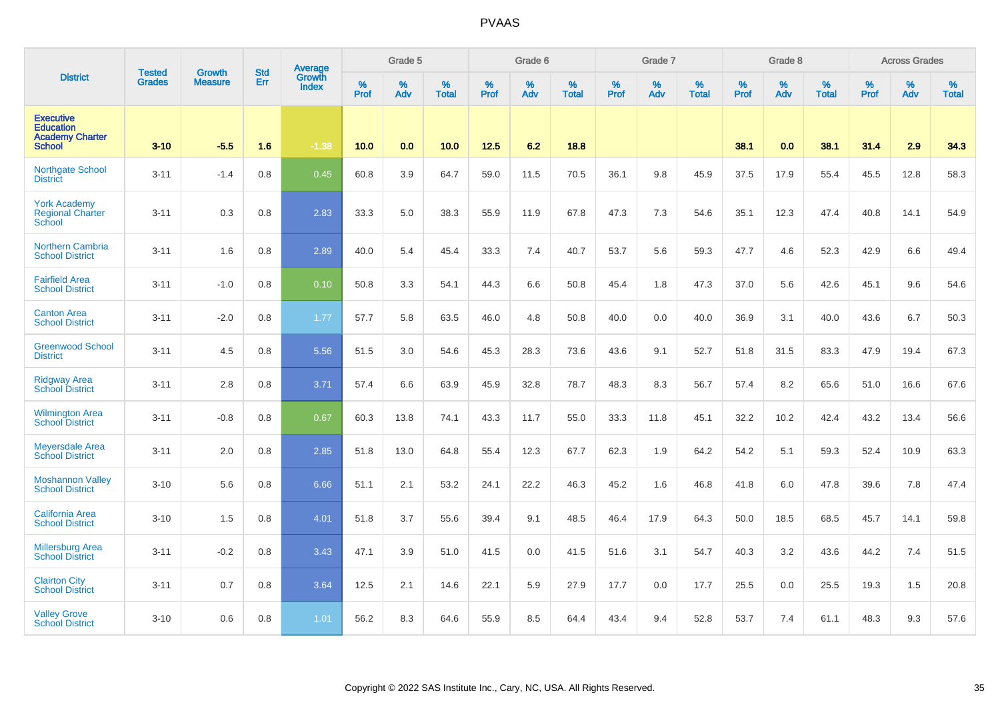|                                                                                 | <b>Tested</b> | <b>Growth</b>  | <b>Std</b> | Average                |           | Grade 5  |                   |           | Grade 6  |                   |           | Grade 7  |                   |           | Grade 8  |                   |           | <b>Across Grades</b> |                   |
|---------------------------------------------------------------------------------|---------------|----------------|------------|------------------------|-----------|----------|-------------------|-----------|----------|-------------------|-----------|----------|-------------------|-----------|----------|-------------------|-----------|----------------------|-------------------|
| <b>District</b>                                                                 | <b>Grades</b> | <b>Measure</b> | Err        | Growth<br><b>Index</b> | %<br>Prof | %<br>Adv | %<br><b>Total</b> | %<br>Prof | %<br>Adv | %<br><b>Total</b> | %<br>Prof | %<br>Adv | %<br><b>Total</b> | %<br>Prof | %<br>Adv | %<br><b>Total</b> | %<br>Prof | %<br>Adv             | %<br><b>Total</b> |
| <b>Executive</b><br><b>Education</b><br><b>Academy Charter</b><br><b>School</b> | $3 - 10$      | $-5.5$         | 1.6        | $-1.38$                | 10.0      | 0.0      | 10.0              | 12.5      | 6.2      | 18.8              |           |          |                   | 38.1      | 0.0      | 38.1              | 31.4      | 2.9                  | 34.3              |
| <b>Northgate School</b><br><b>District</b>                                      | $3 - 11$      | $-1.4$         | 0.8        | 0.45                   | 60.8      | 3.9      | 64.7              | 59.0      | 11.5     | 70.5              | 36.1      | 9.8      | 45.9              | 37.5      | 17.9     | 55.4              | 45.5      | 12.8                 | 58.3              |
| <b>York Academy</b><br><b>Regional Charter</b><br>School                        | $3 - 11$      | 0.3            | 0.8        | 2.83                   | 33.3      | 5.0      | 38.3              | 55.9      | 11.9     | 67.8              | 47.3      | 7.3      | 54.6              | 35.1      | 12.3     | 47.4              | 40.8      | 14.1                 | 54.9              |
| <b>Northern Cambria</b><br><b>School District</b>                               | $3 - 11$      | 1.6            | 0.8        | 2.89                   | 40.0      | 5.4      | 45.4              | 33.3      | 7.4      | 40.7              | 53.7      | 5.6      | 59.3              | 47.7      | 4.6      | 52.3              | 42.9      | 6.6                  | 49.4              |
| <b>Fairfield Area</b><br><b>School District</b>                                 | $3 - 11$      | $-1.0$         | 0.8        | 0.10                   | 50.8      | 3.3      | 54.1              | 44.3      | 6.6      | 50.8              | 45.4      | 1.8      | 47.3              | 37.0      | 5.6      | 42.6              | 45.1      | 9.6                  | 54.6              |
| <b>Canton Area</b><br><b>School District</b>                                    | $3 - 11$      | $-2.0$         | 0.8        | 1.77                   | 57.7      | 5.8      | 63.5              | 46.0      | 4.8      | 50.8              | 40.0      | 0.0      | 40.0              | 36.9      | 3.1      | 40.0              | 43.6      | 6.7                  | 50.3              |
| <b>Greenwood School</b><br><b>District</b>                                      | $3 - 11$      | 4.5            | 0.8        | 5.56                   | 51.5      | 3.0      | 54.6              | 45.3      | 28.3     | 73.6              | 43.6      | 9.1      | 52.7              | 51.8      | 31.5     | 83.3              | 47.9      | 19.4                 | 67.3              |
| <b>Ridgway Area</b><br><b>School District</b>                                   | $3 - 11$      | 2.8            | 0.8        | 3.71                   | 57.4      | 6.6      | 63.9              | 45.9      | 32.8     | 78.7              | 48.3      | 8.3      | 56.7              | 57.4      | 8.2      | 65.6              | 51.0      | 16.6                 | 67.6              |
| <b>Wilmington Area</b><br><b>School District</b>                                | $3 - 11$      | $-0.8$         | 0.8        | 0.67                   | 60.3      | 13.8     | 74.1              | 43.3      | 11.7     | 55.0              | 33.3      | 11.8     | 45.1              | 32.2      | 10.2     | 42.4              | 43.2      | 13.4                 | 56.6              |
| <b>Meyersdale Area</b><br><b>School District</b>                                | $3 - 11$      | 2.0            | 0.8        | 2.85                   | 51.8      | 13.0     | 64.8              | 55.4      | 12.3     | 67.7              | 62.3      | 1.9      | 64.2              | 54.2      | 5.1      | 59.3              | 52.4      | 10.9                 | 63.3              |
| <b>Moshannon Valley</b><br><b>School District</b>                               | $3 - 10$      | 5.6            | 0.8        | 6.66                   | 51.1      | 2.1      | 53.2              | 24.1      | 22.2     | 46.3              | 45.2      | 1.6      | 46.8              | 41.8      | 6.0      | 47.8              | 39.6      | 7.8                  | 47.4              |
| <b>California Area</b><br><b>School District</b>                                | $3 - 10$      | 1.5            | 0.8        | 4.01                   | 51.8      | 3.7      | 55.6              | 39.4      | 9.1      | 48.5              | 46.4      | 17.9     | 64.3              | 50.0      | 18.5     | 68.5              | 45.7      | 14.1                 | 59.8              |
| <b>Millersburg Area</b><br><b>School District</b>                               | $3 - 11$      | $-0.2$         | 0.8        | 3.43                   | 47.1      | 3.9      | 51.0              | 41.5      | 0.0      | 41.5              | 51.6      | 3.1      | 54.7              | 40.3      | 3.2      | 43.6              | 44.2      | 7.4                  | 51.5              |
| <b>Clairton City</b><br><b>School District</b>                                  | $3 - 11$      | 0.7            | 0.8        | 3.64                   | 12.5      | 2.1      | 14.6              | 22.1      | 5.9      | 27.9              | 17.7      | 0.0      | 17.7              | 25.5      | 0.0      | 25.5              | 19.3      | 1.5                  | 20.8              |
| <b>Valley Grove</b><br><b>School District</b>                                   | $3 - 10$      | 0.6            | 0.8        | 1.01                   | 56.2      | 8.3      | 64.6              | 55.9      | 8.5      | 64.4              | 43.4      | 9.4      | 52.8              | 53.7      | 7.4      | 61.1              | 48.3      | 9.3                  | 57.6              |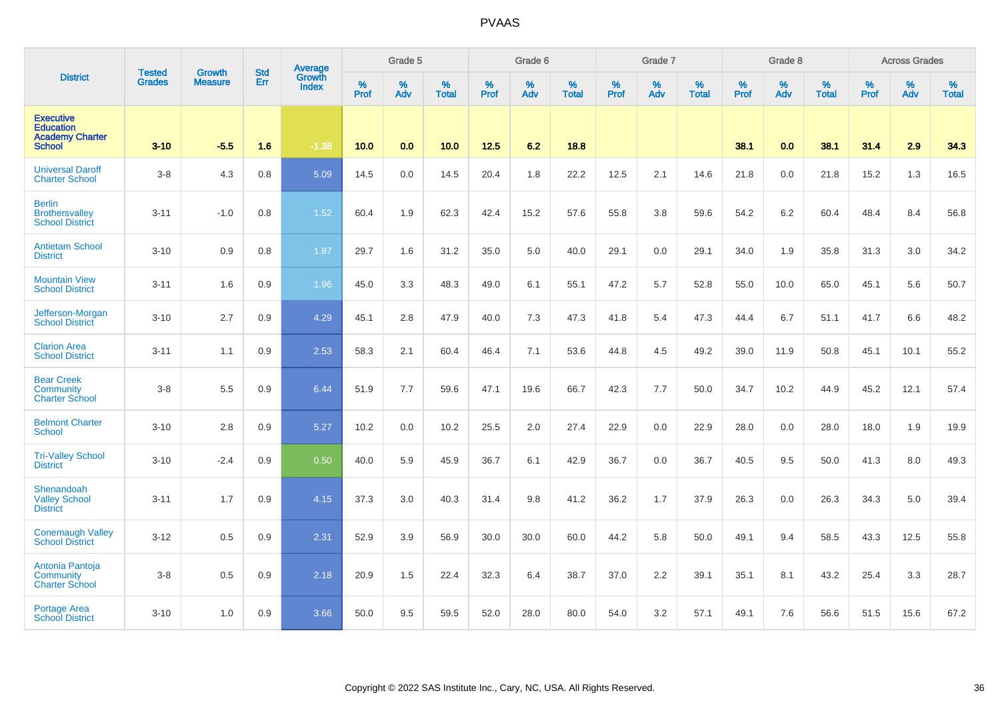|                                                                                 | <b>Tested</b> |                                 | <b>Std</b> | Average                       |              | Grade 5  |                   |           | Grade 6  |                   |           | Grade 7  |                   |           | Grade 8  |                   |           | <b>Across Grades</b> |                   |
|---------------------------------------------------------------------------------|---------------|---------------------------------|------------|-------------------------------|--------------|----------|-------------------|-----------|----------|-------------------|-----------|----------|-------------------|-----------|----------|-------------------|-----------|----------------------|-------------------|
| <b>District</b>                                                                 | <b>Grades</b> | <b>Growth</b><br><b>Measure</b> | Err        | <b>Growth</b><br><b>Index</b> | $\%$<br>Prof | %<br>Adv | %<br><b>Total</b> | %<br>Prof | %<br>Adv | %<br><b>Total</b> | %<br>Prof | %<br>Adv | %<br><b>Total</b> | %<br>Prof | %<br>Adv | %<br><b>Total</b> | %<br>Prof | %<br>Adv             | %<br><b>Total</b> |
| <b>Executive</b><br><b>Education</b><br><b>Academy Charter</b><br><b>School</b> | $3 - 10$      | $-5.5$                          | 1.6        | $-1.38$                       | 10.0         | 0.0      | 10.0              | $12.5$    | 6.2      | 18.8              |           |          |                   | 38.1      | 0.0      | 38.1              | 31.4      | 2.9                  | 34.3              |
| <b>Universal Daroff</b><br><b>Charter School</b>                                | $3 - 8$       | 4.3                             | 0.8        | 5.09                          | 14.5         | 0.0      | 14.5              | 20.4      | 1.8      | 22.2              | 12.5      | 2.1      | 14.6              | 21.8      | 0.0      | 21.8              | 15.2      | 1.3                  | 16.5              |
| <b>Berlin</b><br><b>Brothersvalley</b><br><b>School District</b>                | $3 - 11$      | $-1.0$                          | 0.8        | 1.52                          | 60.4         | 1.9      | 62.3              | 42.4      | 15.2     | 57.6              | 55.8      | 3.8      | 59.6              | 54.2      | 6.2      | 60.4              | 48.4      | 8.4                  | 56.8              |
| <b>Antietam School</b><br><b>District</b>                                       | $3 - 10$      | 0.9                             | 0.8        | 1.87                          | 29.7         | 1.6      | 31.2              | 35.0      | 5.0      | 40.0              | 29.1      | 0.0      | 29.1              | 34.0      | 1.9      | 35.8              | 31.3      | 3.0                  | 34.2              |
| <b>Mountain View</b><br><b>School District</b>                                  | $3 - 11$      | 1.6                             | 0.9        | 1.96                          | 45.0         | 3.3      | 48.3              | 49.0      | 6.1      | 55.1              | 47.2      | 5.7      | 52.8              | 55.0      | 10.0     | 65.0              | 45.1      | 5.6                  | 50.7              |
| Jefferson-Morgan<br><b>School District</b>                                      | $3 - 10$      | 2.7                             | 0.9        | 4.29                          | 45.1         | 2.8      | 47.9              | 40.0      | 7.3      | 47.3              | 41.8      | 5.4      | 47.3              | 44.4      | 6.7      | 51.1              | 41.7      | 6.6                  | 48.2              |
| <b>Clarion Area</b><br><b>School District</b>                                   | $3 - 11$      | 1.1                             | 0.9        | 2.53                          | 58.3         | 2.1      | 60.4              | 46.4      | 7.1      | 53.6              | 44.8      | 4.5      | 49.2              | 39.0      | 11.9     | 50.8              | 45.1      | 10.1                 | 55.2              |
| <b>Bear Creek</b><br>Community<br><b>Charter School</b>                         | $3 - 8$       | 5.5                             | 0.9        | 6.44                          | 51.9         | 7.7      | 59.6              | 47.1      | 19.6     | 66.7              | 42.3      | 7.7      | 50.0              | 34.7      | 10.2     | 44.9              | 45.2      | 12.1                 | 57.4              |
| <b>Belmont Charter</b><br><b>School</b>                                         | $3 - 10$      | 2.8                             | 0.9        | 5.27                          | 10.2         | 0.0      | 10.2              | 25.5      | 2.0      | 27.4              | 22.9      | 0.0      | 22.9              | 28.0      | 0.0      | 28.0              | 18.0      | 1.9                  | 19.9              |
| <b>Tri-Valley School</b><br><b>District</b>                                     | $3 - 10$      | $-2.4$                          | 0.9        | 0.50                          | 40.0         | 5.9      | 45.9              | 36.7      | 6.1      | 42.9              | 36.7      | 0.0      | 36.7              | 40.5      | 9.5      | 50.0              | 41.3      | 8.0                  | 49.3              |
| Shenandoah<br><b>Valley School</b><br><b>District</b>                           | $3 - 11$      | 1.7                             | 0.9        | 4.15                          | 37.3         | 3.0      | 40.3              | 31.4      | 9.8      | 41.2              | 36.2      | 1.7      | 37.9              | 26.3      | 0.0      | 26.3              | 34.3      | 5.0                  | 39.4              |
| <b>Conemaugh Valley</b><br><b>School District</b>                               | $3 - 12$      | 0.5                             | 0.9        | 2.31                          | 52.9         | 3.9      | 56.9              | 30.0      | 30.0     | 60.0              | 44.2      | 5.8      | 50.0              | 49.1      | 9.4      | 58.5              | 43.3      | 12.5                 | 55.8              |
| Antonia Pantoja<br><b>Community</b><br><b>Charter School</b>                    | $3 - 8$       | 0.5                             | 0.9        | 2.18                          | 20.9         | 1.5      | 22.4              | 32.3      | 6.4      | 38.7              | 37.0      | 2.2      | 39.1              | 35.1      | 8.1      | 43.2              | 25.4      | 3.3                  | 28.7              |
| <b>Portage Area</b><br><b>School District</b>                                   | $3 - 10$      | 1.0                             | 0.9        | 3.66                          | 50.0         | 9.5      | 59.5              | 52.0      | 28.0     | 80.0              | 54.0      | 3.2      | 57.1              | 49.1      | 7.6      | 56.6              | 51.5      | 15.6                 | 67.2              |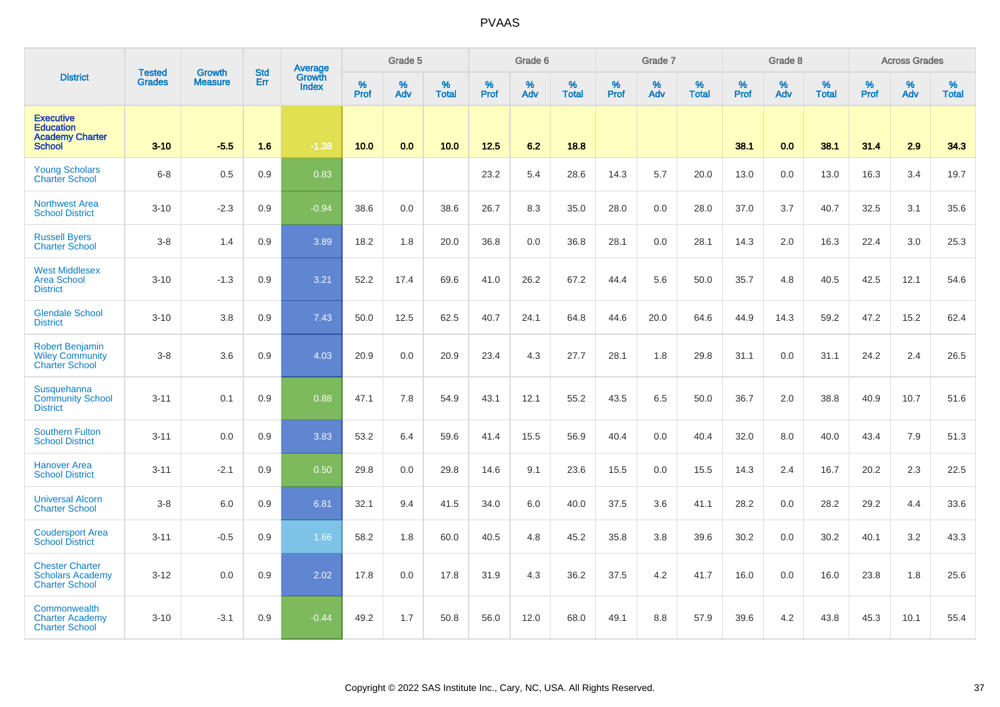|                                                                                 |                         |                                 | <b>Std</b> | Average                |              | Grade 5  |                   |              | Grade 6  |                   |              | Grade 7  |                   |              | Grade 8  |                   |           | <b>Across Grades</b> |                   |
|---------------------------------------------------------------------------------|-------------------------|---------------------------------|------------|------------------------|--------------|----------|-------------------|--------------|----------|-------------------|--------------|----------|-------------------|--------------|----------|-------------------|-----------|----------------------|-------------------|
| <b>District</b>                                                                 | <b>Tested</b><br>Grades | <b>Growth</b><br><b>Measure</b> | Err        | Growth<br><b>Index</b> | $\%$<br>Prof | %<br>Adv | %<br><b>Total</b> | $\%$<br>Prof | %<br>Adv | %<br><b>Total</b> | $\%$<br>Prof | %<br>Adv | %<br><b>Total</b> | $\%$<br>Prof | %<br>Adv | %<br><b>Total</b> | %<br>Prof | %<br>Adv             | %<br><b>Total</b> |
| <b>Executive</b><br><b>Education</b><br><b>Academy Charter</b><br><b>School</b> | $3 - 10$                | $-5.5$                          | 1.6        | $-1.38$                | 10.0         | 0.0      | 10.0              | 12.5         | 6.2      | 18.8              |              |          |                   | 38.1         | 0.0      | 38.1              | 31.4      | 2.9                  | 34.3              |
| <b>Young Scholars</b><br><b>Charter School</b>                                  | $6 - 8$                 | 0.5                             | 0.9        | 0.83                   |              |          |                   | 23.2         | 5.4      | 28.6              | 14.3         | 5.7      | 20.0              | 13.0         | 0.0      | 13.0              | 16.3      | 3.4                  | 19.7              |
| <b>Northwest Area</b><br><b>School District</b>                                 | $3 - 10$                | $-2.3$                          | 0.9        | $-0.94$                | 38.6         | 0.0      | 38.6              | 26.7         | 8.3      | 35.0              | 28.0         | 0.0      | 28.0              | 37.0         | 3.7      | 40.7              | 32.5      | 3.1                  | 35.6              |
| <b>Russell Byers</b><br><b>Charter School</b>                                   | $3-8$                   | 1.4                             | 0.9        | 3.89                   | 18.2         | 1.8      | 20.0              | 36.8         | 0.0      | 36.8              | 28.1         | 0.0      | 28.1              | 14.3         | 2.0      | 16.3              | 22.4      | 3.0                  | 25.3              |
| <b>West Middlesex</b><br><b>Area School</b><br><b>District</b>                  | $3 - 10$                | $-1.3$                          | 0.9        | 3.21                   | 52.2         | 17.4     | 69.6              | 41.0         | 26.2     | 67.2              | 44.4         | 5.6      | 50.0              | 35.7         | 4.8      | 40.5              | 42.5      | 12.1                 | 54.6              |
| <b>Glendale School</b><br><b>District</b>                                       | $3 - 10$                | 3.8                             | 0.9        | 7.43                   | 50.0         | 12.5     | 62.5              | 40.7         | 24.1     | 64.8              | 44.6         | 20.0     | 64.6              | 44.9         | 14.3     | 59.2              | 47.2      | 15.2                 | 62.4              |
| <b>Robert Benjamin</b><br><b>Wiley Community</b><br><b>Charter School</b>       | $3-8$                   | 3.6                             | 0.9        | 4.03                   | 20.9         | 0.0      | 20.9              | 23.4         | 4.3      | 27.7              | 28.1         | 1.8      | 29.8              | 31.1         | 0.0      | 31.1              | 24.2      | 2.4                  | 26.5              |
| Susquehanna<br><b>Community School</b><br><b>District</b>                       | $3 - 11$                | 0.1                             | 0.9        | 0.88                   | 47.1         | 7.8      | 54.9              | 43.1         | 12.1     | 55.2              | 43.5         | 6.5      | 50.0              | 36.7         | 2.0      | 38.8              | 40.9      | 10.7                 | 51.6              |
| <b>Southern Fulton</b><br><b>School District</b>                                | $3 - 11$                | 0.0                             | 0.9        | 3.83                   | 53.2         | 6.4      | 59.6              | 41.4         | 15.5     | 56.9              | 40.4         | 0.0      | 40.4              | 32.0         | 8.0      | 40.0              | 43.4      | 7.9                  | 51.3              |
| <b>Hanover Area</b><br><b>School District</b>                                   | $3 - 11$                | $-2.1$                          | 0.9        | 0.50                   | 29.8         | 0.0      | 29.8              | 14.6         | 9.1      | 23.6              | 15.5         | 0.0      | 15.5              | 14.3         | 2.4      | 16.7              | 20.2      | 2.3                  | 22.5              |
| <b>Universal Alcorn</b><br><b>Charter School</b>                                | $3-8$                   | 6.0                             | 0.9        | 6.81                   | 32.1         | 9.4      | 41.5              | 34.0         | 6.0      | 40.0              | 37.5         | 3.6      | 41.1              | 28.2         | 0.0      | 28.2              | 29.2      | 4.4                  | 33.6              |
| <b>Coudersport Area</b><br><b>School District</b>                               | $3 - 11$                | $-0.5$                          | 0.9        | 1.66                   | 58.2         | 1.8      | 60.0              | 40.5         | 4.8      | 45.2              | 35.8         | 3.8      | 39.6              | 30.2         | 0.0      | 30.2              | 40.1      | 3.2                  | 43.3              |
| <b>Chester Charter</b><br><b>Scholars Academy</b><br><b>Charter School</b>      | $3 - 12$                | 0.0                             | 0.9        | 2.02                   | 17.8         | 0.0      | 17.8              | 31.9         | 4.3      | 36.2              | 37.5         | 4.2      | 41.7              | 16.0         | 0.0      | 16.0              | 23.8      | 1.8                  | 25.6              |
| Commonwealth<br><b>Charter Academy</b><br><b>Charter School</b>                 | $3 - 10$                | $-3.1$                          | 0.9        | $-0.44$                | 49.2         | 1.7      | 50.8              | 56.0         | 12.0     | 68.0              | 49.1         | 8.8      | 57.9              | 39.6         | 4.2      | 43.8              | 45.3      | 10.1                 | 55.4              |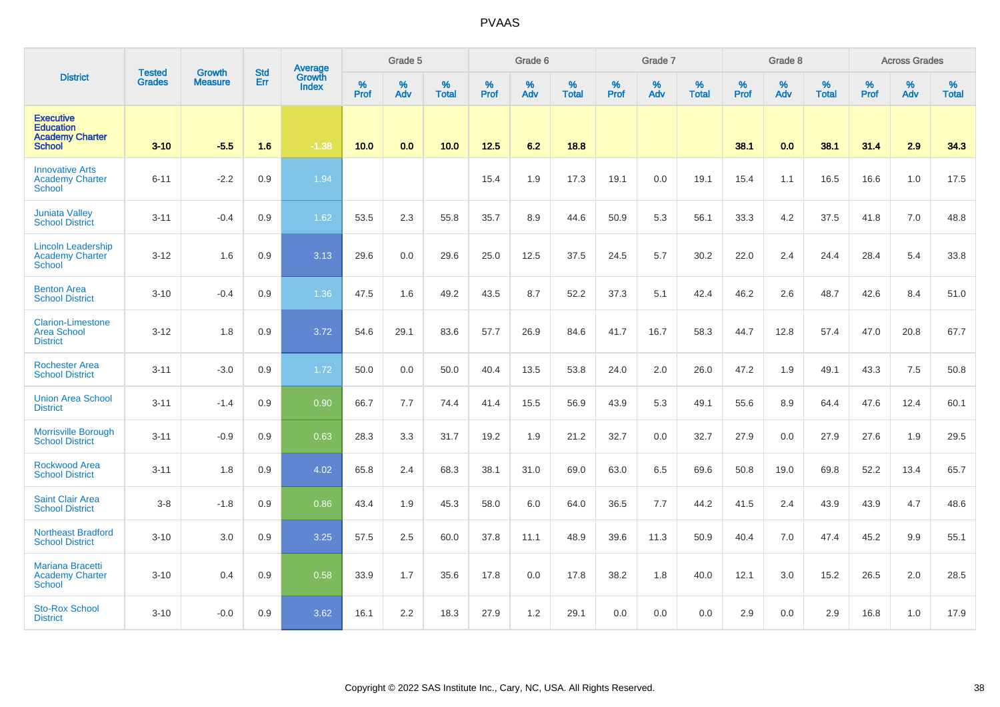|                                                                                 |                                |                                 |                   | Average                       |           | Grade 5  |                   |           | Grade 6  |                   |           | Grade 7  |                   |           | Grade 8  |                   |           | <b>Across Grades</b> |                   |
|---------------------------------------------------------------------------------|--------------------------------|---------------------------------|-------------------|-------------------------------|-----------|----------|-------------------|-----------|----------|-------------------|-----------|----------|-------------------|-----------|----------|-------------------|-----------|----------------------|-------------------|
| <b>District</b>                                                                 | <b>Tested</b><br><b>Grades</b> | <b>Growth</b><br><b>Measure</b> | <b>Std</b><br>Err | <b>Growth</b><br><b>Index</b> | %<br>Prof | %<br>Adv | %<br><b>Total</b> | %<br>Prof | %<br>Adv | %<br><b>Total</b> | %<br>Prof | %<br>Adv | %<br><b>Total</b> | %<br>Prof | %<br>Adv | %<br><b>Total</b> | %<br>Prof | %<br>Adv             | %<br><b>Total</b> |
| <b>Executive</b><br><b>Education</b><br><b>Academy Charter</b><br><b>School</b> | $3 - 10$                       | $-5.5$                          | 1.6               | $-1.38$                       | 10.0      | 0.0      | 10.0              | $12.5$    | 6.2      | 18.8              |           |          |                   | 38.1      | 0.0      | 38.1              | 31.4      | 2.9                  | 34.3              |
| <b>Innovative Arts</b><br><b>Academy Charter</b><br><b>School</b>               | $6 - 11$                       | $-2.2$                          | 0.9               | 1.94                          |           |          |                   | 15.4      | 1.9      | 17.3              | 19.1      | 0.0      | 19.1              | 15.4      | 1.1      | 16.5              | 16.6      | 1.0                  | 17.5              |
| <b>Juniata Valley</b><br><b>School District</b>                                 | $3 - 11$                       | $-0.4$                          | 0.9               | 1.62                          | 53.5      | 2.3      | 55.8              | 35.7      | 8.9      | 44.6              | 50.9      | 5.3      | 56.1              | 33.3      | 4.2      | 37.5              | 41.8      | 7.0                  | 48.8              |
| <b>Lincoln Leadership</b><br><b>Academy Charter</b><br><b>School</b>            | $3 - 12$                       | 1.6                             | 0.9               | 3.13                          | 29.6      | 0.0      | 29.6              | 25.0      | 12.5     | 37.5              | 24.5      | 5.7      | 30.2              | 22.0      | 2.4      | 24.4              | 28.4      | 5.4                  | 33.8              |
| <b>Benton Area</b><br><b>School District</b>                                    | $3 - 10$                       | $-0.4$                          | 0.9               | 1.36                          | 47.5      | 1.6      | 49.2              | 43.5      | 8.7      | 52.2              | 37.3      | 5.1      | 42.4              | 46.2      | 2.6      | 48.7              | 42.6      | 8.4                  | 51.0              |
| <b>Clarion-Limestone</b><br><b>Area School</b><br><b>District</b>               | $3 - 12$                       | 1.8                             | 0.9               | 3.72                          | 54.6      | 29.1     | 83.6              | 57.7      | 26.9     | 84.6              | 41.7      | 16.7     | 58.3              | 44.7      | 12.8     | 57.4              | 47.0      | 20.8                 | 67.7              |
| <b>Rochester Area</b><br><b>School District</b>                                 | $3 - 11$                       | $-3.0$                          | 0.9               | 1.72                          | 50.0      | 0.0      | 50.0              | 40.4      | 13.5     | 53.8              | 24.0      | 2.0      | 26.0              | 47.2      | 1.9      | 49.1              | 43.3      | 7.5                  | 50.8              |
| <b>Union Area School</b><br><b>District</b>                                     | $3 - 11$                       | $-1.4$                          | 0.9               | 0.90                          | 66.7      | 7.7      | 74.4              | 41.4      | 15.5     | 56.9              | 43.9      | 5.3      | 49.1              | 55.6      | 8.9      | 64.4              | 47.6      | 12.4                 | 60.1              |
| <b>Morrisville Borough</b><br><b>School District</b>                            | $3 - 11$                       | $-0.9$                          | 0.9               | 0.63                          | 28.3      | 3.3      | 31.7              | 19.2      | 1.9      | 21.2              | 32.7      | 0.0      | 32.7              | 27.9      | 0.0      | 27.9              | 27.6      | 1.9                  | 29.5              |
| <b>Rockwood Area</b><br><b>School District</b>                                  | $3 - 11$                       | 1.8                             | 0.9               | 4.02                          | 65.8      | 2.4      | 68.3              | 38.1      | 31.0     | 69.0              | 63.0      | 6.5      | 69.6              | 50.8      | 19.0     | 69.8              | 52.2      | 13.4                 | 65.7              |
| <b>Saint Clair Area</b><br><b>School District</b>                               | $3-8$                          | $-1.8$                          | 0.9               | 0.86                          | 43.4      | 1.9      | 45.3              | 58.0      | 6.0      | 64.0              | 36.5      | 7.7      | 44.2              | 41.5      | 2.4      | 43.9              | 43.9      | 4.7                  | 48.6              |
| <b>Northeast Bradford</b><br><b>School District</b>                             | $3 - 10$                       | 3.0                             | 0.9               | 3.25                          | 57.5      | 2.5      | 60.0              | 37.8      | 11.1     | 48.9              | 39.6      | 11.3     | 50.9              | 40.4      | 7.0      | 47.4              | 45.2      | 9.9                  | 55.1              |
| <b>Mariana Bracetti</b><br><b>Academy Charter</b><br><b>School</b>              | $3 - 10$                       | 0.4                             | 0.9               | 0.58                          | 33.9      | 1.7      | 35.6              | 17.8      | 0.0      | 17.8              | 38.2      | 1.8      | 40.0              | 12.1      | 3.0      | 15.2              | 26.5      | 2.0                  | 28.5              |
| <b>Sto-Rox School</b><br><b>District</b>                                        | $3 - 10$                       | $-0.0$                          | 0.9               | 3.62                          | 16.1      | 2.2      | 18.3              | 27.9      | 1.2      | 29.1              | 0.0       | 0.0      | 0.0               | 2.9       | 0.0      | 2.9               | 16.8      | 1.0                  | 17.9              |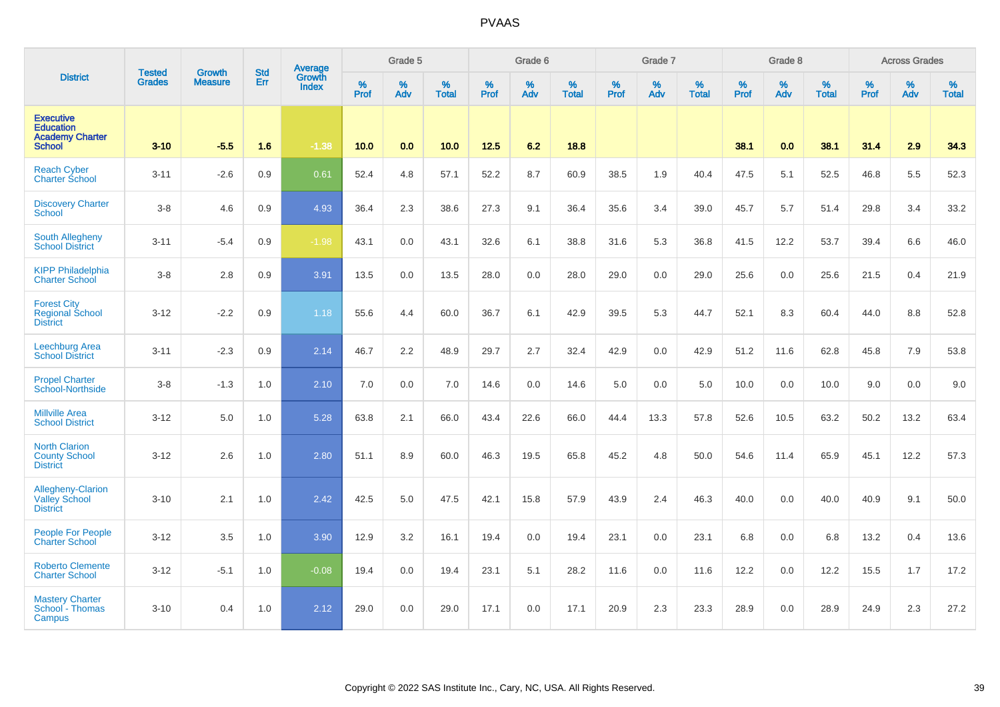|                                                                                 | <b>Tested</b> | <b>Growth</b>  | <b>Std</b> |                                          |           | Grade 5  |                   |                  | Grade 6  |                   |           | Grade 7  |                   |           | Grade 8  |                   |           | <b>Across Grades</b> |                   |
|---------------------------------------------------------------------------------|---------------|----------------|------------|------------------------------------------|-----------|----------|-------------------|------------------|----------|-------------------|-----------|----------|-------------------|-----------|----------|-------------------|-----------|----------------------|-------------------|
| <b>District</b>                                                                 | <b>Grades</b> | <b>Measure</b> | Err        | <b>Average</b><br>Growth<br><b>Index</b> | %<br>Prof | %<br>Adv | %<br><b>Total</b> | %<br><b>Prof</b> | %<br>Adv | %<br><b>Total</b> | %<br>Prof | %<br>Adv | %<br><b>Total</b> | %<br>Prof | %<br>Adv | %<br><b>Total</b> | %<br>Prof | %<br>Adv             | %<br><b>Total</b> |
| <b>Executive</b><br><b>Education</b><br><b>Academy Charter</b><br><b>School</b> | $3 - 10$      | $-5.5$         | 1.6        | $-1.38$                                  | 10.0      | 0.0      | 10.0              | 12.5             | 6.2      | 18.8              |           |          |                   | 38.1      | 0.0      | 38.1              | 31.4      | 2.9                  | 34.3              |
| <b>Reach Cyber</b><br><b>Charter School</b>                                     | $3 - 11$      | $-2.6$         | 0.9        | 0.61                                     | 52.4      | 4.8      | 57.1              | 52.2             | 8.7      | 60.9              | 38.5      | 1.9      | 40.4              | 47.5      | 5.1      | 52.5              | 46.8      | 5.5                  | 52.3              |
| <b>Discovery Charter</b><br><b>School</b>                                       | $3 - 8$       | 4.6            | 0.9        | 4.93                                     | 36.4      | 2.3      | 38.6              | 27.3             | 9.1      | 36.4              | 35.6      | 3.4      | 39.0              | 45.7      | 5.7      | 51.4              | 29.8      | 3.4                  | 33.2              |
| <b>South Allegheny</b><br><b>School District</b>                                | $3 - 11$      | $-5.4$         | 0.9        | $-1.98$                                  | 43.1      | 0.0      | 43.1              | 32.6             | 6.1      | 38.8              | 31.6      | 5.3      | 36.8              | 41.5      | 12.2     | 53.7              | 39.4      | 6.6                  | 46.0              |
| <b>KIPP Philadelphia</b><br><b>Charter School</b>                               | $3 - 8$       | 2.8            | 0.9        | 3.91                                     | 13.5      | 0.0      | 13.5              | 28.0             | 0.0      | 28.0              | 29.0      | 0.0      | 29.0              | 25.6      | 0.0      | 25.6              | 21.5      | 0.4                  | 21.9              |
| <b>Forest City</b><br><b>Regional School</b><br><b>District</b>                 | $3 - 12$      | $-2.2$         | 0.9        | 1.18                                     | 55.6      | 4.4      | 60.0              | 36.7             | 6.1      | 42.9              | 39.5      | 5.3      | 44.7              | 52.1      | 8.3      | 60.4              | 44.0      | 8.8                  | 52.8              |
| <b>Leechburg Area</b><br><b>School District</b>                                 | $3 - 11$      | $-2.3$         | 0.9        | 2.14                                     | 46.7      | 2.2      | 48.9              | 29.7             | 2.7      | 32.4              | 42.9      | 0.0      | 42.9              | 51.2      | 11.6     | 62.8              | 45.8      | 7.9                  | 53.8              |
| <b>Propel Charter</b><br>School-Northside                                       | $3 - 8$       | $-1.3$         | 1.0        | 2.10                                     | 7.0       | 0.0      | 7.0               | 14.6             | 0.0      | 14.6              | 5.0       | 0.0      | 5.0               | 10.0      | 0.0      | 10.0              | 9.0       | 0.0                  | 9.0               |
| <b>Millville Area</b><br><b>School District</b>                                 | $3 - 12$      | 5.0            | 1.0        | 5.28                                     | 63.8      | 2.1      | 66.0              | 43.4             | 22.6     | 66.0              | 44.4      | 13.3     | 57.8              | 52.6      | 10.5     | 63.2              | 50.2      | 13.2                 | 63.4              |
| <b>North Clarion</b><br><b>County School</b><br><b>District</b>                 | $3 - 12$      | 2.6            | 1.0        | 2.80                                     | 51.1      | 8.9      | 60.0              | 46.3             | 19.5     | 65.8              | 45.2      | 4.8      | 50.0              | 54.6      | 11.4     | 65.9              | 45.1      | 12.2                 | 57.3              |
| Allegheny-Clarion<br><b>Valley School</b><br><b>District</b>                    | $3 - 10$      | 2.1            | 1.0        | 2.42                                     | 42.5      | 5.0      | 47.5              | 42.1             | 15.8     | 57.9              | 43.9      | 2.4      | 46.3              | 40.0      | 0.0      | 40.0              | 40.9      | 9.1                  | 50.0              |
| People For People<br><b>Charter School</b>                                      | $3 - 12$      | 3.5            | 1.0        | 3.90                                     | 12.9      | 3.2      | 16.1              | 19.4             | 0.0      | 19.4              | 23.1      | 0.0      | 23.1              | 6.8       | 0.0      | 6.8               | 13.2      | 0.4                  | 13.6              |
| <b>Roberto Clemente</b><br><b>Charter School</b>                                | $3 - 12$      | $-5.1$         | 1.0        | $-0.08$                                  | 19.4      | 0.0      | 19.4              | 23.1             | 5.1      | 28.2              | 11.6      | 0.0      | 11.6              | 12.2      | 0.0      | 12.2              | 15.5      | 1.7                  | 17.2              |
| <b>Mastery Charter</b><br>School - Thomas<br>Campus                             | $3 - 10$      | 0.4            | 1.0        | 2.12                                     | 29.0      | 0.0      | 29.0              | 17.1             | 0.0      | 17.1              | 20.9      | 2.3      | 23.3              | 28.9      | 0.0      | 28.9              | 24.9      | 2.3                  | 27.2              |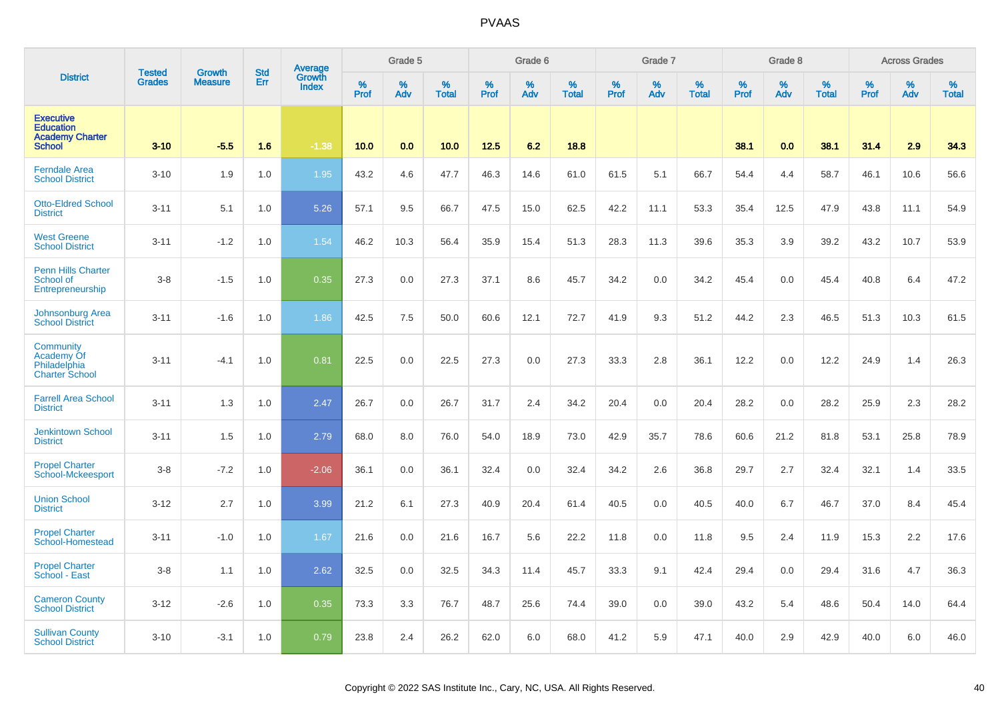|                                                                                 | <b>Tested</b> |                          | <b>Std</b> | Average                |              | Grade 5     |                   |           | Grade 6  |                   |           | Grade 7  |                   |           | Grade 8  |                      |              | <b>Across Grades</b> |                   |
|---------------------------------------------------------------------------------|---------------|--------------------------|------------|------------------------|--------------|-------------|-------------------|-----------|----------|-------------------|-----------|----------|-------------------|-----------|----------|----------------------|--------------|----------------------|-------------------|
| <b>District</b>                                                                 | <b>Grades</b> | Growth<br><b>Measure</b> | Err        | Growth<br><b>Index</b> | $\%$<br>Prof | $\%$<br>Adv | %<br><b>Total</b> | %<br>Prof | %<br>Adv | %<br><b>Total</b> | %<br>Prof | %<br>Adv | %<br><b>Total</b> | %<br>Prof | %<br>Adv | $\%$<br><b>Total</b> | $\%$<br>Prof | %<br>Adv             | %<br><b>Total</b> |
| <b>Executive</b><br><b>Education</b><br><b>Academy Charter</b><br><b>School</b> | $3 - 10$      | $-5.5$                   | 1.6        | $-1.38$                | 10.0         | 0.0         | 10.0              | 12.5      | 6.2      | 18.8              |           |          |                   | 38.1      | 0.0      | 38.1                 | 31.4         | 2.9                  | 34.3              |
| <b>Ferndale Area</b><br><b>School District</b>                                  | $3 - 10$      | 1.9                      | 1.0        | 1.95                   | 43.2         | 4.6         | 47.7              | 46.3      | 14.6     | 61.0              | 61.5      | 5.1      | 66.7              | 54.4      | 4.4      | 58.7                 | 46.1         | 10.6                 | 56.6              |
| <b>Otto-Eldred School</b><br><b>District</b>                                    | $3 - 11$      | 5.1                      | 1.0        | 5.26                   | 57.1         | 9.5         | 66.7              | 47.5      | 15.0     | 62.5              | 42.2      | 11.1     | 53.3              | 35.4      | 12.5     | 47.9                 | 43.8         | 11.1                 | 54.9              |
| <b>West Greene</b><br><b>School District</b>                                    | $3 - 11$      | $-1.2$                   | 1.0        | 1.54                   | 46.2         | 10.3        | 56.4              | 35.9      | 15.4     | 51.3              | 28.3      | 11.3     | 39.6              | 35.3      | 3.9      | 39.2                 | 43.2         | 10.7                 | 53.9              |
| <b>Penn Hills Charter</b><br>School of<br>Entrepreneurship                      | $3 - 8$       | $-1.5$                   | 1.0        | 0.35                   | 27.3         | 0.0         | 27.3              | 37.1      | 8.6      | 45.7              | 34.2      | 0.0      | 34.2              | 45.4      | 0.0      | 45.4                 | 40.8         | 6.4                  | 47.2              |
| <b>Johnsonburg Area</b><br><b>School District</b>                               | $3 - 11$      | $-1.6$                   | 1.0        | 1.86                   | 42.5         | 7.5         | 50.0              | 60.6      | 12.1     | 72.7              | 41.9      | 9.3      | 51.2              | 44.2      | 2.3      | 46.5                 | 51.3         | 10.3                 | 61.5              |
| Community<br>Academy Of<br>Philadelphia<br><b>Charter School</b>                | $3 - 11$      | $-4.1$                   | 1.0        | 0.81                   | 22.5         | 0.0         | 22.5              | 27.3      | 0.0      | 27.3              | 33.3      | 2.8      | 36.1              | 12.2      | 0.0      | 12.2                 | 24.9         | 1.4                  | 26.3              |
| <b>Farrell Area School</b><br><b>District</b>                                   | $3 - 11$      | 1.3                      | 1.0        | 2.47                   | 26.7         | 0.0         | 26.7              | 31.7      | 2.4      | 34.2              | 20.4      | 0.0      | 20.4              | 28.2      | 0.0      | 28.2                 | 25.9         | 2.3                  | 28.2              |
| <b>Jenkintown School</b><br><b>District</b>                                     | $3 - 11$      | 1.5                      | 1.0        | 2.79                   | 68.0         | 8.0         | 76.0              | 54.0      | 18.9     | 73.0              | 42.9      | 35.7     | 78.6              | 60.6      | 21.2     | 81.8                 | 53.1         | 25.8                 | 78.9              |
| <b>Propel Charter</b><br>School-Mckeesport                                      | $3 - 8$       | $-7.2$                   | 1.0        | $-2.06$                | 36.1         | 0.0         | 36.1              | 32.4      | 0.0      | 32.4              | 34.2      | 2.6      | 36.8              | 29.7      | 2.7      | 32.4                 | 32.1         | 1.4                  | 33.5              |
| <b>Union School</b><br><b>District</b>                                          | $3 - 12$      | 2.7                      | 1.0        | 3.99                   | 21.2         | 6.1         | 27.3              | 40.9      | 20.4     | 61.4              | 40.5      | 0.0      | 40.5              | 40.0      | 6.7      | 46.7                 | 37.0         | 8.4                  | 45.4              |
| <b>Propel Charter</b><br>School-Homestead                                       | $3 - 11$      | $-1.0$                   | 1.0        | 1.67                   | 21.6         | 0.0         | 21.6              | 16.7      | 5.6      | 22.2              | 11.8      | 0.0      | 11.8              | 9.5       | 2.4      | 11.9                 | 15.3         | 2.2                  | 17.6              |
| <b>Propel Charter</b><br>School - East                                          | $3 - 8$       | 1.1                      | 1.0        | 2.62                   | 32.5         | 0.0         | 32.5              | 34.3      | 11.4     | 45.7              | 33.3      | 9.1      | 42.4              | 29.4      | 0.0      | 29.4                 | 31.6         | 4.7                  | 36.3              |
| <b>Cameron County</b><br><b>School District</b>                                 | $3 - 12$      | $-2.6$                   | 1.0        | 0.35                   | 73.3         | 3.3         | 76.7              | 48.7      | 25.6     | 74.4              | 39.0      | 0.0      | 39.0              | 43.2      | 5.4      | 48.6                 | 50.4         | 14.0                 | 64.4              |
| <b>Sullivan County</b><br><b>School District</b>                                | $3 - 10$      | $-3.1$                   | 1.0        | 0.79                   | 23.8         | 2.4         | 26.2              | 62.0      | 6.0      | 68.0              | 41.2      | 5.9      | 47.1              | 40.0      | 2.9      | 42.9                 | 40.0         | 6.0                  | 46.0              |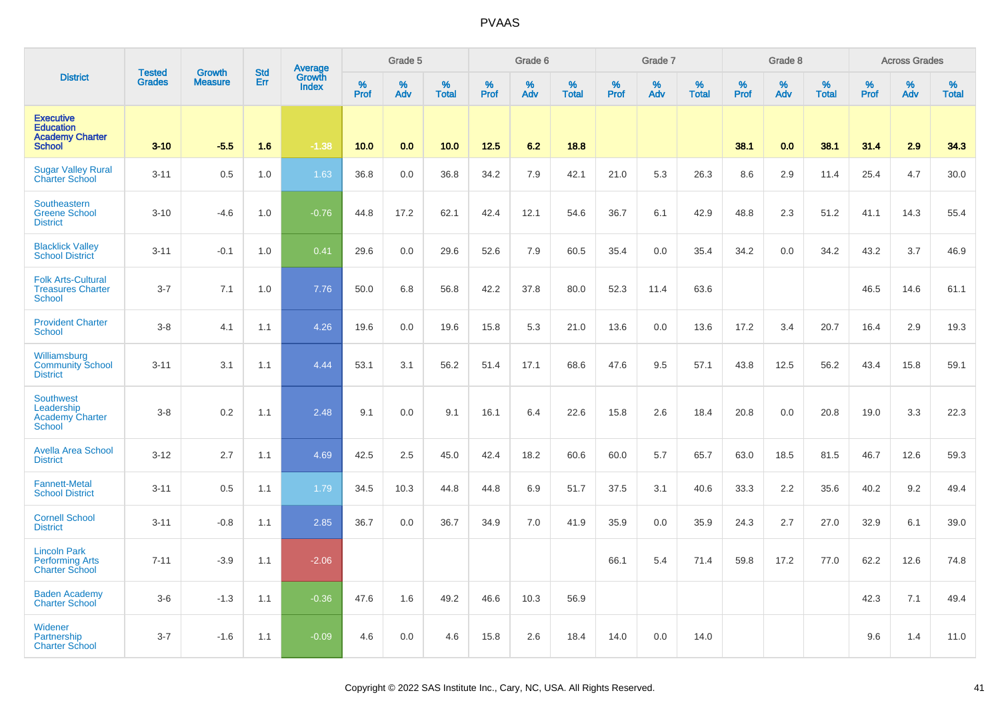|                                                                                 | <b>Tested</b> | Growth         | <b>Std</b> | <b>Average</b><br>Growth |                  | Grade 5  |                   |           | Grade 6  |                   |           | Grade 7  |                   |           | Grade 8  |                   |           | <b>Across Grades</b> |                   |
|---------------------------------------------------------------------------------|---------------|----------------|------------|--------------------------|------------------|----------|-------------------|-----------|----------|-------------------|-----------|----------|-------------------|-----------|----------|-------------------|-----------|----------------------|-------------------|
| <b>District</b>                                                                 | <b>Grades</b> | <b>Measure</b> | Err        | <b>Index</b>             | %<br><b>Prof</b> | %<br>Adv | %<br><b>Total</b> | %<br>Prof | %<br>Adv | %<br><b>Total</b> | %<br>Prof | %<br>Adv | %<br><b>Total</b> | %<br>Prof | %<br>Adv | %<br><b>Total</b> | %<br>Prof | %<br>Adv             | %<br><b>Total</b> |
| <b>Executive</b><br><b>Education</b><br><b>Academy Charter</b><br><b>School</b> | $3 - 10$      | $-5.5$         | 1.6        | $-1.38$                  | 10.0             | 0.0      | 10.0              | 12.5      | 6.2      | 18.8              |           |          |                   | 38.1      | 0.0      | 38.1              | 31.4      | 2.9                  | 34.3              |
| <b>Sugar Valley Rural</b><br><b>Charter School</b>                              | $3 - 11$      | 0.5            | 1.0        | 1.63                     | 36.8             | 0.0      | 36.8              | 34.2      | 7.9      | 42.1              | 21.0      | 5.3      | 26.3              | 8.6       | 2.9      | 11.4              | 25.4      | 4.7                  | 30.0              |
| Southeastern<br><b>Greene School</b><br><b>District</b>                         | $3 - 10$      | $-4.6$         | 1.0        | $-0.76$                  | 44.8             | 17.2     | 62.1              | 42.4      | 12.1     | 54.6              | 36.7      | 6.1      | 42.9              | 48.8      | 2.3      | 51.2              | 41.1      | 14.3                 | 55.4              |
| <b>Blacklick Valley</b><br><b>School District</b>                               | $3 - 11$      | $-0.1$         | 1.0        | 0.41                     | 29.6             | 0.0      | 29.6              | 52.6      | 7.9      | 60.5              | 35.4      | 0.0      | 35.4              | 34.2      | 0.0      | 34.2              | 43.2      | 3.7                  | 46.9              |
| <b>Folk Arts-Cultural</b><br><b>Treasures Charter</b><br><b>School</b>          | $3 - 7$       | 7.1            | 1.0        | 7.76                     | 50.0             | 6.8      | 56.8              | 42.2      | 37.8     | 80.0              | 52.3      | 11.4     | 63.6              |           |          |                   | 46.5      | 14.6                 | 61.1              |
| <b>Provident Charter</b><br><b>School</b>                                       | $3 - 8$       | 4.1            | 1.1        | 4.26                     | 19.6             | 0.0      | 19.6              | 15.8      | 5.3      | 21.0              | 13.6      | 0.0      | 13.6              | 17.2      | 3.4      | 20.7              | 16.4      | 2.9                  | 19.3              |
| Williamsburg<br><b>Community School</b><br><b>District</b>                      | $3 - 11$      | 3.1            | 1.1        | 4.44                     | 53.1             | 3.1      | 56.2              | 51.4      | 17.1     | 68.6              | 47.6      | 9.5      | 57.1              | 43.8      | 12.5     | 56.2              | 43.4      | 15.8                 | 59.1              |
| <b>Southwest</b><br>Leadership<br><b>Academy Charter</b><br><b>School</b>       | $3 - 8$       | 0.2            | 1.1        | 2.48                     | 9.1              | 0.0      | 9.1               | 16.1      | 6.4      | 22.6              | 15.8      | 2.6      | 18.4              | 20.8      | 0.0      | 20.8              | 19.0      | 3.3                  | 22.3              |
| <b>Avella Area School</b><br><b>District</b>                                    | $3 - 12$      | 2.7            | 1.1        | 4.69                     | 42.5             | 2.5      | 45.0              | 42.4      | 18.2     | 60.6              | 60.0      | 5.7      | 65.7              | 63.0      | 18.5     | 81.5              | 46.7      | 12.6                 | 59.3              |
| <b>Fannett-Metal</b><br><b>School District</b>                                  | $3 - 11$      | 0.5            | 1.1        | 1.79                     | 34.5             | 10.3     | 44.8              | 44.8      | 6.9      | 51.7              | 37.5      | 3.1      | 40.6              | 33.3      | 2.2      | 35.6              | 40.2      | 9.2                  | 49.4              |
| <b>Cornell School</b><br><b>District</b>                                        | $3 - 11$      | $-0.8$         | 1.1        | 2.85                     | 36.7             | 0.0      | 36.7              | 34.9      | 7.0      | 41.9              | 35.9      | $0.0\,$  | 35.9              | 24.3      | 2.7      | 27.0              | 32.9      | 6.1                  | 39.0              |
| <b>Lincoln Park</b><br><b>Performing Arts</b><br><b>Charter School</b>          | $7 - 11$      | $-3.9$         | 1.1        | $-2.06$                  |                  |          |                   |           |          |                   | 66.1      | 5.4      | 71.4              | 59.8      | 17.2     | 77.0              | 62.2      | 12.6                 | 74.8              |
| <b>Baden Academy</b><br><b>Charter School</b>                                   | $3-6$         | $-1.3$         | 1.1        | $-0.36$                  | 47.6             | 1.6      | 49.2              | 46.6      | 10.3     | 56.9              |           |          |                   |           |          |                   | 42.3      | 7.1                  | 49.4              |
| Widener<br>Partnership<br><b>Charter School</b>                                 | $3 - 7$       | $-1.6$         | 1.1        | $-0.09$                  | 4.6              | 0.0      | 4.6               | 15.8      | 2.6      | 18.4              | 14.0      | 0.0      | 14.0              |           |          |                   | 9.6       | 1.4                  | 11.0              |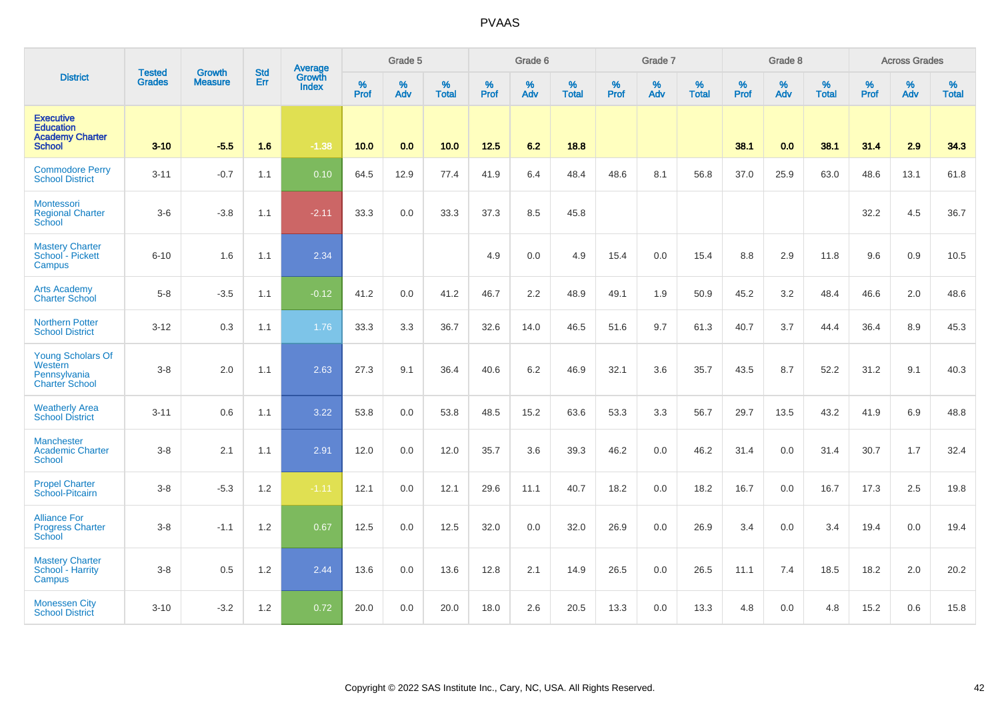|                                                                                 |                                | <b>Growth</b>  | <b>Std</b> | Average                |           | Grade 5  |                   |           | Grade 6  |                   |           | Grade 7  |                   |           | Grade 8  |                   |           | <b>Across Grades</b> |                   |
|---------------------------------------------------------------------------------|--------------------------------|----------------|------------|------------------------|-----------|----------|-------------------|-----------|----------|-------------------|-----------|----------|-------------------|-----------|----------|-------------------|-----------|----------------------|-------------------|
| <b>District</b>                                                                 | <b>Tested</b><br><b>Grades</b> | <b>Measure</b> | Err        | Growth<br><b>Index</b> | %<br>Prof | %<br>Adv | %<br><b>Total</b> | %<br>Prof | %<br>Adv | %<br><b>Total</b> | %<br>Prof | %<br>Adv | %<br><b>Total</b> | %<br>Prof | %<br>Adv | %<br><b>Total</b> | %<br>Prof | %<br>Adv             | %<br><b>Total</b> |
| <b>Executive</b><br><b>Education</b><br><b>Academy Charter</b><br><b>School</b> | $3 - 10$                       | $-5.5$         | 1.6        | $-1.38$                | 10.0      | 0.0      | 10.0              | 12.5      | 6.2      | 18.8              |           |          |                   | 38.1      | 0.0      | 38.1              | 31.4      | 2.9                  | 34.3              |
| <b>Commodore Perry</b><br><b>School District</b>                                | $3 - 11$                       | $-0.7$         | 1.1        | 0.10                   | 64.5      | 12.9     | 77.4              | 41.9      | 6.4      | 48.4              | 48.6      | 8.1      | 56.8              | 37.0      | 25.9     | 63.0              | 48.6      | 13.1                 | 61.8              |
| <b>Montessori</b><br><b>Regional Charter</b><br>School                          | $3-6$                          | $-3.8$         | 1.1        | $-2.11$                | 33.3      | 0.0      | 33.3              | 37.3      | 8.5      | 45.8              |           |          |                   |           |          |                   | 32.2      | 4.5                  | 36.7              |
| <b>Mastery Charter</b><br>School - Pickett<br>Campus                            | $6 - 10$                       | 1.6            | 1.1        | 2.34                   |           |          |                   | 4.9       | 0.0      | 4.9               | 15.4      | 0.0      | 15.4              | 8.8       | 2.9      | 11.8              | 9.6       | 0.9                  | 10.5              |
| <b>Arts Academy</b><br><b>Charter School</b>                                    | $5-8$                          | $-3.5$         | 1.1        | $-0.12$                | 41.2      | 0.0      | 41.2              | 46.7      | 2.2      | 48.9              | 49.1      | 1.9      | 50.9              | 45.2      | 3.2      | 48.4              | 46.6      | 2.0                  | 48.6              |
| <b>Northern Potter</b><br><b>School District</b>                                | $3 - 12$                       | 0.3            | 1.1        | 1.76                   | 33.3      | 3.3      | 36.7              | 32.6      | 14.0     | 46.5              | 51.6      | 9.7      | 61.3              | 40.7      | 3.7      | 44.4              | 36.4      | 8.9                  | 45.3              |
| <b>Young Scholars Of</b><br>Western<br>Pennsylvania<br><b>Charter School</b>    | $3-8$                          | 2.0            | 1.1        | 2.63                   | 27.3      | 9.1      | 36.4              | 40.6      | 6.2      | 46.9              | 32.1      | 3.6      | 35.7              | 43.5      | 8.7      | 52.2              | 31.2      | 9.1                  | 40.3              |
| <b>Weatherly Area</b><br><b>School District</b>                                 | $3 - 11$                       | 0.6            | 1.1        | 3.22                   | 53.8      | 0.0      | 53.8              | 48.5      | 15.2     | 63.6              | 53.3      | 3.3      | 56.7              | 29.7      | 13.5     | 43.2              | 41.9      | 6.9                  | 48.8              |
| <b>Manchester</b><br><b>Academic Charter</b><br><b>School</b>                   | $3 - 8$                        | 2.1            | 1.1        | 2.91                   | 12.0      | 0.0      | 12.0              | 35.7      | 3.6      | 39.3              | 46.2      | 0.0      | 46.2              | 31.4      | 0.0      | 31.4              | 30.7      | 1.7                  | 32.4              |
| <b>Propel Charter</b><br>School-Pitcairn                                        | $3 - 8$                        | $-5.3$         | 1.2        | $-1.11$                | 12.1      | 0.0      | 12.1              | 29.6      | 11.1     | 40.7              | 18.2      | 0.0      | 18.2              | 16.7      | 0.0      | 16.7              | 17.3      | 2.5                  | 19.8              |
| <b>Alliance For</b><br><b>Progress Charter</b><br><b>School</b>                 | $3 - 8$                        | $-1.1$         | 1.2        | 0.67                   | 12.5      | 0.0      | 12.5              | 32.0      | 0.0      | 32.0              | 26.9      | 0.0      | 26.9              | 3.4       | 0.0      | 3.4               | 19.4      | 0.0                  | 19.4              |
| <b>Mastery Charter</b><br>School - Harrity<br>Campus                            | $3 - 8$                        | 0.5            | 1.2        | 2.44                   | 13.6      | 0.0      | 13.6              | 12.8      | 2.1      | 14.9              | 26.5      | 0.0      | 26.5              | 11.1      | 7.4      | 18.5              | 18.2      | 2.0                  | 20.2              |
| <b>Monessen City</b><br><b>School District</b>                                  | $3 - 10$                       | $-3.2$         | 1.2        | 0.72                   | 20.0      | 0.0      | 20.0              | 18.0      | 2.6      | 20.5              | 13.3      | 0.0      | 13.3              | 4.8       | 0.0      | 4.8               | 15.2      | 0.6                  | 15.8              |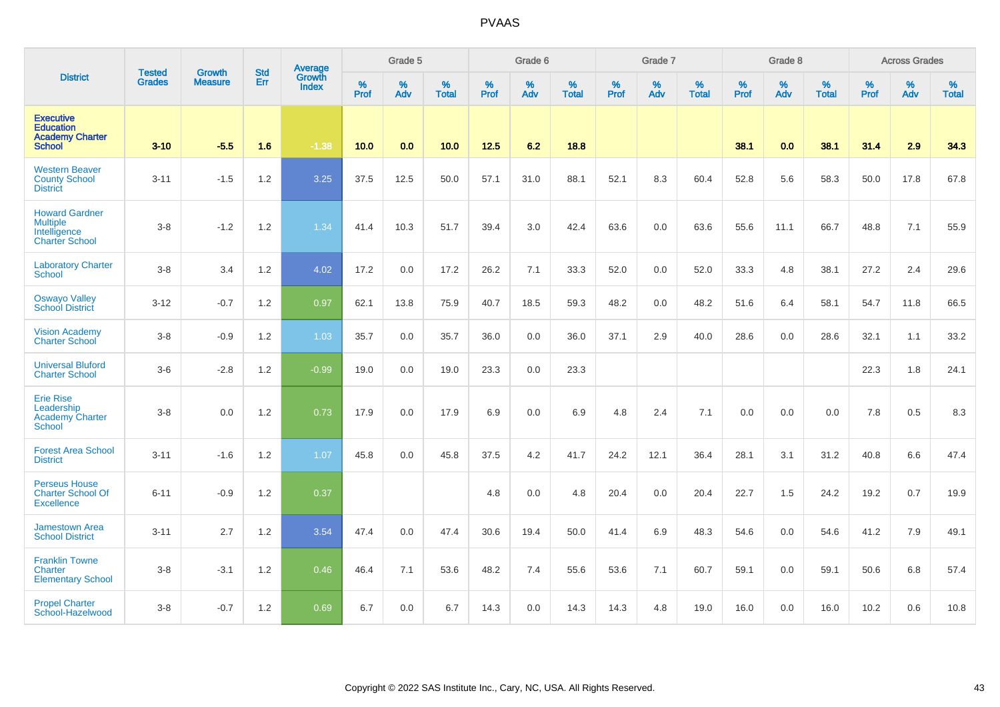|                                                                                   |                                |                                 | <b>Std</b> | Average                |           | Grade 5  |                   |           | Grade 6  |                   |           | Grade 7  |                   |           | Grade 8  |                   |           | <b>Across Grades</b> |                   |
|-----------------------------------------------------------------------------------|--------------------------------|---------------------------------|------------|------------------------|-----------|----------|-------------------|-----------|----------|-------------------|-----------|----------|-------------------|-----------|----------|-------------------|-----------|----------------------|-------------------|
| <b>District</b>                                                                   | <b>Tested</b><br><b>Grades</b> | <b>Growth</b><br><b>Measure</b> | Err        | Growth<br><b>Index</b> | %<br>Prof | %<br>Adv | %<br><b>Total</b> | %<br>Prof | %<br>Adv | %<br><b>Total</b> | %<br>Prof | %<br>Adv | %<br><b>Total</b> | %<br>Prof | %<br>Adv | %<br><b>Total</b> | %<br>Prof | %<br>Adv             | %<br><b>Total</b> |
| <b>Executive</b><br><b>Education</b><br><b>Academy Charter</b><br><b>School</b>   | $3 - 10$                       | $-5.5$                          | 1.6        | $-1.38$                | 10.0      | 0.0      | 10.0              | 12.5      | 6.2      | 18.8              |           |          |                   | 38.1      | 0.0      | 38.1              | 31.4      | 2.9                  | 34.3              |
| <b>Western Beaver</b><br><b>County School</b><br><b>District</b>                  | $3 - 11$                       | $-1.5$                          | 1.2        | 3.25                   | 37.5      | 12.5     | 50.0              | 57.1      | 31.0     | 88.1              | 52.1      | 8.3      | 60.4              | 52.8      | 5.6      | 58.3              | 50.0      | 17.8                 | 67.8              |
| <b>Howard Gardner</b><br><b>Multiple</b><br>Intelligence<br><b>Charter School</b> | $3-8$                          | $-1.2$                          | 1.2        | 1.34                   | 41.4      | 10.3     | 51.7              | 39.4      | 3.0      | 42.4              | 63.6      | 0.0      | 63.6              | 55.6      | 11.1     | 66.7              | 48.8      | 7.1                  | 55.9              |
| <b>Laboratory Charter</b><br><b>School</b>                                        | $3 - 8$                        | 3.4                             | 1.2        | 4.02                   | 17.2      | 0.0      | 17.2              | 26.2      | 7.1      | 33.3              | 52.0      | 0.0      | 52.0              | 33.3      | 4.8      | 38.1              | 27.2      | 2.4                  | 29.6              |
| <b>Oswayo Valley</b><br><b>School District</b>                                    | $3 - 12$                       | $-0.7$                          | 1.2        | 0.97                   | 62.1      | 13.8     | 75.9              | 40.7      | 18.5     | 59.3              | 48.2      | 0.0      | 48.2              | 51.6      | 6.4      | 58.1              | 54.7      | 11.8                 | 66.5              |
| <b>Vision Academy</b><br><b>Charter School</b>                                    | $3-8$                          | $-0.9$                          | 1.2        | 1.03                   | 35.7      | 0.0      | 35.7              | 36.0      | 0.0      | 36.0              | 37.1      | 2.9      | 40.0              | 28.6      | 0.0      | 28.6              | 32.1      | 1.1                  | 33.2              |
| <b>Universal Bluford</b><br><b>Charter School</b>                                 | $3-6$                          | $-2.8$                          | 1.2        | $-0.99$                | 19.0      | 0.0      | 19.0              | 23.3      | 0.0      | 23.3              |           |          |                   |           |          |                   | 22.3      | 1.8                  | 24.1              |
| <b>Erie Rise</b><br>Leadership<br><b>Academy Charter</b><br><b>School</b>         | $3-8$                          | 0.0                             | 1.2        | 0.73                   | 17.9      | 0.0      | 17.9              | 6.9       | 0.0      | 6.9               | 4.8       | 2.4      | 7.1               | 0.0       | 0.0      | 0.0               | 7.8       | 0.5                  | 8.3               |
| <b>Forest Area School</b><br><b>District</b>                                      | $3 - 11$                       | $-1.6$                          | 1.2        | 1.07                   | 45.8      | 0.0      | 45.8              | 37.5      | 4.2      | 41.7              | 24.2      | 12.1     | 36.4              | 28.1      | 3.1      | 31.2              | 40.8      | 6.6                  | 47.4              |
| <b>Perseus House</b><br><b>Charter School Of</b><br><b>Excellence</b>             | $6 - 11$                       | $-0.9$                          | 1.2        | 0.37                   |           |          |                   | 4.8       | 0.0      | 4.8               | 20.4      | 0.0      | 20.4              | 22.7      | 1.5      | 24.2              | 19.2      | 0.7                  | 19.9              |
| <b>Jamestown Area</b><br><b>School District</b>                                   | $3 - 11$                       | 2.7                             | 1.2        | 3.54                   | 47.4      | 0.0      | 47.4              | 30.6      | 19.4     | 50.0              | 41.4      | 6.9      | 48.3              | 54.6      | 0.0      | 54.6              | 41.2      | 7.9                  | 49.1              |
| <b>Franklin Towne</b><br>Charter<br><b>Elementary School</b>                      | $3-8$                          | $-3.1$                          | 1.2        | 0.46                   | 46.4      | 7.1      | 53.6              | 48.2      | 7.4      | 55.6              | 53.6      | 7.1      | 60.7              | 59.1      | 0.0      | 59.1              | 50.6      | 6.8                  | 57.4              |
| <b>Propel Charter</b><br>School-Hazelwood                                         | $3 - 8$                        | $-0.7$                          | 1.2        | 0.69                   | 6.7       | 0.0      | 6.7               | 14.3      | 0.0      | 14.3              | 14.3      | 4.8      | 19.0              | 16.0      | 0.0      | 16.0              | 10.2      | 0.6                  | 10.8              |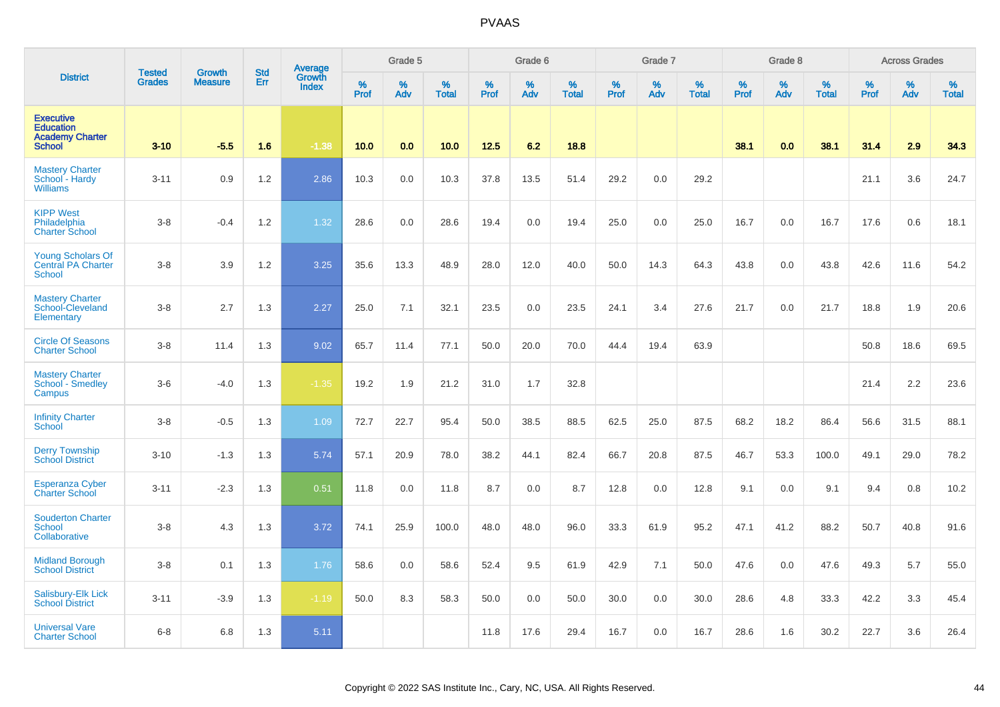|                                                                                 | <b>Tested</b> | <b>Growth</b>  | <b>Std</b> | <b>Average</b><br>Growth |              | Grade 5     |                   |           | Grade 6  |                   |              | Grade 7  |                   |              | Grade 8  |                   |              | <b>Across Grades</b> |                   |
|---------------------------------------------------------------------------------|---------------|----------------|------------|--------------------------|--------------|-------------|-------------------|-----------|----------|-------------------|--------------|----------|-------------------|--------------|----------|-------------------|--------------|----------------------|-------------------|
| <b>District</b>                                                                 | <b>Grades</b> | <b>Measure</b> | Err        | <b>Index</b>             | $\%$<br>Prof | $\%$<br>Adv | %<br><b>Total</b> | %<br>Prof | %<br>Adv | %<br><b>Total</b> | $\%$<br>Prof | %<br>Adv | %<br><b>Total</b> | $\%$<br>Prof | %<br>Adv | %<br><b>Total</b> | $\%$<br>Prof | $\%$<br>Adv          | %<br><b>Total</b> |
| <b>Executive</b><br><b>Education</b><br><b>Academy Charter</b><br><b>School</b> | $3 - 10$      | $-5.5$         | 1.6        | $-1.38$                  | 10.0         | 0.0         | 10.0              | 12.5      | 6.2      | 18.8              |              |          |                   | 38.1         | 0.0      | 38.1              | 31.4         | 2.9                  | 34.3              |
| <b>Mastery Charter</b><br>School - Hardy<br><b>Williams</b>                     | $3 - 11$      | 0.9            | 1.2        | 2.86                     | 10.3         | 0.0         | 10.3              | 37.8      | 13.5     | 51.4              | 29.2         | 0.0      | 29.2              |              |          |                   | 21.1         | 3.6                  | 24.7              |
| <b>KIPP West</b><br>Philadelphia<br><b>Charter School</b>                       | $3 - 8$       | $-0.4$         | 1.2        | 1.32                     | 28.6         | 0.0         | 28.6              | 19.4      | 0.0      | 19.4              | 25.0         | 0.0      | 25.0              | 16.7         | 0.0      | 16.7              | 17.6         | 0.6                  | 18.1              |
| <b>Young Scholars Of</b><br><b>Central PA Charter</b><br><b>School</b>          | $3 - 8$       | 3.9            | 1.2        | 3.25                     | 35.6         | 13.3        | 48.9              | 28.0      | 12.0     | 40.0              | 50.0         | 14.3     | 64.3              | 43.8         | 0.0      | 43.8              | 42.6         | 11.6                 | 54.2              |
| <b>Mastery Charter</b><br>School-Cleveland<br>Elementary                        | $3 - 8$       | 2.7            | 1.3        | 2.27                     | 25.0         | 7.1         | 32.1              | 23.5      | 0.0      | 23.5              | 24.1         | 3.4      | 27.6              | 21.7         | 0.0      | 21.7              | 18.8         | 1.9                  | 20.6              |
| <b>Circle Of Seasons</b><br><b>Charter School</b>                               | $3 - 8$       | 11.4           | 1.3        | 9.02                     | 65.7         | 11.4        | 77.1              | 50.0      | 20.0     | 70.0              | 44.4         | 19.4     | 63.9              |              |          |                   | 50.8         | 18.6                 | 69.5              |
| <b>Mastery Charter</b><br><b>School - Smedley</b><br>Campus                     | $3-6$         | $-4.0$         | 1.3        | $-1.35$                  | 19.2         | 1.9         | 21.2              | 31.0      | 1.7      | 32.8              |              |          |                   |              |          |                   | 21.4         | 2.2                  | 23.6              |
| <b>Infinity Charter</b><br>School                                               | $3 - 8$       | $-0.5$         | 1.3        | 1.09                     | 72.7         | 22.7        | 95.4              | 50.0      | 38.5     | 88.5              | 62.5         | 25.0     | 87.5              | 68.2         | 18.2     | 86.4              | 56.6         | 31.5                 | 88.1              |
| <b>Derry Township</b><br><b>School District</b>                                 | $3 - 10$      | $-1.3$         | 1.3        | 5.74                     | 57.1         | 20.9        | 78.0              | 38.2      | 44.1     | 82.4              | 66.7         | 20.8     | 87.5              | 46.7         | 53.3     | 100.0             | 49.1         | 29.0                 | 78.2              |
| <b>Esperanza Cyber</b><br>Charter School                                        | $3 - 11$      | $-2.3$         | 1.3        | 0.51                     | 11.8         | 0.0         | 11.8              | 8.7       | 0.0      | 8.7               | 12.8         | 0.0      | 12.8              | 9.1          | 0.0      | 9.1               | 9.4          | 0.8                  | 10.2              |
| <b>Souderton Charter</b><br><b>School</b><br>Collaborative                      | $3 - 8$       | 4.3            | 1.3        | 3.72                     | 74.1         | 25.9        | 100.0             | 48.0      | 48.0     | 96.0              | 33.3         | 61.9     | 95.2              | 47.1         | 41.2     | 88.2              | 50.7         | 40.8                 | 91.6              |
| <b>Midland Borough</b><br><b>School District</b>                                | $3 - 8$       | 0.1            | 1.3        | 1.76                     | 58.6         | 0.0         | 58.6              | 52.4      | 9.5      | 61.9              | 42.9         | 7.1      | 50.0              | 47.6         | 0.0      | 47.6              | 49.3         | 5.7                  | 55.0              |
| <b>Salisbury-Elk Lick</b><br><b>School District</b>                             | $3 - 11$      | $-3.9$         | 1.3        | $-1.19$                  | 50.0         | 8.3         | 58.3              | 50.0      | 0.0      | 50.0              | 30.0         | 0.0      | 30.0              | 28.6         | 4.8      | 33.3              | 42.2         | 3.3                  | 45.4              |
| <b>Universal Vare</b><br><b>Charter School</b>                                  | $6 - 8$       | 6.8            | 1.3        | 5.11                     |              |             |                   | 11.8      | 17.6     | 29.4              | 16.7         | 0.0      | 16.7              | 28.6         | 1.6      | 30.2              | 22.7         | 3.6                  | 26.4              |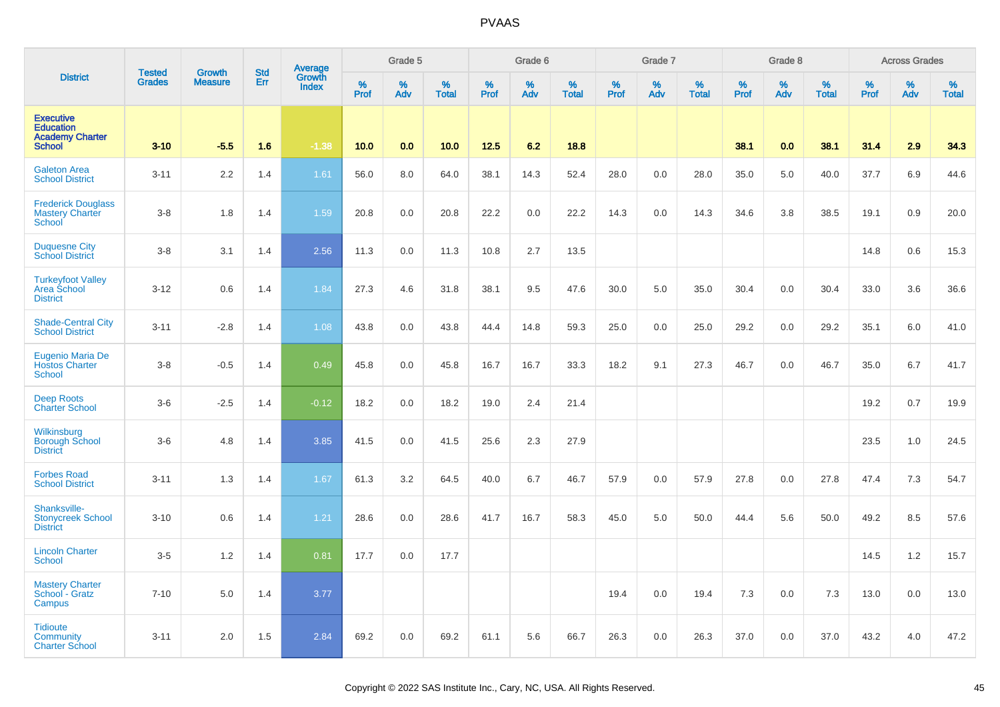|                                                                                 | <b>Tested</b> |                          | <b>Std</b> |                                          |           | Grade 5     |                   |           | Grade 6  |                   |           | Grade 7  |                   |           | Grade 8  |                   |           | <b>Across Grades</b> |                   |
|---------------------------------------------------------------------------------|---------------|--------------------------|------------|------------------------------------------|-----------|-------------|-------------------|-----------|----------|-------------------|-----------|----------|-------------------|-----------|----------|-------------------|-----------|----------------------|-------------------|
| <b>District</b>                                                                 | <b>Grades</b> | Growth<br><b>Measure</b> | Err        | <b>Average</b><br>Growth<br><b>Index</b> | %<br>Prof | $\%$<br>Adv | %<br><b>Total</b> | %<br>Prof | %<br>Adv | %<br><b>Total</b> | %<br>Prof | %<br>Adv | %<br><b>Total</b> | %<br>Prof | %<br>Adv | %<br><b>Total</b> | %<br>Prof | %<br>Adv             | %<br><b>Total</b> |
| <b>Executive</b><br><b>Education</b><br><b>Academy Charter</b><br><b>School</b> | $3 - 10$      | $-5.5$                   | 1.6        | $-1.38$                                  | 10.0      | 0.0         | 10.0              | 12.5      | 6.2      | 18.8              |           |          |                   | 38.1      | 0.0      | 38.1              | 31.4      | 2.9                  | 34.3              |
| <b>Galeton Area</b><br><b>School District</b>                                   | $3 - 11$      | 2.2                      | 1.4        | 1.61                                     | 56.0      | 8.0         | 64.0              | 38.1      | 14.3     | 52.4              | 28.0      | 0.0      | 28.0              | 35.0      | 5.0      | 40.0              | 37.7      | 6.9                  | 44.6              |
| <b>Frederick Douglass</b><br><b>Mastery Charter</b><br>School                   | $3 - 8$       | 1.8                      | 1.4        | 1.59                                     | 20.8      | 0.0         | 20.8              | 22.2      | 0.0      | 22.2              | 14.3      | 0.0      | 14.3              | 34.6      | 3.8      | 38.5              | 19.1      | 0.9                  | 20.0              |
| <b>Duquesne City</b><br><b>School District</b>                                  | $3-8$         | 3.1                      | 1.4        | 2.56                                     | 11.3      | 0.0         | 11.3              | 10.8      | 2.7      | 13.5              |           |          |                   |           |          |                   | 14.8      | 0.6                  | 15.3              |
| <b>Turkeyfoot Valley</b><br>Area School<br><b>District</b>                      | $3 - 12$      | 0.6                      | 1.4        | 1.84                                     | 27.3      | 4.6         | 31.8              | 38.1      | 9.5      | 47.6              | 30.0      | 5.0      | 35.0              | 30.4      | 0.0      | 30.4              | 33.0      | 3.6                  | 36.6              |
| <b>Shade-Central City</b><br><b>School District</b>                             | $3 - 11$      | $-2.8$                   | 1.4        | 1.08                                     | 43.8      | 0.0         | 43.8              | 44.4      | 14.8     | 59.3              | 25.0      | 0.0      | 25.0              | 29.2      | 0.0      | 29.2              | 35.1      | 6.0                  | 41.0              |
| Eugenio Maria De<br><b>Hostos Charter</b><br><b>School</b>                      | $3 - 8$       | $-0.5$                   | 1.4        | 0.49                                     | 45.8      | 0.0         | 45.8              | 16.7      | 16.7     | 33.3              | 18.2      | 9.1      | 27.3              | 46.7      | 0.0      | 46.7              | 35.0      | 6.7                  | 41.7              |
| <b>Deep Roots</b><br><b>Charter School</b>                                      | $3-6$         | $-2.5$                   | 1.4        | $-0.12$                                  | 18.2      | 0.0         | 18.2              | 19.0      | 2.4      | 21.4              |           |          |                   |           |          |                   | 19.2      | 0.7                  | 19.9              |
| Wilkinsburg<br><b>Borough School</b><br><b>District</b>                         | $3-6$         | 4.8                      | 1.4        | 3.85                                     | 41.5      | 0.0         | 41.5              | 25.6      | 2.3      | 27.9              |           |          |                   |           |          |                   | 23.5      | 1.0                  | 24.5              |
| <b>Forbes Road</b><br><b>School District</b>                                    | $3 - 11$      | 1.3                      | 1.4        | 1.67                                     | 61.3      | 3.2         | 64.5              | 40.0      | 6.7      | 46.7              | 57.9      | 0.0      | 57.9              | 27.8      | 0.0      | 27.8              | 47.4      | 7.3                  | 54.7              |
| Shanksville-<br><b>Stonycreek School</b><br><b>District</b>                     | $3 - 10$      | 0.6                      | 1.4        | 1.21                                     | 28.6      | 0.0         | 28.6              | 41.7      | 16.7     | 58.3              | 45.0      | 5.0      | 50.0              | 44.4      | 5.6      | 50.0              | 49.2      | 8.5                  | 57.6              |
| <b>Lincoln Charter</b><br><b>School</b>                                         | $3-5$         | 1.2                      | 1.4        | 0.81                                     | 17.7      | 0.0         | 17.7              |           |          |                   |           |          |                   |           |          |                   | 14.5      | 1.2                  | 15.7              |
| <b>Mastery Charter</b><br>School - Gratz<br>Campus                              | $7 - 10$      | 5.0                      | 1.4        | 3.77                                     |           |             |                   |           |          |                   | 19.4      | 0.0      | 19.4              | 7.3       | 0.0      | 7.3               | 13.0      | 0.0                  | 13.0              |
| <b>Tidioute</b><br><b>Community</b><br><b>Charter School</b>                    | $3 - 11$      | 2.0                      | 1.5        | 2.84                                     | 69.2      | 0.0         | 69.2              | 61.1      | 5.6      | 66.7              | 26.3      | 0.0      | 26.3              | 37.0      | 0.0      | 37.0              | 43.2      | 4.0                  | 47.2              |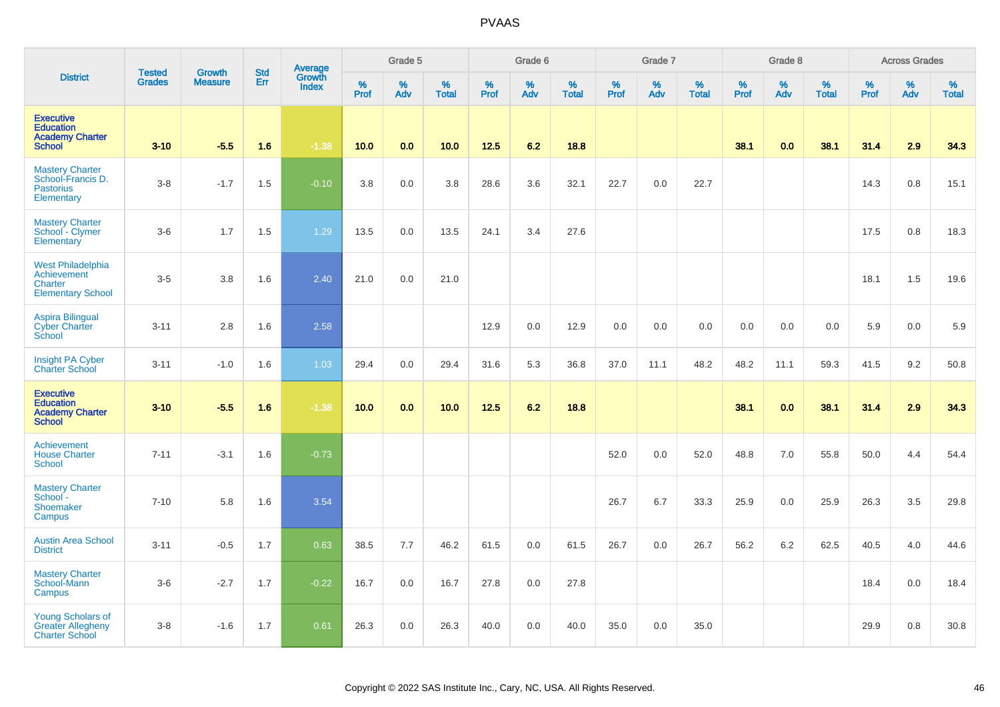|                                                                                 | <b>Tested</b> | <b>Growth</b>  | <b>Std</b> | Average<br>Growth |                     | Grade 5  |                   |                  | Grade 6  |                   |                  | Grade 7  |                   |           | Grade 8  |                   |                  | <b>Across Grades</b> |                   |
|---------------------------------------------------------------------------------|---------------|----------------|------------|-------------------|---------------------|----------|-------------------|------------------|----------|-------------------|------------------|----------|-------------------|-----------|----------|-------------------|------------------|----------------------|-------------------|
| <b>District</b>                                                                 | <b>Grades</b> | <b>Measure</b> | Err        | <b>Index</b>      | $\%$<br><b>Prof</b> | %<br>Adv | %<br><b>Total</b> | %<br><b>Prof</b> | %<br>Adv | %<br><b>Total</b> | %<br><b>Prof</b> | %<br>Adv | %<br><b>Total</b> | %<br>Prof | %<br>Adv | %<br><b>Total</b> | %<br><b>Prof</b> | %<br>Adv             | %<br><b>Total</b> |
| <b>Executive</b><br><b>Education</b><br><b>Academy Charter</b><br><b>School</b> | $3 - 10$      | $-5.5$         | 1.6        | $-1.38$           | 10.0                | 0.0      | 10.0              | $12.5$           | 6.2      | 18.8              |                  |          |                   | 38.1      | 0.0      | 38.1              | 31.4             | 2.9                  | 34.3              |
| <b>Mastery Charter</b><br>School-Francis D.<br><b>Pastorius</b><br>Elementary   | $3 - 8$       | $-1.7$         | 1.5        | $-0.10$           | 3.8                 | 0.0      | 3.8               | 28.6             | 3.6      | 32.1              | 22.7             | 0.0      | 22.7              |           |          |                   | 14.3             | 0.8                  | 15.1              |
| <b>Mastery Charter</b><br>School - Clymer<br>Elementary                         | $3-6$         | 1.7            | 1.5        | 1.29              | 13.5                | 0.0      | 13.5              | 24.1             | 3.4      | 27.6              |                  |          |                   |           |          |                   | 17.5             | 0.8                  | 18.3              |
| <b>West Philadelphia</b><br>Achievement<br>Charter<br><b>Elementary School</b>  | $3-5$         | 3.8            | 1.6        | 2.40              | 21.0                | 0.0      | 21.0              |                  |          |                   |                  |          |                   |           |          |                   | 18.1             | 1.5                  | 19.6              |
| Aspira Bilingual<br>Cyber Charter<br>School                                     | $3 - 11$      | 2.8            | 1.6        | 2.58              |                     |          |                   | 12.9             | 0.0      | 12.9              | 0.0              | 0.0      | 0.0               | 0.0       | 0.0      | 0.0               | 5.9              | 0.0                  | 5.9               |
| Insight PA Cyber<br><b>Charter School</b>                                       | $3 - 11$      | $-1.0$         | 1.6        | 1.03              | 29.4                | 0.0      | 29.4              | 31.6             | 5.3      | 36.8              | 37.0             | 11.1     | 48.2              | 48.2      | 11.1     | 59.3              | 41.5             | 9.2                  | 50.8              |
| <b>Executive</b><br><b>Education</b><br><b>Academy Charter</b><br><b>School</b> | $3 - 10$      | $-5.5$         | 1.6        | $-1.38$           | 10.0                | 0.0      | 10.0              | 12.5             | 6.2      | 18.8              |                  |          |                   | 38.1      | 0.0      | 38.1              | 31.4             | 2.9                  | 34.3              |
| Achievement<br><b>House Charter</b><br><b>School</b>                            | $7 - 11$      | $-3.1$         | 1.6        | $-0.73$           |                     |          |                   |                  |          |                   | 52.0             | 0.0      | 52.0              | 48.8      | 7.0      | 55.8              | 50.0             | 4.4                  | 54.4              |
| <b>Mastery Charter</b><br>School -<br>Shoemaker<br>Campus                       | $7 - 10$      | 5.8            | 1.6        | 3.54              |                     |          |                   |                  |          |                   | 26.7             | 6.7      | 33.3              | 25.9      | 0.0      | 25.9              | 26.3             | 3.5                  | 29.8              |
| <b>Austin Area School</b><br><b>District</b>                                    | $3 - 11$      | $-0.5$         | 1.7        | 0.63              | 38.5                | 7.7      | 46.2              | 61.5             | 0.0      | 61.5              | 26.7             | 0.0      | 26.7              | 56.2      | 6.2      | 62.5              | 40.5             | 4.0                  | 44.6              |
| <b>Mastery Charter</b><br>School-Mann<br>Campus                                 | $3-6$         | $-2.7$         | 1.7        | $-0.22$           | 16.7                | 0.0      | 16.7              | 27.8             | 0.0      | 27.8              |                  |          |                   |           |          |                   | 18.4             | 0.0                  | 18.4              |
| <b>Young Scholars of</b><br><b>Greater Allegheny</b><br><b>Charter School</b>   | $3 - 8$       | $-1.6$         | 1.7        | 0.61              | 26.3                | 0.0      | 26.3              | 40.0             | 0.0      | 40.0              | 35.0             | 0.0      | 35.0              |           |          |                   | 29.9             | 0.8                  | 30.8              |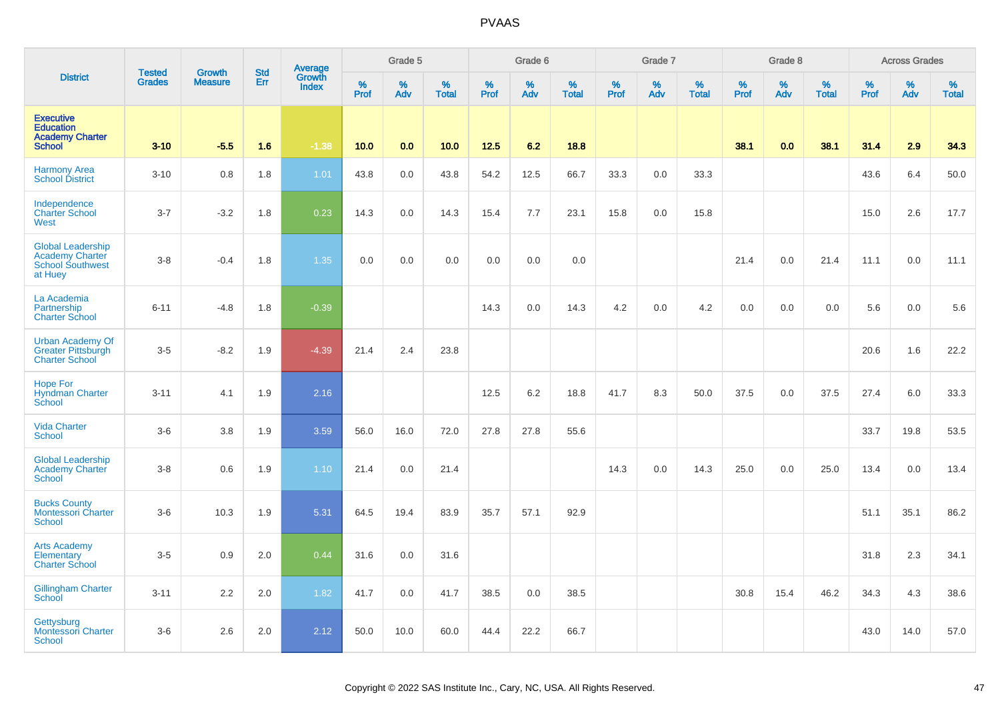|                                                                                          | <b>Tested</b> | <b>Growth</b>  | <b>Std</b> | <b>Average</b><br>Growth |                     | Grade 5  |                   |              | Grade 6  |                   |                     | Grade 7  |                   |              | Grade 8  |                   |              | <b>Across Grades</b> |                   |
|------------------------------------------------------------------------------------------|---------------|----------------|------------|--------------------------|---------------------|----------|-------------------|--------------|----------|-------------------|---------------------|----------|-------------------|--------------|----------|-------------------|--------------|----------------------|-------------------|
| <b>District</b>                                                                          | <b>Grades</b> | <b>Measure</b> | Err        | <b>Index</b>             | $\%$<br><b>Prof</b> | %<br>Adv | %<br><b>Total</b> | $\%$<br>Prof | %<br>Adv | %<br><b>Total</b> | $\%$<br><b>Prof</b> | %<br>Adv | %<br><b>Total</b> | $\%$<br>Prof | %<br>Adv | %<br><b>Total</b> | $\%$<br>Prof | $\%$<br>Adv          | %<br><b>Total</b> |
| <b>Executive</b><br><b>Education</b><br><b>Academy Charter</b><br><b>School</b>          | $3 - 10$      | $-5.5$         | 1.6        | $-1.38$                  | 10.0                | 0.0      | 10.0              | 12.5         | 6.2      | 18.8              |                     |          |                   | 38.1         | 0.0      | 38.1              | 31.4         | 2.9                  | 34.3              |
| <b>Harmony Area</b><br><b>School District</b>                                            | $3 - 10$      | 0.8            | 1.8        | 1.01                     | 43.8                | 0.0      | 43.8              | 54.2         | 12.5     | 66.7              | 33.3                | 0.0      | 33.3              |              |          |                   | 43.6         | 6.4                  | 50.0              |
| Independence<br><b>Charter School</b><br><b>West</b>                                     | $3 - 7$       | $-3.2$         | 1.8        | 0.23                     | 14.3                | 0.0      | 14.3              | 15.4         | 7.7      | 23.1              | 15.8                | 0.0      | 15.8              |              |          |                   | 15.0         | 2.6                  | 17.7              |
| <b>Global Leadership</b><br><b>Academy Charter</b><br><b>School Southwest</b><br>at Huey | $3 - 8$       | $-0.4$         | 1.8        | 1.35                     | 0.0                 | 0.0      | 0.0               | 0.0          | 0.0      | 0.0               |                     |          |                   | 21.4         | 0.0      | 21.4              | 11.1         | 0.0                  | 11.1              |
| La Academia<br>Partnership<br><b>Charter School</b>                                      | $6 - 11$      | $-4.8$         | 1.8        | $-0.39$                  |                     |          |                   | 14.3         | 0.0      | 14.3              | 4.2                 | 0.0      | 4.2               | 0.0          | 0.0      | 0.0               | 5.6          | 0.0                  | $5.6\,$           |
| <b>Urban Academy Of</b><br><b>Greater Pittsburgh</b><br><b>Charter School</b>            | $3-5$         | $-8.2$         | 1.9        | $-4.39$                  | 21.4                | 2.4      | 23.8              |              |          |                   |                     |          |                   |              |          |                   | 20.6         | 1.6                  | 22.2              |
| <b>Hope For</b><br><b>Hyndman Charter</b><br>School                                      | $3 - 11$      | 4.1            | 1.9        | 2.16                     |                     |          |                   | 12.5         | 6.2      | 18.8              | 41.7                | 8.3      | 50.0              | 37.5         | 0.0      | 37.5              | 27.4         | 6.0                  | 33.3              |
| <b>Vida Charter</b><br><b>School</b>                                                     | $3-6$         | 3.8            | 1.9        | 3.59                     | 56.0                | 16.0     | 72.0              | 27.8         | 27.8     | 55.6              |                     |          |                   |              |          |                   | 33.7         | 19.8                 | 53.5              |
| <b>Global Leadership</b><br><b>Academy Charter</b><br><b>School</b>                      | $3 - 8$       | 0.6            | 1.9        | 1.10                     | 21.4                | 0.0      | 21.4              |              |          |                   | 14.3                | 0.0      | 14.3              | 25.0         | 0.0      | 25.0              | 13.4         | 0.0                  | 13.4              |
| <b>Bucks County</b><br>Montessori Charter<br><b>School</b>                               | $3-6$         | 10.3           | 1.9        | 5.31                     | 64.5                | 19.4     | 83.9              | 35.7         | 57.1     | 92.9              |                     |          |                   |              |          |                   | 51.1         | 35.1                 | 86.2              |
| <b>Arts Academy</b><br>Elementary<br><b>Charter School</b>                               | $3-5$         | 0.9            | 2.0        | 0.44                     | 31.6                | 0.0      | 31.6              |              |          |                   |                     |          |                   |              |          |                   | 31.8         | 2.3                  | 34.1              |
| <b>Gillingham Charter</b><br>School                                                      | $3 - 11$      | 2.2            | 2.0        | 1.82                     | 41.7                | 0.0      | 41.7              | 38.5         | 0.0      | 38.5              |                     |          |                   | 30.8         | 15.4     | 46.2              | 34.3         | 4.3                  | 38.6              |
| Gettysburg<br><b>Montessori Charter</b><br>School                                        | $3-6$         | 2.6            | 2.0        | 2.12                     | 50.0                | 10.0     | 60.0              | 44.4         | 22.2     | 66.7              |                     |          |                   |              |          |                   | 43.0         | 14.0                 | 57.0              |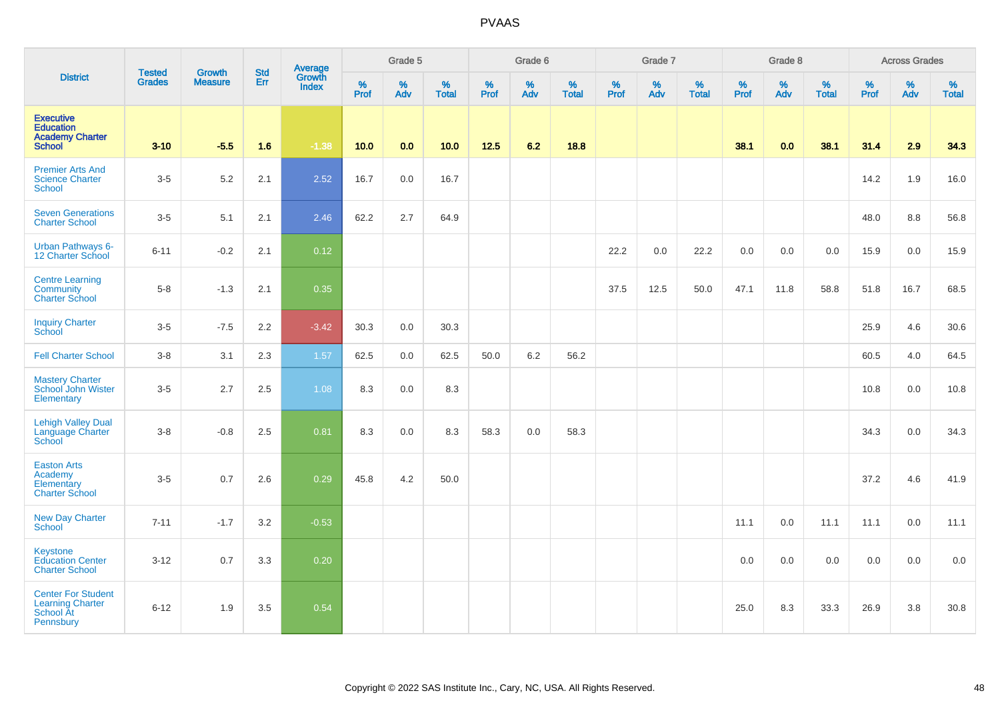| <b>District</b>                                                                 | <b>Tested</b><br><b>Grades</b> | Growth<br><b>Measure</b> | <b>Std</b><br>Err | Average<br>Growth<br><b>Index</b> | Grade 5      |          |                   | Grade 6   |          |                   | Grade 7   |          |                   | Grade 8      |          |                   | <b>Across Grades</b> |          |                   |
|---------------------------------------------------------------------------------|--------------------------------|--------------------------|-------------------|-----------------------------------|--------------|----------|-------------------|-----------|----------|-------------------|-----------|----------|-------------------|--------------|----------|-------------------|----------------------|----------|-------------------|
|                                                                                 |                                |                          |                   |                                   | $\%$<br>Prof | %<br>Adv | %<br><b>Total</b> | %<br>Prof | %<br>Adv | %<br><b>Total</b> | %<br>Prof | %<br>Adv | %<br><b>Total</b> | $\%$<br>Prof | %<br>Adv | %<br><b>Total</b> | %<br>Prof            | %<br>Adv | %<br><b>Total</b> |
| <b>Executive</b><br><b>Education</b><br><b>Academy Charter</b><br><b>School</b> | $3 - 10$                       | $-5.5$                   | 1.6               | $-1.38$                           | 10.0         | 0.0      | 10.0              | $12.5$    | 6.2      | 18.8              |           |          |                   | 38.1         | 0.0      | 38.1              | 31.4                 | 2.9      | 34.3              |
| <b>Premier Arts And</b><br><b>Science Charter</b><br><b>School</b>              | $3-5$                          | $5.2\,$                  | 2.1               | 2.52                              | 16.7         | $0.0\,$  | 16.7              |           |          |                   |           |          |                   |              |          |                   | 14.2                 | 1.9      | 16.0              |
| <b>Seven Generations</b><br><b>Charter School</b>                               | $3 - 5$                        | 5.1                      | 2.1               | 2.46                              | 62.2         | 2.7      | 64.9              |           |          |                   |           |          |                   |              |          |                   | 48.0                 | 8.8      | 56.8              |
| <b>Urban Pathways 6-</b><br>12 Charter School                                   | $6 - 11$                       | $-0.2$                   | 2.1               | 0.12                              |              |          |                   |           |          |                   | 22.2      | 0.0      | 22.2              | 0.0          | 0.0      | 0.0               | 15.9                 | 0.0      | 15.9              |
| <b>Centre Learning</b><br>Community<br><b>Charter School</b>                    | $5-8$                          | $-1.3$                   | 2.1               | 0.35                              |              |          |                   |           |          |                   | 37.5      | 12.5     | 50.0              | 47.1         | 11.8     | 58.8              | 51.8                 | 16.7     | 68.5              |
| <b>Inquiry Charter</b><br>School                                                | $3-5$                          | $-7.5$                   | 2.2               | $-3.42$                           | 30.3         | 0.0      | 30.3              |           |          |                   |           |          |                   |              |          |                   | 25.9                 | 4.6      | 30.6              |
| <b>Fell Charter School</b>                                                      | $3 - 8$                        | 3.1                      | 2.3               | 1.57                              | 62.5         | 0.0      | 62.5              | 50.0      | 6.2      | 56.2              |           |          |                   |              |          |                   | 60.5                 | 4.0      | 64.5              |
| <b>Mastery Charter</b><br>School John Wister<br>Elementary                      | $3-5$                          | 2.7                      | 2.5               | 1.08                              | 8.3          | 0.0      | 8.3               |           |          |                   |           |          |                   |              |          |                   | 10.8                 | 0.0      | 10.8              |
| <b>Lehigh Valley Dual</b><br>Language Charter<br>School                         | $3-8$                          | $-0.8$                   | 2.5               | 0.81                              | 8.3          | 0.0      | 8.3               | 58.3      | 0.0      | 58.3              |           |          |                   |              |          |                   | 34.3                 | 0.0      | 34.3              |
| <b>Easton Arts</b><br>Academy<br>Elementary<br><b>Charter School</b>            | $3-5$                          | 0.7                      | 2.6               | 0.29                              | 45.8         | 4.2      | 50.0              |           |          |                   |           |          |                   |              |          |                   | 37.2                 | 4.6      | 41.9              |
| <b>New Day Charter</b><br>School                                                | $7 - 11$                       | $-1.7$                   | 3.2               | $-0.53$                           |              |          |                   |           |          |                   |           |          |                   | 11.1         | 0.0      | 11.1              | 11.1                 | 0.0      | 11.1              |
| Keystone<br><b>Education Center</b><br><b>Charter School</b>                    | $3 - 12$                       | 0.7                      | 3.3               | 0.20                              |              |          |                   |           |          |                   |           |          |                   | 0.0          | 0.0      | 0.0               | 0.0                  | 0.0      | 0.0               |
| <b>Center For Student</b><br><b>Learning Charter</b><br>School At<br>Pennsbury  | $6 - 12$                       | 1.9                      | 3.5               | 0.54                              |              |          |                   |           |          |                   |           |          |                   | 25.0         | 8.3      | 33.3              | 26.9                 | 3.8      | 30.8              |